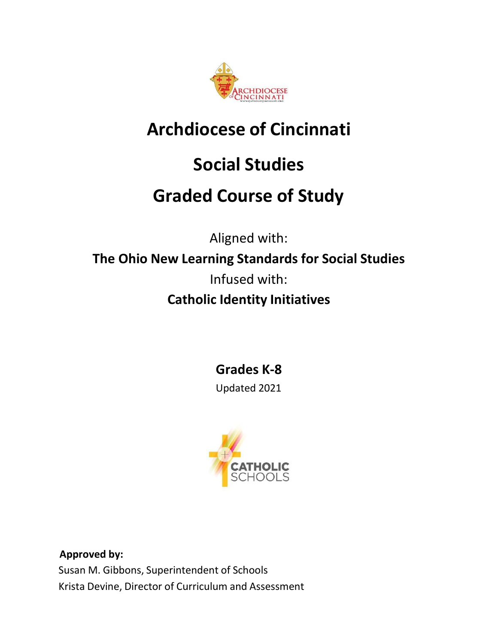

# **Archdiocese of Cincinnati**

# **Social Studies**

# **Graded Course of Study**

Aligned with: **The Ohio New Learning Standards for Social Studies** Infused with: **Catholic Identity Initiatives**

**Grades K-8**

Updated 2021



**Approved by:** Susan M. Gibbons, Superintendent of Schools Krista Devine, Director of Curriculum and Assessment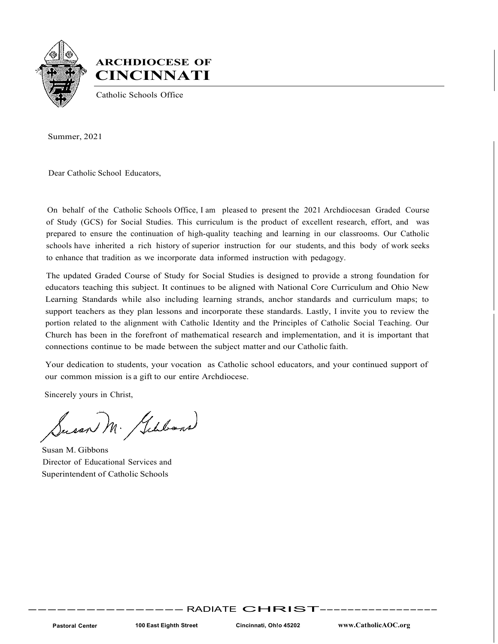

# **ARCHDIOCESE OF CINCINNATI**

Catholic Schools Office

Summer, 2021

Dear Catholic School Educators,

On behalf of the Catholic Schools Office, I am pleased to present the 2021 Archdiocesan Graded Course of Study (GCS) for Social Studies. This curriculum is the product of excellent research, effort, and was prepared to ensure the continuation of high-quality teaching and learning in our classrooms. Our Catholic schools have inherited a rich history of superior instruction for our students, and this body of work seeks to enhance that tradition as we incorporate data informed instruction with pedagogy.

The updated Graded Course of Study for Social Studies is designed to provide a strong foundation for educators teaching this subject. It continues to be aligned with National Core Curriculum and Ohio New Learning Standards while also including learning strands, anchor standards and curriculum maps; to support teachers as they plan lessons and incorporate these standards. Lastly, I invite you to review the portion related to the alignment with Catholic Identity and the Principles of Catholic Social Teaching. Our Church has been in the forefront of mathematical research and implementation, and it is important that connections continue to be made between the subject matter and our Catholic faith.

Your dedication to students, your vocation as Catholic school educators, and your continued support of our common mission is a gift to our entire Archdiocese.

Sincerely yours in Christ,

Susan M. Gilbons

Susan M. Gibbons Director of Educational Services and Superintendent of Catholic Schools

----------------RADIATE CHRIST-----------------

**Pastoral Center 100 East Eighth Street Cincinnati, Oh!o 45202 [www.CatholicAOC.org](http://www.catholicaoc.org/)**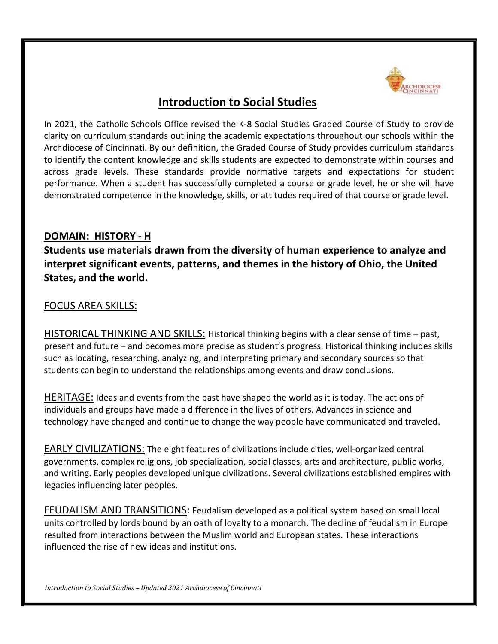

# **Introduction to Social Studies**

In 2021, the Catholic Schools Office revised the K-8 Social Studies Graded Course of Study to provide clarity on curriculum standards outlining the academic expectations throughout our schools within the Archdiocese of Cincinnati. By our definition, the Graded Course of Study provides curriculum standards to identify the content knowledge and skills students are expected to demonstrate within courses and across grade levels. These standards provide normative targets and expectations for student performance. When a student has successfully completed a course or grade level, he or she will have demonstrated competence in the knowledge, skills, or attitudes required of that course or grade level.

# **DOMAIN: HISTORY - H**

**Students use materials drawn from the diversity of human experience to analyze and interpret significant events, patterns, and themes in the history of Ohio, the United States, and the world.**

# FOCUS AREA SKILLS:

HISTORICAL THINKING AND SKILLS: Historical thinking begins with a clear sense of time – past, present and future – and becomes more precise as student's progress. Historical thinking includes skills such as locating, researching, analyzing, and interpreting primary and secondary sources so that students can begin to understand the relationships among events and draw conclusions.

HERITAGE: Ideas and events from the past have shaped the world as it is today. The actions of individuals and groups have made a difference in the lives of others. Advances in science and technology have changed and continue to change the way people have communicated and traveled.

EARLY CIVILIZATIONS: The eight features of civilizations include cities, well-organized central governments, complex religions, job specialization, social classes, arts and architecture, public works, and writing. Early peoples developed unique civilizations. Several civilizations established empires with legacies influencing later peoples.

FEUDALISM AND TRANSITIONS: Feudalism developed as a political system based on small local units controlled by lords bound by an oath of loyalty to a monarch. The decline of feudalism in Europe resulted from interactions between the Muslim world and European states. These interactions influenced the rise of new ideas and institutions.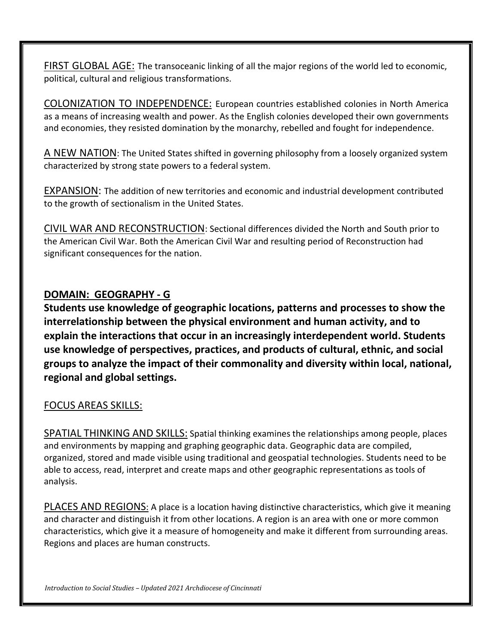FIRST GLOBAL AGE: The transoceanic linking of all the major regions of the world led to economic, political, cultural and religious transformations.

COLONIZATION TO INDEPENDENCE: European countries established colonies in North America as a means of increasing wealth and power. As the English colonies developed their own governments and economies, they resisted domination by the monarchy, rebelled and fought for independence.

A NEW NATION: The United States shifted in governing philosophy from a loosely organized system characterized by strong state powers to a federal system.

EXPANSION: The addition of new territories and economic and industrial development contributed to the growth of sectionalism in the United States.

CIVIL WAR AND RECONSTRUCTION: Sectional differences divided the North and South prior to the American Civil War. Both the American Civil War and resulting period of Reconstruction had significant consequences for the nation.

# **DOMAIN: GEOGRAPHY - G**

**Students use knowledge of geographic locations, patterns and processes to show the interrelationship between the physical environment and human activity, and to explain the interactions that occur in an increasingly interdependent world. Students use knowledge of perspectives, practices, and products of cultural, ethnic, and social groups to analyze the impact of their commonality and diversity within local, national, regional and global settings.**

# FOCUS AREAS SKILLS:

SPATIAL THINKING AND SKILLS: Spatial thinking examines the relationships among people, places and environments by mapping and graphing geographic data. Geographic data are compiled, organized, stored and made visible using traditional and geospatial technologies. Students need to be able to access, read, interpret and create maps and other geographic representations as tools of analysis.

PLACES AND REGIONS: A place is a location having distinctive characteristics, which give it meaning and character and distinguish it from other locations. A region is an area with one or more common characteristics, which give it a measure of homogeneity and make it different from surrounding areas. Regions and places are human constructs.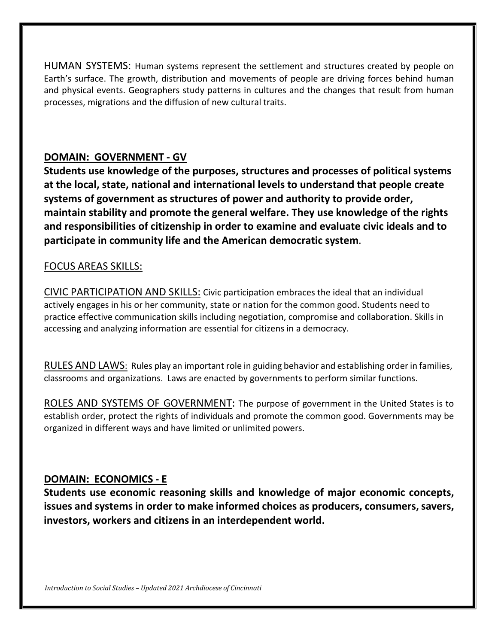HUMAN SYSTEMS: Human systems represent the settlement and structures created by people on Earth's surface. The growth, distribution and movements of people are driving forces behind human and physical events. Geographers study patterns in cultures and the changes that result from human processes, migrations and the diffusion of new cultural traits.

# **DOMAIN: GOVERNMENT - GV**

**Students use knowledge of the purposes, structures and processes of political systems at the local, state, national and international levels to understand that people create systems of government as structures of power and authority to provide order, maintain stability and promote the general welfare. They use knowledge of the rights and responsibilities of citizenship in order to examine and evaluate civic ideals and to participate in community life and the American democratic system**.

# FOCUS AREAS SKILLS:

CIVIC PARTICIPATION AND SKILLS: Civic participation embraces the ideal that an individual actively engages in his or her community, state or nation for the common good. Students need to practice effective communication skills including negotiation, compromise and collaboration. Skills in accessing and analyzing information are essential for citizens in a democracy.

RULES AND LAWS: Rules play an important role in guiding behavior and establishing order in families, classrooms and organizations. Laws are enacted by governments to perform similar functions.

ROLES AND SYSTEMS OF GOVERNMENT: The purpose of government in the United States is to establish order, protect the rights of individuals and promote the common good. Governments may be organized in different ways and have limited or unlimited powers.

# **DOMAIN: ECONOMICS - E**

**Students use economic reasoning skills and knowledge of major economic concepts, issues and systems in order to make informed choices as producers, consumers,savers, investors, workers and citizens in an interdependent world.**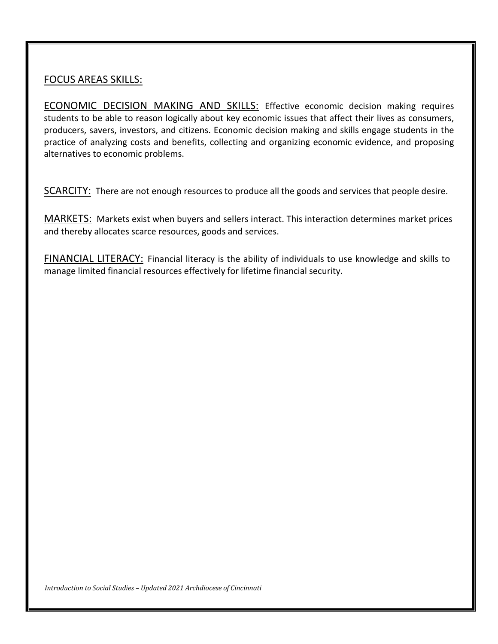# FOCUS AREAS SKILLS:

ECONOMIC DECISION MAKING AND SKILLS: Effective economic decision making requires students to be able to reason logically about key economic issues that affect their lives as consumers, producers, savers, investors, and citizens. Economic decision making and skills engage students in the practice of analyzing costs and benefits, collecting and organizing economic evidence, and proposing alternatives to economic problems.

SCARCITY: There are not enough resources to produce all the goods and services that people desire.

MARKETS: Markets exist when buyers and sellers interact. This interaction determines market prices and thereby allocates scarce resources, goods and services.

FINANCIAL LITERACY: Financial literacy is the ability of individuals to use knowledge and skills to manage limited financial resources effectively for lifetime financial security.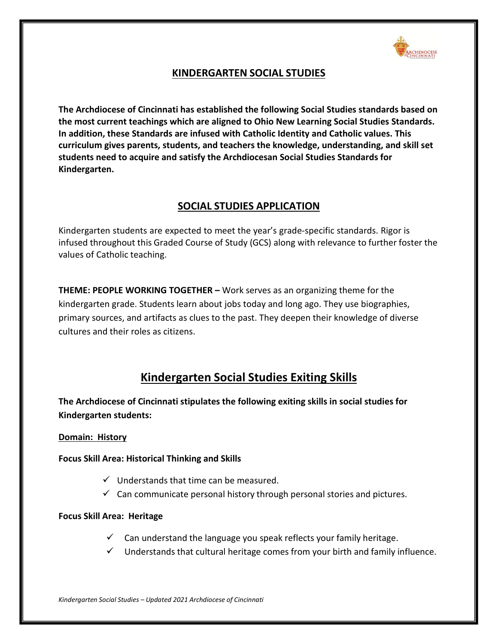

# **KINDERGARTEN SOCIAL STUDIES**

**The Archdiocese of Cincinnati has established the following Social Studies standards based on the most current teachings which are aligned to Ohio New Learning Social Studies Standards. In addition, these Standards are infused with Catholic Identity and Catholic values. This curriculum gives parents, students, and teachers the knowledge, understanding, and skill set students need to acquire and satisfy the Archdiocesan Social Studies Standards for Kindergarten.**

# **SOCIAL STUDIES APPLICATION**

Kindergarten students are expected to meet the year's grade-specific standards. Rigor is infused throughout this Graded Course of Study (GCS) along with relevance to further foster the values of Catholic teaching.

**THEME: PEOPLE WORKING TOGETHER –** Work serves as an organizing theme for the kindergarten grade. Students learn about jobs today and long ago. They use biographies, primary sources, and artifacts as clues to the past. They deepen their knowledge of diverse cultures and their roles as citizens.

# **Kindergarten Social Studies Exiting Skills**

**The Archdiocese of Cincinnati stipulates the following exiting skills in social studies for Kindergarten students:**

# **Domain: History**

**Focus Skill Area: Historical Thinking and Skills**

- $\checkmark$  Understands that time can be measured.
- $\checkmark$  Can communicate personal history through personal stories and pictures.

# **Focus Skill Area: Heritage**

- $\checkmark$  Can understand the language you speak reflects your family heritage.
- $\checkmark$  Understands that cultural heritage comes from your birth and family influence.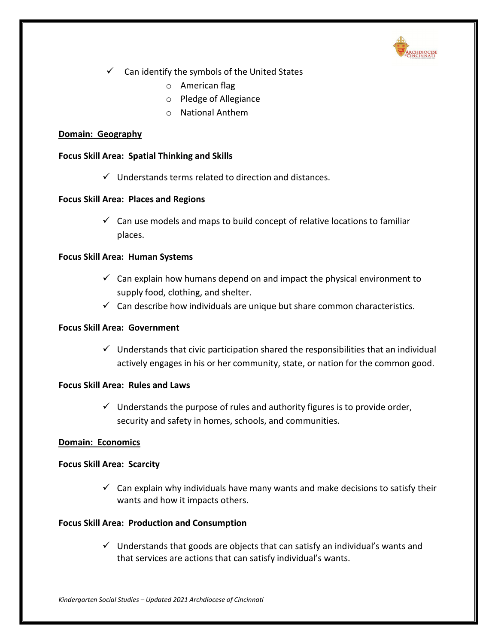

- $\checkmark$  Can identify the symbols of the United States
	- o American flag
	- o Pledge of Allegiance
	- o National Anthem

### **Domain: Geography**

### **Focus Skill Area: Spatial Thinking and Skills**

 $\checkmark$  Understands terms related to direction and distances.

### **Focus Skill Area: Places and Regions**

 $\checkmark$  Can use models and maps to build concept of relative locations to familiar places.

### **Focus Skill Area: Human Systems**

- $\checkmark$  Can explain how humans depend on and impact the physical environment to supply food, clothing, and shelter.
- $\checkmark$  Can describe how individuals are unique but share common characteristics.

### **Focus Skill Area: Government**

 $\checkmark$  Understands that civic participation shared the responsibilities that an individual actively engages in his or her community, state, or nation for the common good.

# **Focus Skill Area: Rules and Laws**

 $\checkmark$  Understands the purpose of rules and authority figures is to provide order, security and safety in homes, schools, and communities.

# **Domain: Economics**

#### **Focus Skill Area: Scarcity**

 $\checkmark$  Can explain why individuals have many wants and make decisions to satisfy their wants and how it impacts others.

# **Focus Skill Area: Production and Consumption**

 $\checkmark$  Understands that goods are objects that can satisfy an individual's wants and that services are actions that can satisfy individual's wants.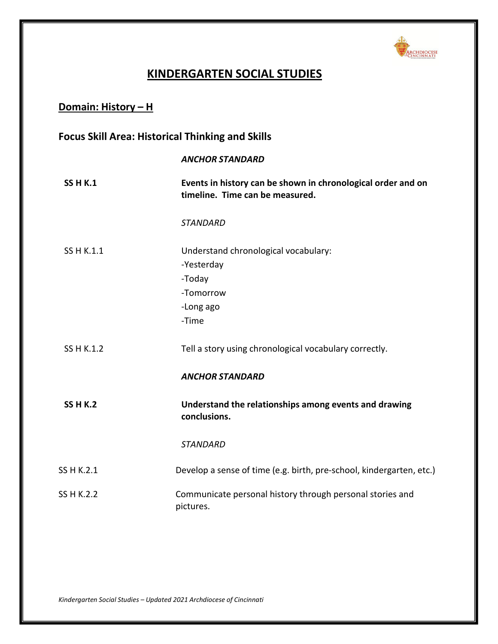

# **KINDERGARTEN SOCIAL STUDIES**

# **Domain: History – H**

# **Focus Skill Area: Historical Thinking and Skills**

#### *ANCHOR STANDARD*

| <b>SS H K.1</b> | Events in history can be shown in chronological order and on<br>timeline. Time can be measured. |
|-----------------|-------------------------------------------------------------------------------------------------|
|                 | <b>STANDARD</b>                                                                                 |
| SS H K.1.1      | Understand chronological vocabulary:<br>-Yesterday<br>-Today<br>-Tomorrow<br>-Long ago<br>-Time |
| SS H K.1.2      | Tell a story using chronological vocabulary correctly.                                          |
|                 | <b>ANCHOR STANDARD</b>                                                                          |
| <b>SS H K.2</b> | Understand the relationships among events and drawing<br>conclusions.                           |
|                 | <b>STANDARD</b>                                                                                 |
| SS H K.2.1      | Develop a sense of time (e.g. birth, pre-school, kindergarten, etc.)                            |
| SS H K.2.2      | Communicate personal history through personal stories and<br>pictures.                          |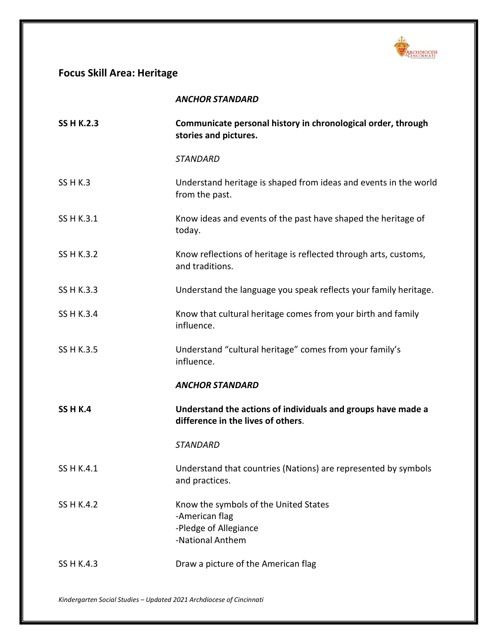

# **Focus Skill Area: Heritage**

|  | ANCHOR STANDARD |  |
|--|-----------------|--|
|  |                 |  |

| <b>SS H K.2.3</b> | Communicate personal history in chronological order, through<br>stories and pictures.                |
|-------------------|------------------------------------------------------------------------------------------------------|
|                   | <b>STANDARD</b>                                                                                      |
| <b>SS H K.3</b>   | Understand heritage is shaped from ideas and events in the world<br>from the past.                   |
| SS H K.3.1        | Know ideas and events of the past have shaped the heritage of<br>today.                              |
| SS H K.3.2        | Know reflections of heritage is reflected through arts, customs,<br>and traditions.                  |
| SS H K.3.3        | Understand the language you speak reflects your family heritage.                                     |
| SS H K.3.4        | Know that cultural heritage comes from your birth and family<br>influence.                           |
| SS H K.3.5        | Understand "cultural heritage" comes from your family's<br>influence.                                |
|                   | <b>ANCHOR STANDARD</b>                                                                               |
| <b>SS H K.4</b>   | Understand the actions of individuals and groups have made a<br>difference in the lives of others.   |
|                   | <b>STANDARD</b>                                                                                      |
| SS H K.4.1        | Understand that countries (Nations) are represented by symbols<br>and practices.                     |
| SS H K.4.2        | Know the symbols of the United States<br>-American flag<br>-Pledge of Allegiance<br>-National Anthem |
| SS H K.4.3        | Draw a picture of the American flag                                                                  |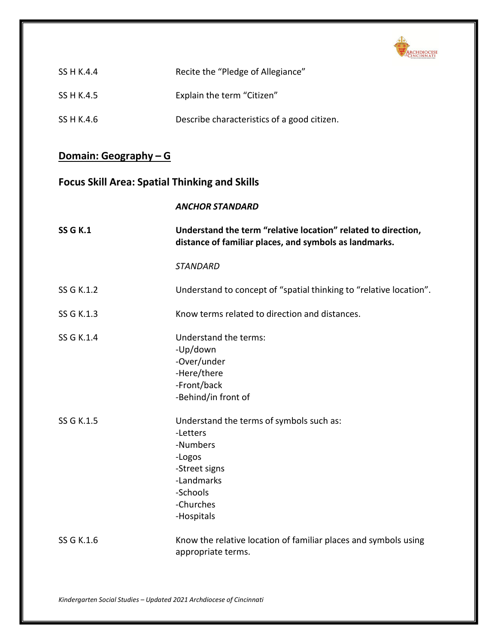

| SS H K.4.4 | Recite the "Pledge of Allegiance"           |
|------------|---------------------------------------------|
| SS H K.4.5 | Explain the term "Citizen"                  |
| SS H K.4.6 | Describe characteristics of a good citizen. |

# **Domain: Geography – G**

# **Focus Skill Area: Spatial Thinking and Skills**

|                 | <b>ANCHOR STANDARD</b>                                                                                                                           |
|-----------------|--------------------------------------------------------------------------------------------------------------------------------------------------|
| <b>SS G K.1</b> | Understand the term "relative location" related to direction,<br>distance of familiar places, and symbols as landmarks.                          |
|                 | <b>STANDARD</b>                                                                                                                                  |
| SS G K.1.2      | Understand to concept of "spatial thinking to "relative location".                                                                               |
| SS G K.1.3      | Know terms related to direction and distances.                                                                                                   |
| SS G K.1.4      | Understand the terms:<br>-Up/down<br>-Over/under<br>-Here/there<br>-Front/back<br>-Behind/in front of                                            |
| SS G K.1.5      | Understand the terms of symbols such as:<br>-Letters<br>-Numbers<br>-Logos<br>-Street signs<br>-Landmarks<br>-Schools<br>-Churches<br>-Hospitals |
| SS G K.1.6      | Know the relative location of familiar places and symbols using<br>appropriate terms.                                                            |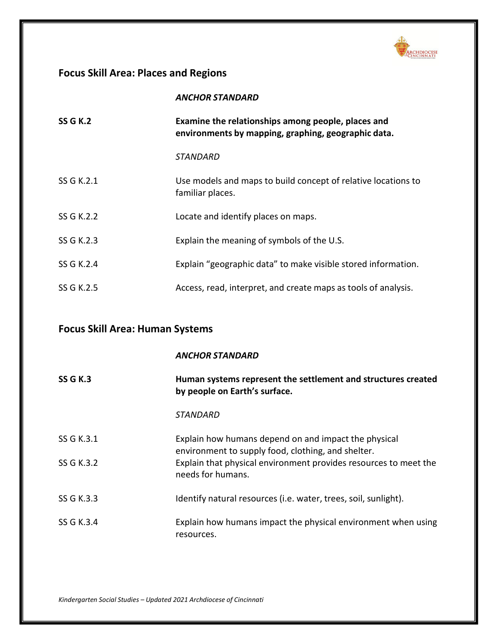

# **Focus Skill Area: Places and Regions**

|                 | <b>ANCHOR STANDARD</b>                                                                                    |
|-----------------|-----------------------------------------------------------------------------------------------------------|
| <b>SS G K.2</b> | Examine the relationships among people, places and<br>environments by mapping, graphing, geographic data. |
|                 | <i><b>STANDARD</b></i>                                                                                    |
| SS G K.2.1      | Use models and maps to build concept of relative locations to<br>familiar places.                         |
| SS G K.2.2      | Locate and identify places on maps.                                                                       |
| SS G K.2.3      | Explain the meaning of symbols of the U.S.                                                                |
| SS G K.2.4      | Explain "geographic data" to make visible stored information.                                             |
| SS G K.2.5      | Access, read, interpret, and create maps as tools of analysis.                                            |

# **Focus Skill Area: Human Systems**

|                 | <b>ANCHOR STANDARD</b>                                                                                     |
|-----------------|------------------------------------------------------------------------------------------------------------|
| <b>SS G K.3</b> | Human systems represent the settlement and structures created<br>by people on Earth's surface.             |
|                 | STANDARD                                                                                                   |
| SS G K.3.1      | Explain how humans depend on and impact the physical<br>environment to supply food, clothing, and shelter. |
| SS G K.3.2      | Explain that physical environment provides resources to meet the<br>needs for humans.                      |
| SS G K.3.3      | Identify natural resources (i.e. water, trees, soil, sunlight).                                            |
| SS G K.3.4      | Explain how humans impact the physical environment when using<br>resources.                                |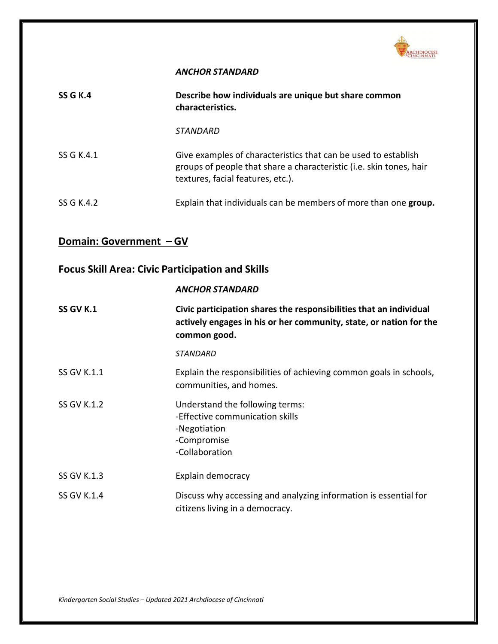

### *ANCHOR STANDARD*

| <b>SS G K.4</b>         | Describe how individuals are unique but share common<br>characteristics.                                                                                                   |
|-------------------------|----------------------------------------------------------------------------------------------------------------------------------------------------------------------------|
|                         | STANDARD                                                                                                                                                                   |
| SS G K.4.1              | Give examples of characteristics that can be used to establish<br>groups of people that share a characteristic (i.e. skin tones, hair<br>textures, facial features, etc.). |
| SS G K.4.2              | Explain that individuals can be members of more than one group.                                                                                                            |
| Domain: Government - GV |                                                                                                                                                                            |

# **Focus Skill Area: Civic Participation and Skills**

#### *ANCHOR STANDARD*

| SS GV K.1          | Civic participation shares the responsibilities that an individual<br>actively engages in his or her community, state, or nation for the<br>common good. |
|--------------------|----------------------------------------------------------------------------------------------------------------------------------------------------------|
|                    | <b>STANDARD</b>                                                                                                                                          |
| <b>SS GV K.1.1</b> | Explain the responsibilities of achieving common goals in schools,<br>communities, and homes.                                                            |
| <b>SS GV K.1.2</b> | Understand the following terms:<br>-Effective communication skills<br>-Negotiation<br>-Compromise<br>-Collaboration                                      |
| <b>SS GV K.1.3</b> | Explain democracy                                                                                                                                        |
| <b>SS GV K.1.4</b> | Discuss why accessing and analyzing information is essential for<br>citizens living in a democracy.                                                      |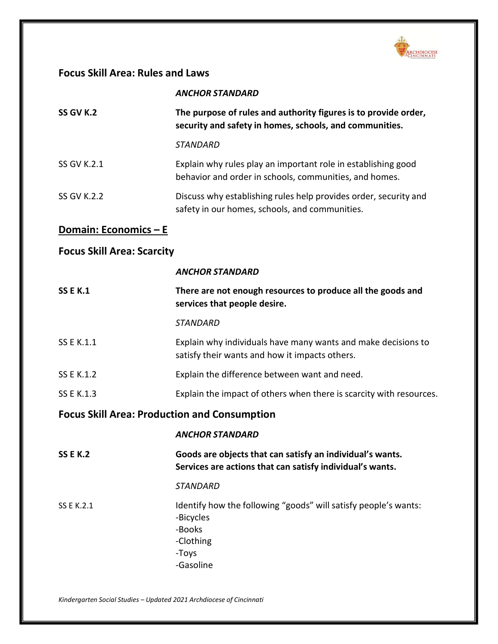

# **Focus Skill Area: Rules and Laws**

| SS GV K.2   | The purpose of rules and authority figures is to provide order,<br>security and safety in homes, schools, and communities. |
|-------------|----------------------------------------------------------------------------------------------------------------------------|
|             | <i><b>STANDARD</b></i>                                                                                                     |
| SS GV K.2.1 | Explain why rules play an important role in establishing good<br>behavior and order in schools, communities, and homes.    |
| SS GV K.2.2 | Discuss why establishing rules help provides order, security and<br>safety in our homes, schools, and communities.         |

# **Domain: Economics – E**

# **Focus Skill Area: Scarcity**

|                                                     | <b>ANCHOR STANDARD</b>                                                                                                 |
|-----------------------------------------------------|------------------------------------------------------------------------------------------------------------------------|
| <b>SS E K.1</b>                                     | There are not enough resources to produce all the goods and<br>services that people desire.                            |
|                                                     | <b>STANDARD</b>                                                                                                        |
| SS E K.1.1                                          | Explain why individuals have many wants and make decisions to<br>satisfy their wants and how it impacts others.        |
| SS E K.1.2                                          | Explain the difference between want and need.                                                                          |
| <b>SS E K.1.3</b>                                   | Explain the impact of others when there is scarcity with resources.                                                    |
| <b>Focus Skill Area: Production and Consumption</b> |                                                                                                                        |
|                                                     |                                                                                                                        |
|                                                     | <b>ANCHOR STANDARD</b>                                                                                                 |
| <b>SS E K.2</b>                                     | Goods are objects that can satisfy an individual's wants.<br>Services are actions that can satisfy individual's wants. |
|                                                     | <b>STANDARD</b>                                                                                                        |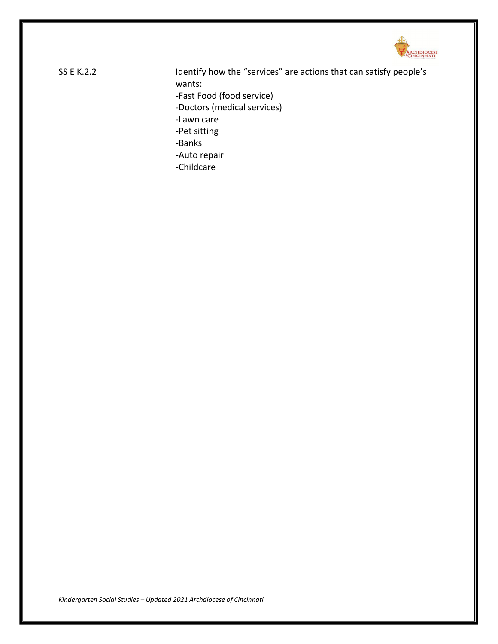

SS E K.2.2 Identify how the "services" are actions that can satisfy people's wants: -Fast Food (food service) -Doctors (medical services) -Lawn care -Pet sitting -Banks -Auto repair -Childcare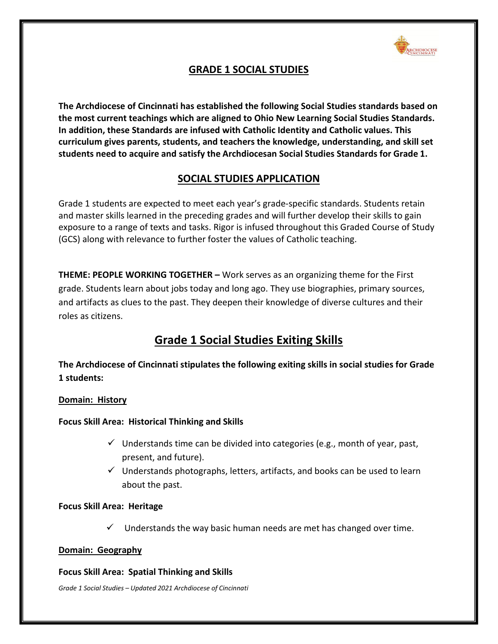

# **GRADE 1 SOCIAL STUDIES**

**The Archdiocese of Cincinnati has established the following Social Studies standards based on the most current teachings which are aligned to Ohio New Learning Social Studies Standards. In addition, these Standards are infused with Catholic Identity and Catholic values. This curriculum gives parents, students, and teachers the knowledge, understanding, and skill set students need to acquire and satisfy the Archdiocesan Social Studies Standards for Grade 1.**

# **SOCIAL STUDIES APPLICATION**

Grade 1 students are expected to meet each year's grade-specific standards. Students retain and master skills learned in the preceding grades and will further develop their skills to gain exposure to a range of texts and tasks. Rigor is infused throughout this Graded Course of Study (GCS) along with relevance to further foster the values of Catholic teaching.

**THEME: PEOPLE WORKING TOGETHER –** Work serves as an organizing theme for the First grade. Students learn about jobs today and long ago. They use biographies, primary sources, and artifacts as clues to the past. They deepen their knowledge of diverse cultures and their roles as citizens.

# **Grade 1 Social Studies Exiting Skills**

**The Archdiocese of Cincinnati stipulates the following exiting skills in social studies for Grade 1 students:**

# **Domain: History**

**Focus Skill Area: Historical Thinking and Skills**

- $\checkmark$  Understands time can be divided into categories (e.g., month of year, past, present, and future).
- $\checkmark$  Understands photographs, letters, artifacts, and books can be used to learn about the past.

# **Focus Skill Area: Heritage**

 $\checkmark$  Understands the way basic human needs are met has changed over time.

# **Domain: Geography**

# **Focus Skill Area: Spatial Thinking and Skills**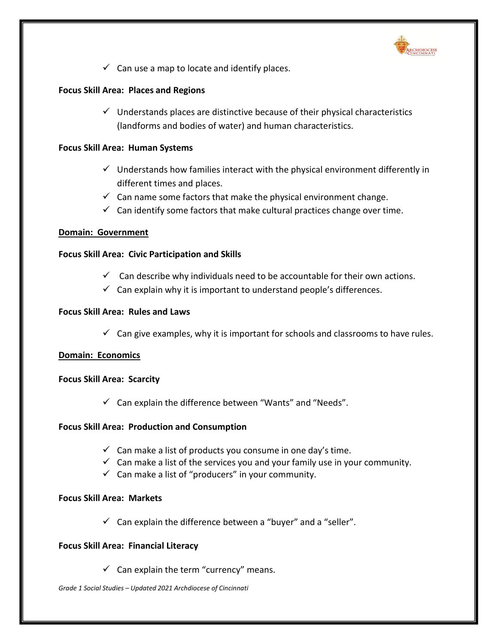

 $\checkmark$  Can use a map to locate and identify places.

# **Focus Skill Area: Places and Regions**

 $\checkmark$  Understands places are distinctive because of their physical characteristics (landforms and bodies of water) and human characteristics.

### **Focus Skill Area: Human Systems**

- $\checkmark$  Understands how families interact with the physical environment differently in different times and places.
- $\checkmark$  Can name some factors that make the physical environment change.
- $\checkmark$  Can identify some factors that make cultural practices change over time.

### **Domain: Government**

### **Focus Skill Area: Civic Participation and Skills**

- $\checkmark$  Can describe why individuals need to be accountable for their own actions.
- $\checkmark$  Can explain why it is important to understand people's differences.

### **Focus Skill Area: Rules and Laws**

 $\checkmark$  Can give examples, why it is important for schools and classrooms to have rules.

# **Domain: Economics**

#### **Focus Skill Area: Scarcity**

 $\checkmark$  Can explain the difference between "Wants" and "Needs".

# **Focus Skill Area: Production and Consumption**

- $\checkmark$  Can make a list of products you consume in one day's time.
- $\checkmark$  Can make a list of the services you and your family use in your community.
- $\checkmark$  Can make a list of "producers" in your community.

#### **Focus Skill Area: Markets**

 $\checkmark$  Can explain the difference between a "buyer" and a "seller".

# **Focus Skill Area: Financial Literacy**

 $\checkmark$  Can explain the term "currency" means.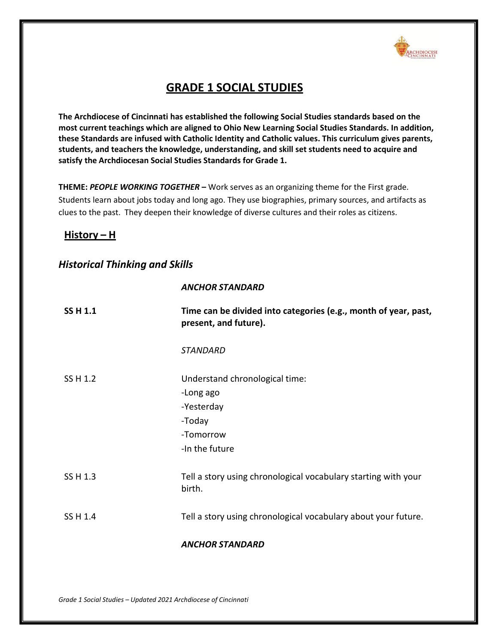

# **GRADE 1 SOCIAL STUDIES**

**The Archdiocese of Cincinnati has established the following Social Studies standards based on the most current teachings which are aligned to Ohio New Learning Social Studies Standards. In addition, these Standards are infused with Catholic Identity and Catholic values. This curriculum gives parents, students, and teachers the knowledge, understanding, and skill set students need to acquire and satisfy the Archdiocesan Social Studies Standards for Grade 1.**

**THEME:** *PEOPLE WORKING TOGETHER* **–** Work serves as an organizing theme for the First grade. Students learn about jobs today and long ago. They use biographies, primary sources, and artifacts as clues to the past. They deepen their knowledge of diverse cultures and their roles as citizens.

# **History – H**

# *Historical Thinking and Skills*

#### *ANCHOR STANDARD*

| <b>SS H 1.1</b> | Time can be divided into categories (e.g., month of year, past,<br>present, and future).           |
|-----------------|----------------------------------------------------------------------------------------------------|
|                 | <b>STANDARD</b>                                                                                    |
| SS H 1.2        | Understand chronological time:<br>-Long ago<br>-Yesterday<br>-Today<br>-Tomorrow<br>-In the future |
| SS H 1.3        | Tell a story using chronological vocabulary starting with your<br>birth.                           |
| SS H 1.4        | Tell a story using chronological vocabulary about your future.                                     |
|                 | <b>ANCHOR STANDARD</b>                                                                             |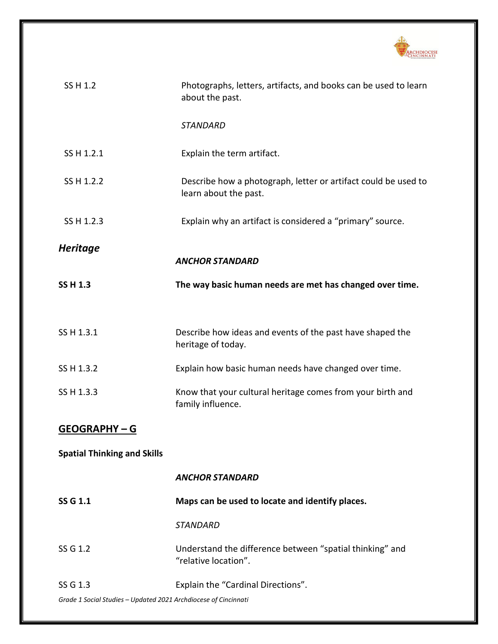

| SS H 1.2                                                        | Photographs, letters, artifacts, and books can be used to learn<br>about the past.      |
|-----------------------------------------------------------------|-----------------------------------------------------------------------------------------|
|                                                                 | <b>STANDARD</b>                                                                         |
| SS H 1.2.1                                                      | Explain the term artifact.                                                              |
| SS H 1.2.2                                                      | Describe how a photograph, letter or artifact could be used to<br>learn about the past. |
| SS H 1.2.3                                                      | Explain why an artifact is considered a "primary" source.                               |
| <b>Heritage</b>                                                 |                                                                                         |
|                                                                 | <b>ANCHOR STANDARD</b>                                                                  |
| <b>SS H 1.3</b>                                                 | The way basic human needs are met has changed over time.                                |
|                                                                 |                                                                                         |
| SS H 1.3.1                                                      | Describe how ideas and events of the past have shaped the<br>heritage of today.         |
| SS H 1.3.2                                                      | Explain how basic human needs have changed over time.                                   |
| SS H 1.3.3                                                      | Know that your cultural heritage comes from your birth and<br>family influence.         |
| <b>GEOGRAPHY-G</b>                                              |                                                                                         |
| <b>Spatial Thinking and Skills</b>                              |                                                                                         |
|                                                                 | <b>ANCHOR STANDARD</b>                                                                  |
| SS G 1.1                                                        | Maps can be used to locate and identify places.                                         |
|                                                                 | <b>STANDARD</b>                                                                         |
| SS G 1.2                                                        | Understand the difference between "spatial thinking" and<br>"relative location".        |
| SS G 1.3                                                        | Explain the "Cardinal Directions".                                                      |
| Grade 1 Social Studies - Updated 2021 Archdiocese of Cincinnati |                                                                                         |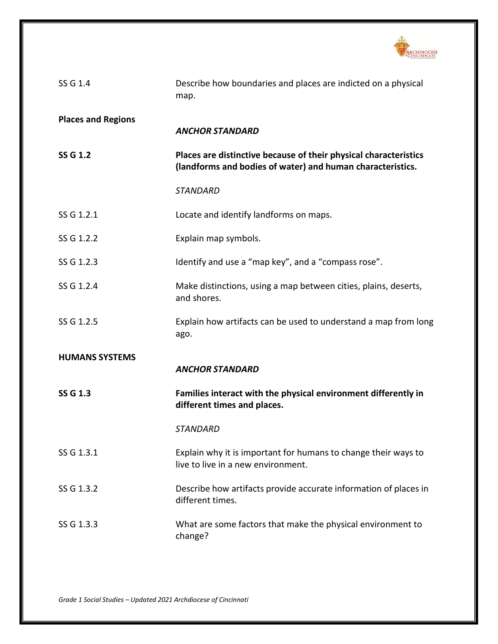

| SS G 1.4                  | Describe how boundaries and places are indicted on a physical<br>map.                                                          |
|---------------------------|--------------------------------------------------------------------------------------------------------------------------------|
| <b>Places and Regions</b> | <b>ANCHOR STANDARD</b>                                                                                                         |
| SS G 1.2                  | Places are distinctive because of their physical characteristics<br>(landforms and bodies of water) and human characteristics. |
|                           | <b>STANDARD</b>                                                                                                                |
| SS G 1.2.1                | Locate and identify landforms on maps.                                                                                         |
| SS G 1.2.2                | Explain map symbols.                                                                                                           |
| SS G 1.2.3                | Identify and use a "map key", and a "compass rose".                                                                            |
| SS G 1.2.4                | Make distinctions, using a map between cities, plains, deserts,<br>and shores.                                                 |
| SS G 1.2.5                | Explain how artifacts can be used to understand a map from long<br>ago.                                                        |
| <b>HUMANS SYSTEMS</b>     | <b>ANCHOR STANDARD</b>                                                                                                         |
| <b>SS G 1.3</b>           | Families interact with the physical environment differently in<br>different times and places.                                  |
|                           | <b>STANDARD</b>                                                                                                                |
| SS G 1.3.1                | Explain why it is important for humans to change their ways to<br>live to live in a new environment.                           |
| SS G 1.3.2                | Describe how artifacts provide accurate information of places in<br>different times.                                           |
| SS G 1.3.3                | What are some factors that make the physical environment to<br>change?                                                         |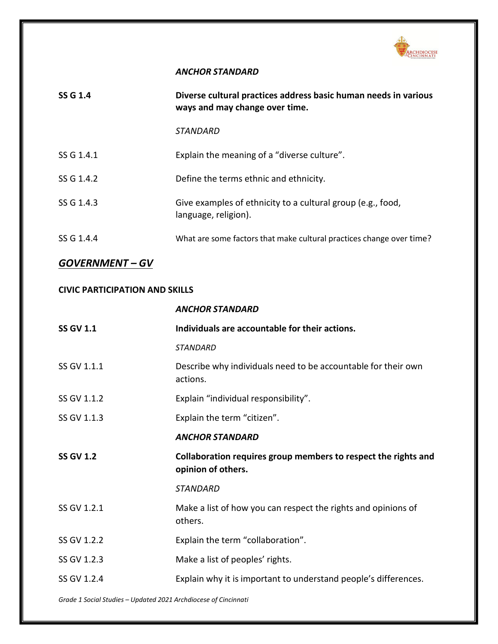

### *ANCHOR STANDARD*

| SS G 1.4   | Diverse cultural practices address basic human needs in various<br>ways and may change over time. |
|------------|---------------------------------------------------------------------------------------------------|
|            | <i><b>STANDARD</b></i>                                                                            |
| SS G 1.4.1 | Explain the meaning of a "diverse culture".                                                       |
| SS G 1.4.2 | Define the terms ethnic and ethnicity.                                                            |
| SS G 1.4.3 | Give examples of ethnicity to a cultural group (e.g., food,<br>language, religion).               |
| SS G 1.4.4 | What are some factors that make cultural practices change over time?                              |

# *GOVERNMENT – GV*

### **CIVIC PARTICIPATION AND SKILLS**

# *ANCHOR STANDARD*

| <b>SS GV 1.1</b> | Individuals are accountable for their actions.                                       |
|------------------|--------------------------------------------------------------------------------------|
|                  | <b>STANDARD</b>                                                                      |
| SS GV 1.1.1      | Describe why individuals need to be accountable for their own<br>actions.            |
| SS GV 1.1.2      | Explain "individual responsibility".                                                 |
| SS GV 1.1.3      | Explain the term "citizen".                                                          |
|                  | <b>ANCHOR STANDARD</b>                                                               |
| <b>SS GV 1.2</b> | Collaboration requires group members to respect the rights and<br>opinion of others. |
|                  | <b>STANDARD</b>                                                                      |
| SS GV 1.2.1      | Make a list of how you can respect the rights and opinions of<br>others.             |
| SS GV 1.2.2      | Explain the term "collaboration".                                                    |
| SS GV 1.2.3      | Make a list of peoples' rights.                                                      |
| SS GV 1.2.4      | Explain why it is important to understand people's differences.                      |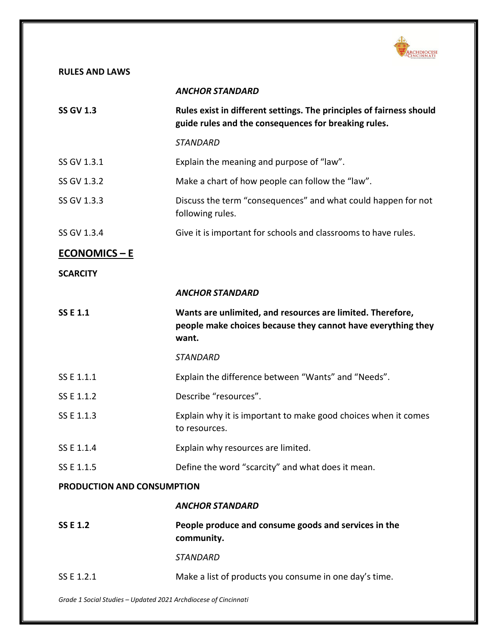

# **RULES AND LAWS**

|                                                                 | <b>ANCHOR STANDARD</b>                                                                                                              |
|-----------------------------------------------------------------|-------------------------------------------------------------------------------------------------------------------------------------|
| <b>SS GV 1.3</b>                                                | Rules exist in different settings. The principles of fairness should<br>guide rules and the consequences for breaking rules.        |
|                                                                 | <b>STANDARD</b>                                                                                                                     |
| SS GV 1.3.1                                                     | Explain the meaning and purpose of "law".                                                                                           |
| SS GV 1.3.2                                                     | Make a chart of how people can follow the "law".                                                                                    |
| SS GV 1.3.3                                                     | Discuss the term "consequences" and what could happen for not<br>following rules.                                                   |
| SS GV 1.3.4                                                     | Give it is important for schools and classrooms to have rules.                                                                      |
| <b>ECONOMICS – E</b>                                            |                                                                                                                                     |
| <b>SCARCITY</b>                                                 |                                                                                                                                     |
|                                                                 | <b>ANCHOR STANDARD</b>                                                                                                              |
| <b>SSE1.1</b>                                                   | Wants are unlimited, and resources are limited. Therefore,<br>people make choices because they cannot have everything they<br>want. |
|                                                                 | <b>STANDARD</b>                                                                                                                     |
| SS E 1.1.1                                                      | Explain the difference between "Wants" and "Needs".                                                                                 |
| SS E 1.1.2                                                      | Describe "resources".                                                                                                               |
| SS E 1.1.3                                                      | Explain why it is important to make good choices when it comes<br>to resources.                                                     |
| SS E 1.1.4                                                      | Explain why resources are limited.                                                                                                  |
| SS E 1.1.5                                                      | Define the word "scarcity" and what does it mean.                                                                                   |
| <b>PRODUCTION AND CONSUMPTION</b>                               |                                                                                                                                     |
|                                                                 | <b>ANCHOR STANDARD</b>                                                                                                              |
| <b>SSE 1.2</b>                                                  | People produce and consume goods and services in the<br>community.                                                                  |
|                                                                 | <b>STANDARD</b>                                                                                                                     |
| SS E 1.2.1                                                      | Make a list of products you consume in one day's time.                                                                              |
| Grade 1 Social Studies - Updated 2021 Archdiocese of Cincinnati |                                                                                                                                     |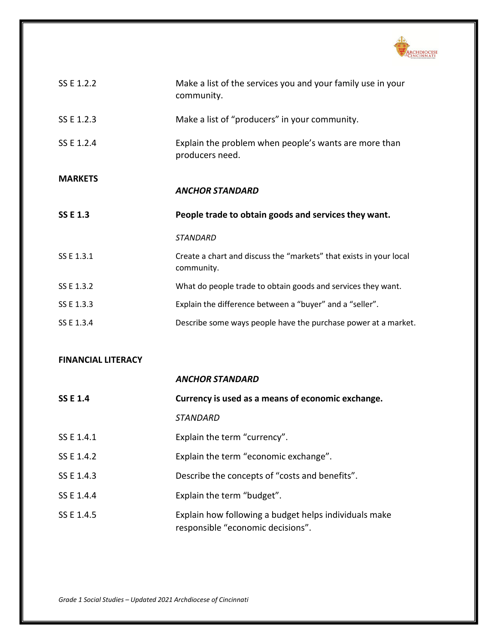

| SS E 1.2.2      | Make a list of the services you and your family use in your<br>community.        |
|-----------------|----------------------------------------------------------------------------------|
| SS E 1.2.3      | Make a list of "producers" in your community.                                    |
| SS E 1.2.4      | Explain the problem when people's wants are more than<br>producers need.         |
| <b>MARKETS</b>  |                                                                                  |
|                 | <b>ANCHOR STANDARD</b>                                                           |
|                 |                                                                                  |
| <b>SS E 1.3</b> | People trade to obtain goods and services they want.                             |
|                 | <b>STANDARD</b>                                                                  |
| SS E 1.3.1      | Create a chart and discuss the "markets" that exists in your local<br>community. |
| SS E 1.3.2      | What do people trade to obtain goods and services they want.                     |
| SS E 1.3.3      | Explain the difference between a "buyer" and a "seller".                         |

# **FINANCIAL LITERACY**

|                 | <b>ANCHOR STANDARD</b>                                                                     |
|-----------------|--------------------------------------------------------------------------------------------|
| <b>SS E 1.4</b> | Currency is used as a means of economic exchange.                                          |
|                 | STANDARD                                                                                   |
| SS E 1.4.1      | Explain the term "currency".                                                               |
| SS E 1.4.2      | Explain the term "economic exchange".                                                      |
| SS E 1.4.3      | Describe the concepts of "costs and benefits".                                             |
| SS E 1.4.4      | Explain the term "budget".                                                                 |
| SS E 1.4.5      | Explain how following a budget helps individuals make<br>responsible "economic decisions". |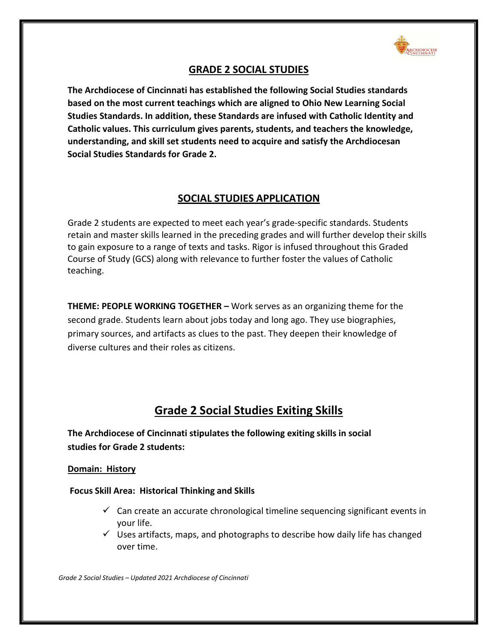

# **GRADE 2 SOCIAL STUDIES**

**The Archdiocese of Cincinnati has established the following Social Studies standards based on the most current teachings which are aligned to Ohio New Learning Social Studies Standards. In addition, these Standards are infused with Catholic Identity and Catholic values. This curriculum gives parents, students, and teachers the knowledge, understanding, and skill set students need to acquire and satisfy the Archdiocesan Social Studies Standards for Grade 2.**

# **SOCIAL STUDIES APPLICATION**

Grade 2 students are expected to meet each year's grade-specific standards. Students retain and master skills learned in the preceding grades and will further develop their skills to gain exposure to a range of texts and tasks. Rigor is infused throughout this Graded Course of Study (GCS) along with relevance to further foster the values of Catholic teaching.

**THEME: PEOPLE WORKING TOGETHER –** Work serves as an organizing theme for the second grade. Students learn about jobs today and long ago. They use biographies, primary sources, and artifacts as clues to the past. They deepen their knowledge of diverse cultures and their roles as citizens.

# **Grade 2 Social Studies Exiting Skills**

**The Archdiocese of Cincinnati stipulates the following exiting skills in social studies for Grade 2 students:**

# **Domain: History**

# **Focus Skill Area: Historical Thinking and Skills**

- $\checkmark$  Can create an accurate chronological timeline sequencing significant events in your life.
- $\checkmark$  Uses artifacts, maps, and photographs to describe how daily life has changed over time.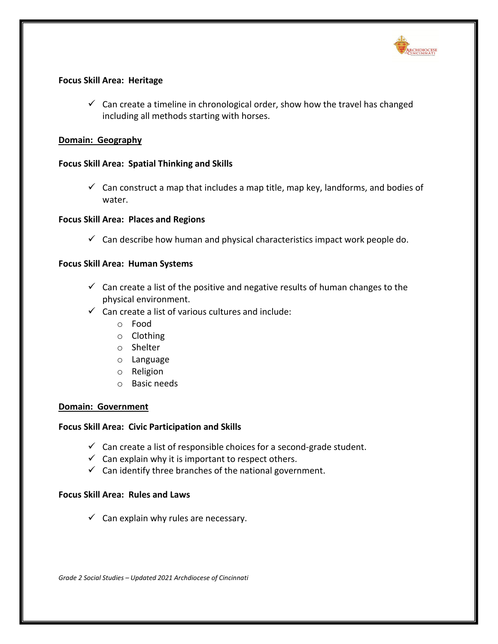

### **Focus Skill Area: Heritage**

 $\checkmark$  Can create a timeline in chronological order, show how the travel has changed including all methods starting with horses.

#### **Domain: Geography**

### **Focus Skill Area: Spatial Thinking and Skills**

 $\checkmark$  Can construct a map that includes a map title, map key, landforms, and bodies of water.

### **Focus Skill Area: Places and Regions**

 $\checkmark$  Can describe how human and physical characteristics impact work people do.

### **Focus Skill Area: Human Systems**

- $\checkmark$  Can create a list of the positive and negative results of human changes to the physical environment.
- $\checkmark$  Can create a list of various cultures and include:
	- o Food
	- o Clothing
	- o Shelter
	- o Language
	- o Religion
	- o Basic needs

#### **Domain: Government**

#### **Focus Skill Area: Civic Participation and Skills**

- $\checkmark$  Can create a list of responsible choices for a second-grade student.
- $\checkmark$  Can explain why it is important to respect others.
- $\checkmark$  Can identify three branches of the national government.

#### **Focus Skill Area: Rules and Laws**

 $\checkmark$  Can explain why rules are necessary.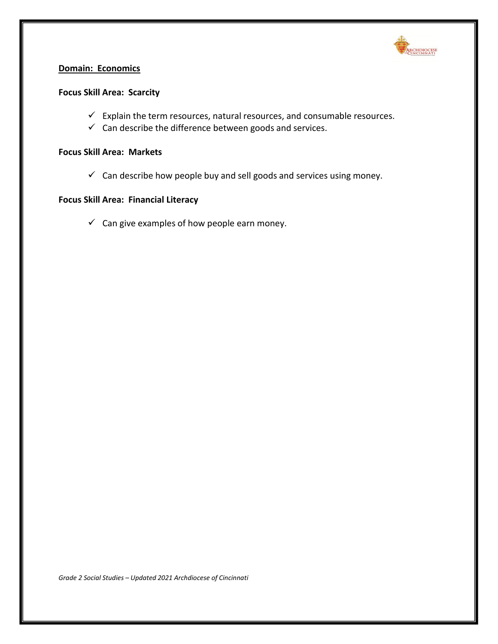

# **Domain: Economics**

#### **Focus Skill Area: Scarcity**

- $\checkmark$  Explain the term resources, natural resources, and consumable resources.
- $\checkmark$  Can describe the difference between goods and services.

### **Focus Skill Area: Markets**

 $\checkmark$  Can describe how people buy and sell goods and services using money.

# **Focus Skill Area: Financial Literacy**

 $\checkmark$  Can give examples of how people earn money.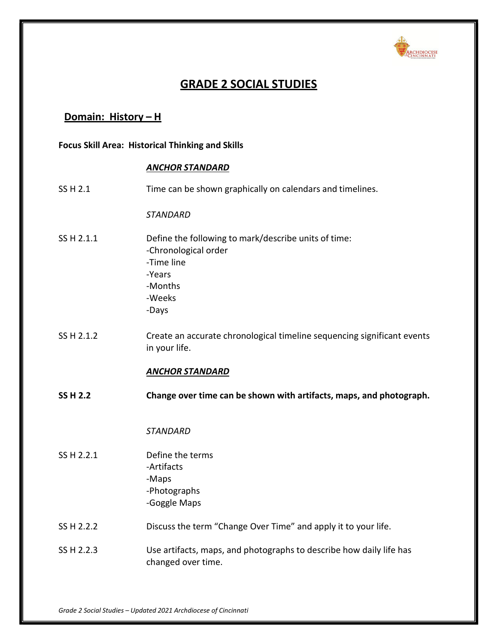

# **GRADE 2 SOCIAL STUDIES**

# **Domain: History – H**

**Focus Skill Area: Historical Thinking and Skills**

### *ANCHOR STANDARD*

SS H 2.1 Time can be shown graphically on calendars and timelines.

*STANDARD*

- SS H 2.1.1 Define the following to mark/describe units of time: -Chronological order -Time line -Years -Months -Weeks -Days
- SS H 2.1.2 Create an accurate chronological timeline sequencing significant events in your life.

# *ANCHOR STANDARD*

**SS H 2.2 Change over time can be shown with artifacts, maps, and photograph.**

#### *STANDARD*

- SS H 2.2.1 Define the terms -Artifacts -Maps -Photographs -Goggle Maps
- SS H 2.2.2 Discuss the term "Change Over Time" and apply it to your life.
- SS H 2.2.3 Use artifacts, maps, and photographs to describe how daily life has changed over time.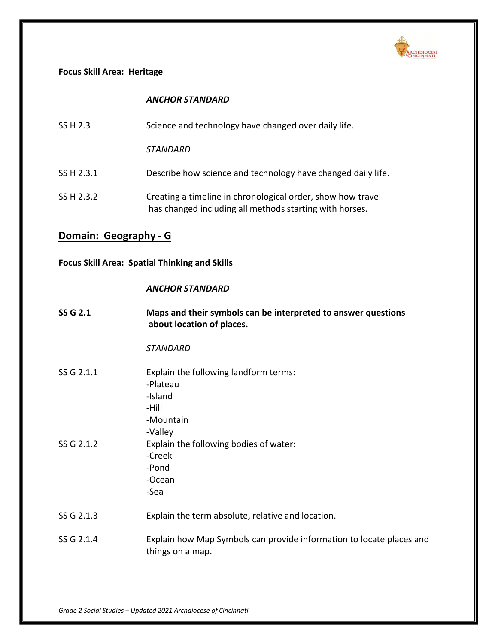

### **Focus Skill Area: Heritage**

### *ANCHOR STANDARD*

| SS H 2.3   | Science and technology have changed over daily life.                                                                   |
|------------|------------------------------------------------------------------------------------------------------------------------|
|            | STANDARD                                                                                                               |
| SS H 2.3.1 | Describe how science and technology have changed daily life.                                                           |
| SS H 2.3.2 | Creating a timeline in chronological order, show how travel<br>has changed including all methods starting with horses. |

# **Domain: Geography - G**

# **Focus Skill Area: Spatial Thinking and Skills**

### *ANCHOR STANDARD*

| <b>SS G 2.1</b> | Maps and their symbols can be interpreted to answer questions<br>about location of places.    |
|-----------------|-----------------------------------------------------------------------------------------------|
|                 | <b>STANDARD</b>                                                                               |
| SS G 2.1.1      | Explain the following landform terms:<br>-Plateau<br>-Island<br>-Hill<br>-Mountain<br>-Valley |
| SS G 2.1.2      | Explain the following bodies of water:<br>-Creek<br>-Pond<br>-Ocean<br>-Sea                   |
| SS G 2.1.3      | Explain the term absolute, relative and location.                                             |
| SS G 2.1.4      | Explain how Map Symbols can provide information to locate places and<br>things on a map.      |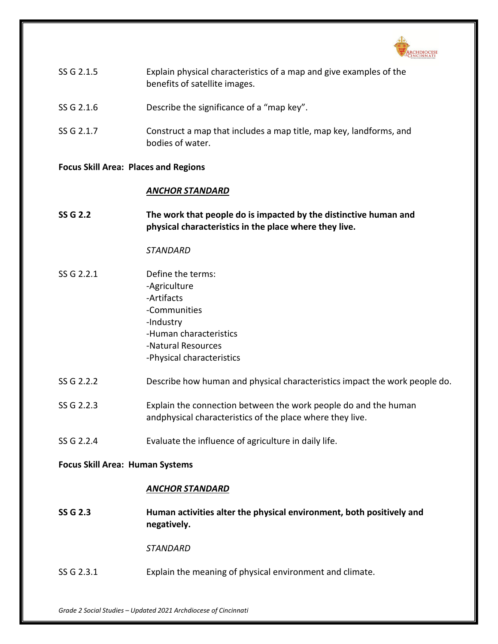

| SS G 2.1.5 | Explain physical characteristics of a map and give examples of the |
|------------|--------------------------------------------------------------------|
|            | benefits of satellite images.                                      |

- SS G 2.1.6 Describe the significance of a "map key".
- SS G 2.1.7 Construct a map that includes a map title, map key, landforms, and bodies of water.

#### **Focus Skill Area: Places and Regions**

#### *ANCHOR STANDARD*

**SS G 2.2 The work that people do is impacted by the distinctive human and physical characteristics in the place where they live.**

#### *STANDARD*

- SS G 2.2.1 Define the terms: -Agriculture -Artifacts -Communities -Industry -Human characteristics -Natural Resources -Physical characteristics
- SS G 2.2.2 Describe how human and physical characteristics impact the work people do.
- SS G 2.2.3 Explain the connection between the work people do and the human andphysical characteristics of the place where they live.
- SS G 2.2.4 Evaluate the influence of agriculture in daily life.

#### **Focus Skill Area: Human Systems**

#### *ANCHOR STANDARD*

**SS G 2.3 Human activities alter the physical environment, both positively and negatively.**

*STANDARD*

SS G 2.3.1 Explain the meaning of physical environment and climate.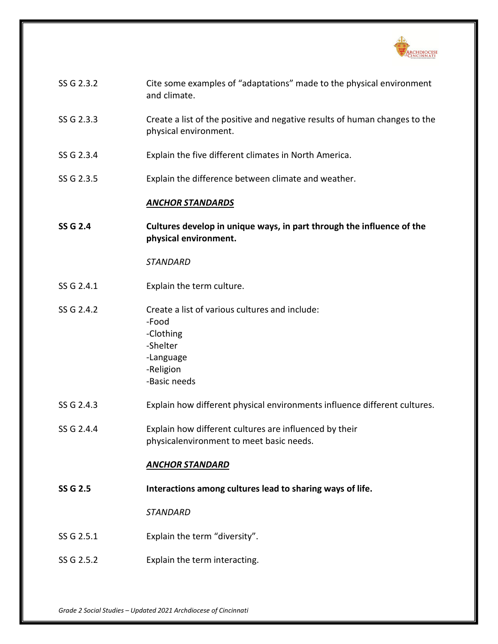

| SS G 2.3.2      | Cite some examples of "adaptations" made to the physical environment<br>and climate.                                       |
|-----------------|----------------------------------------------------------------------------------------------------------------------------|
| SS G 2.3.3      | Create a list of the positive and negative results of human changes to the<br>physical environment.                        |
| SS G 2.3.4      | Explain the five different climates in North America.                                                                      |
| SS G 2.3.5      | Explain the difference between climate and weather.                                                                        |
|                 | <b>ANCHOR STANDARDS</b>                                                                                                    |
| <b>SS G 2.4</b> | Cultures develop in unique ways, in part through the influence of the<br>physical environment.                             |
|                 | <b>STANDARD</b>                                                                                                            |
| SS G 2.4.1      | Explain the term culture.                                                                                                  |
| SS G 2.4.2      | Create a list of various cultures and include:<br>-Food<br>-Clothing<br>-Shelter<br>-Language<br>-Religion<br>-Basic needs |
| SS G 2.4.3      | Explain how different physical environments influence different cultures.                                                  |
| SS G 2.4.4      | Explain how different cultures are influenced by their<br>physicalenvironment to meet basic needs.                         |
|                 | <u>ANCHOR STANDARD</u>                                                                                                     |
| <b>SS G 2.5</b> | Interactions among cultures lead to sharing ways of life.                                                                  |
|                 | <b>STANDARD</b>                                                                                                            |
| SS G 2.5.1      | Explain the term "diversity".                                                                                              |
| SS G 2.5.2      | Explain the term interacting.                                                                                              |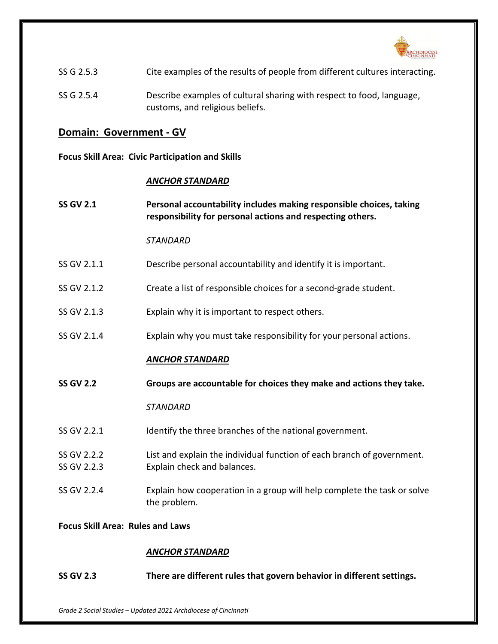

| SS G 2.5.3 | Cite examples of the results of people from different cultures interacting.                              |
|------------|----------------------------------------------------------------------------------------------------------|
| SS G 2.5.4 | Describe examples of cultural sharing with respect to food, language,<br>customs, and religious beliefs. |

# **Domain: Government - GV**

**Focus Skill Area: Civic Participation and Skills**

# *ANCHOR STANDARD*

| <b>SS GV 2.1</b>           | Personal accountability includes making responsible choices, taking<br>responsibility for personal actions and respecting others. |
|----------------------------|-----------------------------------------------------------------------------------------------------------------------------------|
|                            | <b>STANDARD</b>                                                                                                                   |
| SS GV 2.1.1                | Describe personal accountability and identify it is important.                                                                    |
| SS GV 2.1.2                | Create a list of responsible choices for a second-grade student.                                                                  |
| SS GV 2.1.3                | Explain why it is important to respect others.                                                                                    |
| SS GV 2.1.4                | Explain why you must take responsibility for your personal actions.                                                               |
|                            | <b>ANCHOR STANDARD</b>                                                                                                            |
| <b>SS GV 2.2</b>           | Groups are accountable for choices they make and actions they take.                                                               |
|                            | <b>STANDARD</b>                                                                                                                   |
| SS GV 2.2.1                | Identify the three branches of the national government.                                                                           |
| SS GV 2.2.2<br>SS GV 2.2.3 | List and explain the individual function of each branch of government.<br>Explain check and balances.                             |
| SS GV 2.2.4                | Explain how cooperation in a group will help complete the task or solve<br>the problem.                                           |
|                            |                                                                                                                                   |

# *ANCHOR STANDARD*

**SS GV 2.3 There are different rules that govern behavior in different settings.**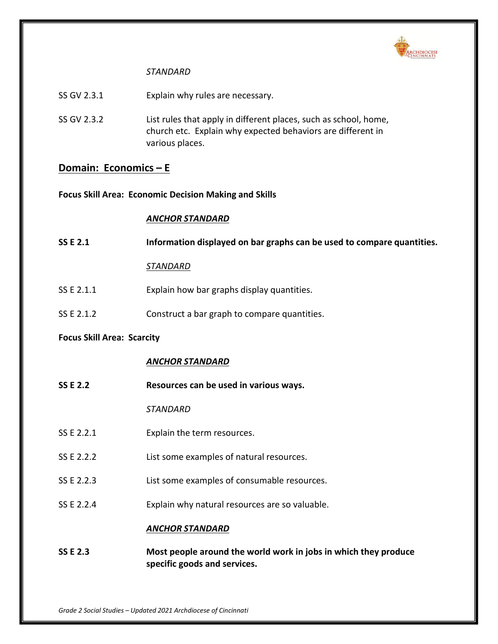

# *STANDARD*

- SS GV 2.3.1 Explain why rules are necessary.
- SS GV 2.3.2 List rules that apply in different places, such as school, home, church etc. Explain why expected behaviors are different in various places.

# **Domain: Economics – E**

**Focus Skill Area: Economic Decision Making and Skills**

# *ANCHOR STANDARD*

| <b>SS E 2.1</b>                   | Information displayed on bar graphs can be used to compare quantities.                          |  |
|-----------------------------------|-------------------------------------------------------------------------------------------------|--|
|                                   | <u>STANDARD</u>                                                                                 |  |
| SS E 2.1.1                        | Explain how bar graphs display quantities.                                                      |  |
| SS E 2.1.2                        | Construct a bar graph to compare quantities.                                                    |  |
| <b>Focus Skill Area: Scarcity</b> |                                                                                                 |  |
|                                   | <b>ANCHOR STANDARD</b>                                                                          |  |
| <b>SS E 2.2</b>                   | Resources can be used in various ways.                                                          |  |
|                                   | <b>STANDARD</b>                                                                                 |  |
| SS E 2.2.1                        | Explain the term resources.                                                                     |  |
| SS E 2.2.2                        | List some examples of natural resources.                                                        |  |
| SS E 2.2.3                        | List some examples of consumable resources.                                                     |  |
| SS E 2.2.4                        | Explain why natural resources are so valuable.                                                  |  |
|                                   | <b>ANCHOR STANDARD</b>                                                                          |  |
| <b>SS E 2.3</b>                   | Most people around the world work in jobs in which they produce<br>specific goods and services. |  |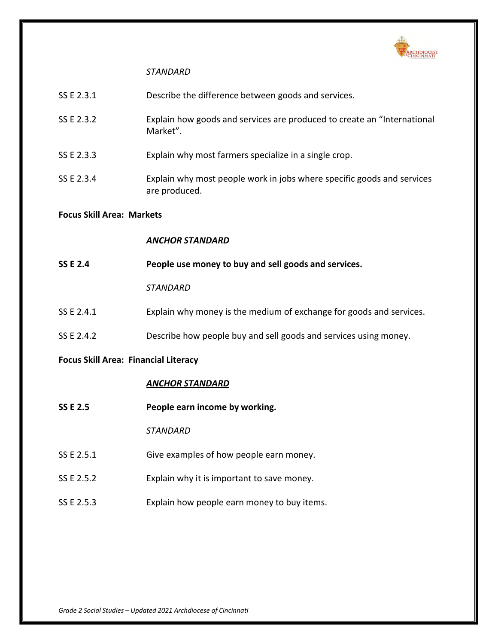

# *STANDARD*

| SS E 2.3.1                       | Describe the difference between goods and services.                                     |  |
|----------------------------------|-----------------------------------------------------------------------------------------|--|
| SS E 2.3.2                       | Explain how goods and services are produced to create an "International<br>Market".     |  |
| SS E 2.3.3                       | Explain why most farmers specialize in a single crop.                                   |  |
| SS E 2.3.4                       | Explain why most people work in jobs where specific goods and services<br>are produced. |  |
| <b>Focus Skill Area: Markets</b> |                                                                                         |  |
|                                  |                                                                                         |  |
|                                  | <b>ANCHOR STANDARD</b>                                                                  |  |
| <b>SS E 2.4</b>                  | People use money to buy and sell goods and services.                                    |  |
|                                  | STANDARD                                                                                |  |

SS E 2.4.2 Describe how people buy and sell goods and services using money.

# **Focus Skill Area: Financial Literacy**

# *ANCHOR STANDARD*

**SS E 2.5 People earn income by working.**

*STANDARD*

- SS E 2.5.1 Give examples of how people earn money.
- SS E 2.5.2 Explain why it is important to save money.
- SS E 2.5.3 Explain how people earn money to buy items.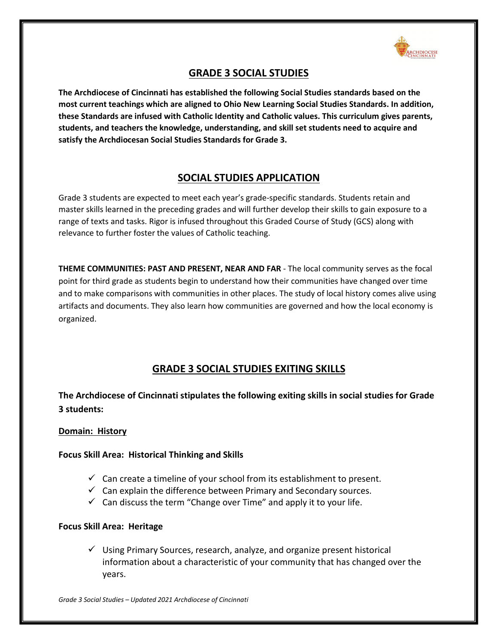

# **GRADE 3 SOCIAL STUDIES**

**The Archdiocese of Cincinnati has established the following Social Studies standards based on the most current teachings which are aligned to Ohio New Learning Social Studies Standards. In addition, these Standards are infused with Catholic Identity and Catholic values. This curriculum gives parents, students, and teachers the knowledge, understanding, and skill set students need to acquire and satisfy the Archdiocesan Social Studies Standards for Grade 3.**

# **SOCIAL STUDIES APPLICATION**

Grade 3 students are expected to meet each year's grade-specific standards. Students retain and master skills learned in the preceding grades and will further develop their skills to gain exposure to a range of texts and tasks. Rigor is infused throughout this Graded Course of Study (GCS) along with relevance to further foster the values of Catholic teaching.

**THEME COMMUNITIES: PAST AND PRESENT, NEAR AND FAR** - The local community serves as the focal point for third grade as students begin to understand how their communities have changed over time and to make comparisons with communities in other places. The study of local history comes alive using artifacts and documents. They also learn how communities are governed and how the local economy is organized.

# **GRADE 3 SOCIAL STUDIES EXITING SKILLS**

**The Archdiocese of Cincinnati stipulates the following exiting skills in social studies for Grade 3 students:**

# **Domain: History**

# **Focus Skill Area: Historical Thinking and Skills**

- $\checkmark$  Can create a timeline of your school from its establishment to present.
- $\checkmark$  Can explain the difference between Primary and Secondary sources.
- $\checkmark$  Can discuss the term "Change over Time" and apply it to your life.

# **Focus Skill Area: Heritage**

 $\checkmark$  Using Primary Sources, research, analyze, and organize present historical information about a characteristic of your community that has changed over the years.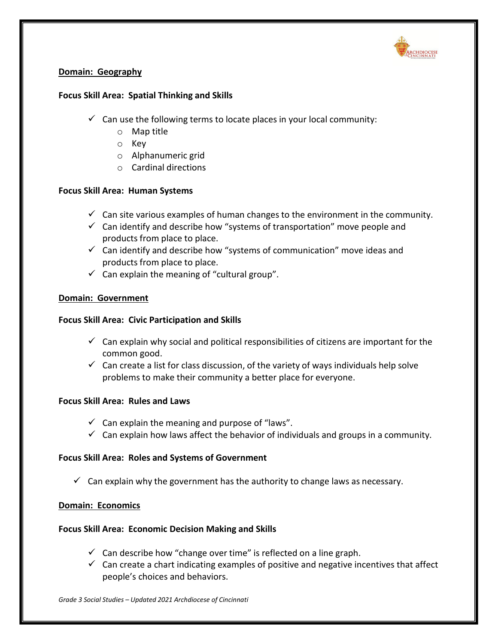

# **Domain: Geography**

# **Focus Skill Area: Spatial Thinking and Skills**

- $\checkmark$  Can use the following terms to locate places in your local community:
	- o Map title
	- o Key
	- o Alphanumeric grid
	- o Cardinal directions

# **Focus Skill Area: Human Systems**

- $\checkmark$  Can site various examples of human changes to the environment in the community.
- $\checkmark$  Can identify and describe how "systems of transportation" move people and products from place to place.
- $\checkmark$  Can identify and describe how "systems of communication" move ideas and products from place to place.
- $\checkmark$  Can explain the meaning of "cultural group".

# **Domain: Government**

# **Focus Skill Area: Civic Participation and Skills**

- $\checkmark$  Can explain why social and political responsibilities of citizens are important for the common good.
- $\checkmark$  Can create a list for class discussion, of the variety of ways individuals help solve problems to make their community a better place for everyone.

# **Focus Skill Area: Rules and Laws**

- $\checkmark$  Can explain the meaning and purpose of "laws".
- $\checkmark$  Can explain how laws affect the behavior of individuals and groups in a community.

# **Focus Skill Area: Roles and Systems of Government**

 $\checkmark$  Can explain why the government has the authority to change laws as necessary.

# **Domain: Economics**

# **Focus Skill Area: Economic Decision Making and Skills**

- $\checkmark$  Can describe how "change over time" is reflected on a line graph.
- $\checkmark$  Can create a chart indicating examples of positive and negative incentives that affect people's choices and behaviors.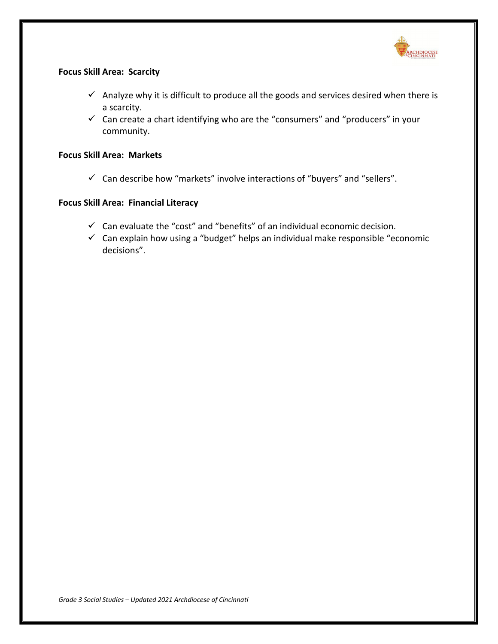

# **Focus Skill Area: Scarcity**

- $\checkmark$  Analyze why it is difficult to produce all the goods and services desired when there is a scarcity.
- $\checkmark$  Can create a chart identifying who are the "consumers" and "producers" in your community.

# **Focus Skill Area: Markets**

 $\checkmark$  Can describe how "markets" involve interactions of "buyers" and "sellers".

# **Focus Skill Area: Financial Literacy**

- $\checkmark$  Can evaluate the "cost" and "benefits" of an individual economic decision.
- $\checkmark$  Can explain how using a "budget" helps an individual make responsible "economic decisions".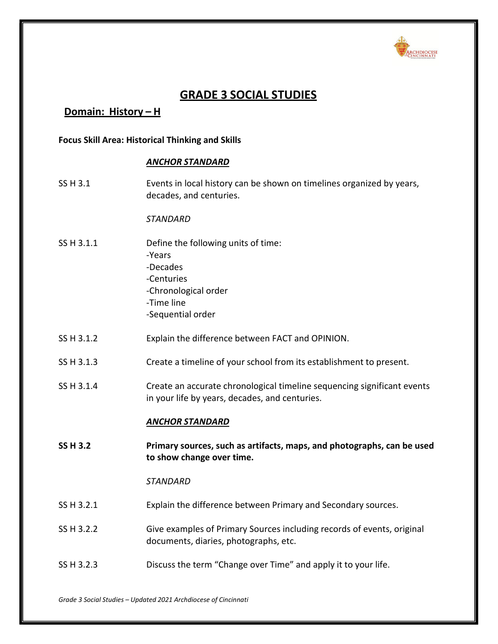

# **GRADE 3 SOCIAL STUDIES**

# **Domain: History – H**

## **Focus Skill Area: Historical Thinking and Skills**

#### *ANCHOR STANDARD*

SS H 3.1 Events in local history can be shown on timelines organized by years, decades, and centuries.

*STANDARD*

- SS H 3.1.1 Define the following units of time: -Years -Decades -Centuries
	- -Chronological order
	- -Time line
	- -Sequential order
- SS H 3.1.2 Explain the difference between FACT and OPINION.
- SS H 3.1.3 Create a timeline of your school from its establishment to present.
- SS H 3.1.4 Create an accurate chronological timeline sequencing significant events in your life by years, decades, and centuries.

# *ANCHOR STANDARD*

**SS H 3.2 Primary sources, such as artifacts, maps, and photographs, can be used to show change over time.**

- SS H 3.2.1 Explain the difference between Primary and Secondary sources.
- SS H 3.2.2 Give examples of Primary Sources including records of events, original documents, diaries, photographs, etc.
- SS H 3.2.3 Discuss the term "Change over Time" and apply it to your life.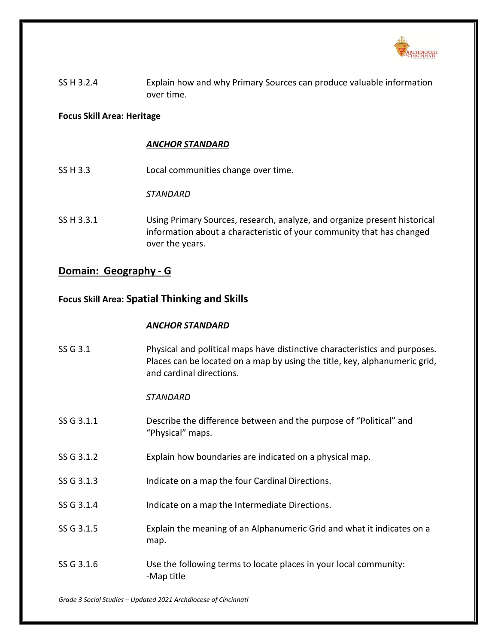

SS H 3.2.4 Explain how and why Primary Sources can produce valuable information over time.

# **Focus Skill Area: Heritage**

# *ANCHOR STANDARD*

SS H 3.3 Local communities change over time.

*STANDARD*

SS H 3.3.1 Using Primary Sources, research, analyze, and organize present historical information about a characteristic of your community that has changed over the years.

# **Domain: Geography - G**

# **Focus Skill Area: Spatial Thinking and Skills**

# *ANCHOR STANDARD*

SS G 3.1 Physical and political maps have distinctive characteristics and purposes. Places can be located on a map by using the title, key, alphanumeric grid, and cardinal directions. *STANDARD* SS G 3.1.1 Describe the difference between and the purpose of "Political" and "Physical" maps. SS G 3.1.2 Explain how boundaries are indicated on a physical map. SS G 3.1.3 Indicate on a map the four Cardinal Directions. SS G 3.1.4 Indicate on a map the Intermediate Directions. SS G 3.1.5 Explain the meaning of an Alphanumeric Grid and what it indicates on a map. SS G 3.1.6 Use the following terms to locate places in your local community: -Map title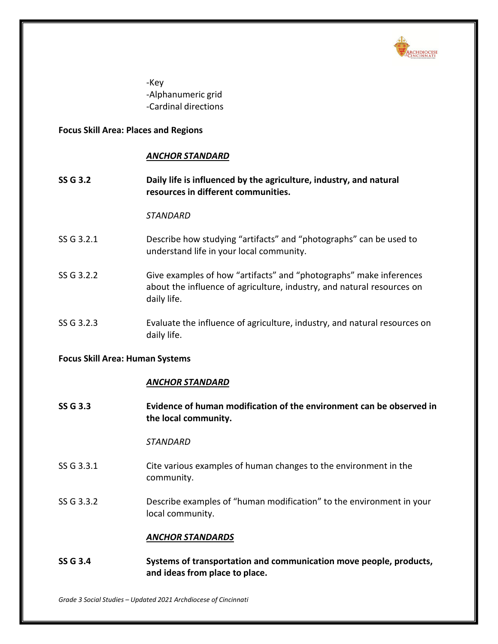

-Key -Alphanumeric grid -Cardinal directions

## **Focus Skill Area: Places and Regions**

## *ANCHOR STANDARD*

**SS G 3.2 Daily life is influenced by the agriculture, industry, and natural resources in different communities.**

### *STANDARD*

- SS G 3.2.1 Describe how studying "artifacts" and "photographs" can be used to understand life in your local community.
- SS G 3.2.2 Give examples of how "artifacts" and "photographs" make inferences about the influence of agriculture, industry, and natural resources on daily life.
- SS G 3.2.3 Evaluate the influence of agriculture, industry, and natural resources on daily life.

### **Focus Skill Area: Human Systems**

### *ANCHOR STANDARD*

**SS G 3.3 Evidence of human modification of the environment can be observed in the local community.**

### *STANDARD*

- SS G 3.3.1 Cite various examples of human changes to the environment in the community.
- SS G 3.3.2 Describe examples of "human modification" to the environment in your local community.

#### *ANCHOR STANDARDS*

**SS G 3.4 Systems of transportation and communication move people, products, and ideas from place to place.**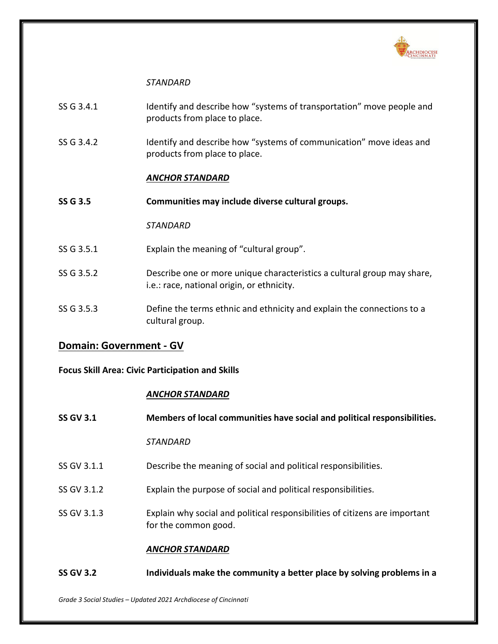

## *STANDARD*

- SS G 3.4.1 Identify and describe how "systems of transportation" move people and products from place to place.
- SS G 3.4.2 Identify and describe how "systems of communication" move ideas and products from place to place.

# *ANCHOR STANDARD*

**SS G 3.5 Communities may include diverse cultural groups.**

# *STANDARD*

- SS G 3.5.1 Explain the meaning of "cultural group".
- SS G 3.5.2 Describe one or more unique characteristics a cultural group may share, i.e.: race, national origin, or ethnicity.
- SS G 3.5.3 Define the terms ethnic and ethnicity and explain the connections to a cultural group.

# **Domain: Government - GV**

# **Focus Skill Area: Civic Participation and Skills**

### *ANCHOR STANDARD*

| <b>SS GV 3.1</b> | Members of local communities have social and political responsibilities.                            |
|------------------|-----------------------------------------------------------------------------------------------------|
|                  | <b>STANDARD</b>                                                                                     |
| SS GV 3.1.1      | Describe the meaning of social and political responsibilities.                                      |
| SS GV 3.1.2      | Explain the purpose of social and political responsibilities.                                       |
| SS GV 3.1.3      | Explain why social and political responsibilities of citizens are important<br>for the common good. |
|                  | <b>ANCHOR STANDARD</b>                                                                              |
| <b>SS GV 3.2</b> | Individuals make the community a better place by solving problems in a                              |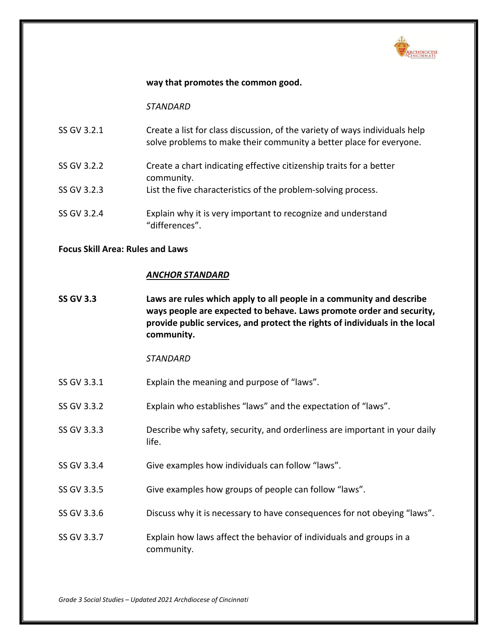

### **way that promotes the common good.**

*STANDARD*

| SS GV 3.2.1 | Create a list for class discussion, of the variety of ways individuals help<br>solve problems to make their community a better place for everyone. |
|-------------|----------------------------------------------------------------------------------------------------------------------------------------------------|
| SS GV 3.2.2 | Create a chart indicating effective citizenship traits for a better<br>community.                                                                  |
| SS GV 3.2.3 | List the five characteristics of the problem-solving process.                                                                                      |
| SS GV 3.2.4 | Explain why it is very important to recognize and understand<br>"differences".                                                                     |

### **Focus Skill Area: Rules and Laws**

### *ANCHOR STANDARD*

**SS GV 3.3 Laws are rules which apply to all people in a community and describe ways people are expected to behave. Laws promote order and security, provide public services, and protect the rights of individuals in the local community.**

- SS GV 3.3.1 Explain the meaning and purpose of "laws".
- SS GV 3.3.2 Explain who establishes "laws" and the expectation of "laws".
- SS GV 3.3.3 Describe why safety, security, and orderliness are important in your daily life.
- SS GV 3.3.4 Give examples how individuals can follow "laws".
- SS GV 3.3.5 Give examples how groups of people can follow "laws".
- SS GV 3.3.6 Discuss why it is necessary to have consequences for not obeying "laws".
- SS GV 3.3.7 Explain how laws affect the behavior of individuals and groups in a community.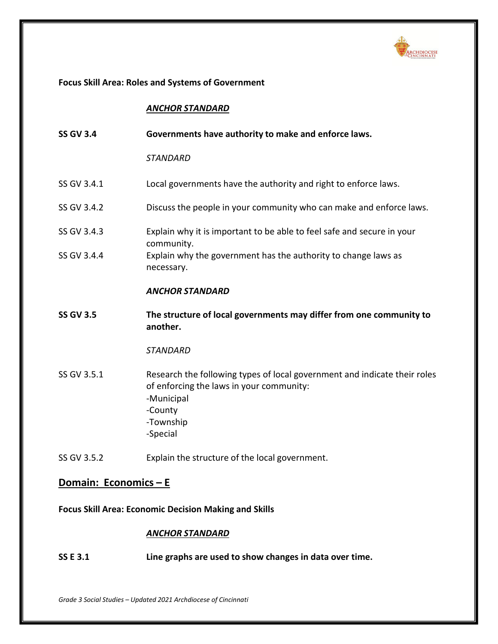

# **Focus Skill Area: Roles and Systems of Government**

# *ANCHOR STANDARD*

| <b>SS GV 3.4</b> | Governments have authority to make and enforce laws.                                                                                                                    |
|------------------|-------------------------------------------------------------------------------------------------------------------------------------------------------------------------|
|                  | <b>STANDARD</b>                                                                                                                                                         |
| SS GV 3.4.1      | Local governments have the authority and right to enforce laws.                                                                                                         |
| SS GV 3.4.2      | Discuss the people in your community who can make and enforce laws.                                                                                                     |
| SS GV 3.4.3      | Explain why it is important to be able to feel safe and secure in your<br>community.                                                                                    |
| SS GV 3.4.4      | Explain why the government has the authority to change laws as<br>necessary.                                                                                            |
|                  | <b>ANCHOR STANDARD</b>                                                                                                                                                  |
| <b>SS GV 3.5</b> | The structure of local governments may differ from one community to                                                                                                     |
|                  | another.                                                                                                                                                                |
|                  | <b>STANDARD</b>                                                                                                                                                         |
| SS GV 3.5.1      | Research the following types of local government and indicate their roles<br>of enforcing the laws in your community:<br>-Municipal<br>-County<br>-Township<br>-Special |

# **Domain: Economics – E**

**Focus Skill Area: Economic Decision Making and Skills**

# *ANCHOR STANDARD*

**SS E 3.1 Line graphs are used to show changes in data over time.**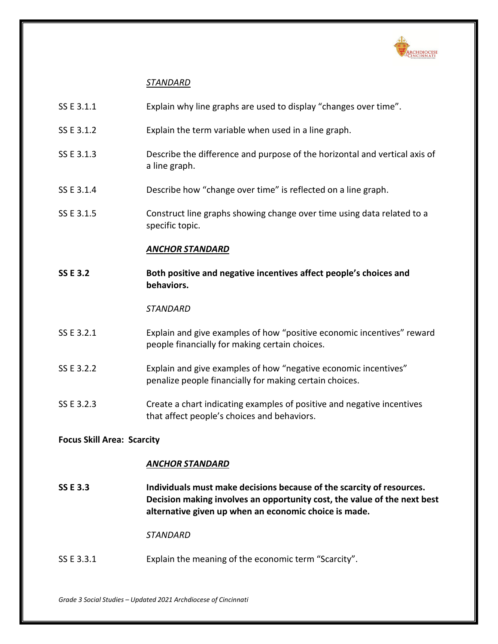

# *STANDARD*

| SS E 3.1.1                        | Explain why line graphs are used to display "changes over time".                                                                                                                                           |  |
|-----------------------------------|------------------------------------------------------------------------------------------------------------------------------------------------------------------------------------------------------------|--|
| SS E 3.1.2                        | Explain the term variable when used in a line graph.                                                                                                                                                       |  |
| SS E 3.1.3                        | Describe the difference and purpose of the horizontal and vertical axis of<br>a line graph.                                                                                                                |  |
| SS E 3.1.4                        | Describe how "change over time" is reflected on a line graph.                                                                                                                                              |  |
| SS E 3.1.5                        | Construct line graphs showing change over time using data related to a<br>specific topic.                                                                                                                  |  |
|                                   | <b>ANCHOR STANDARD</b>                                                                                                                                                                                     |  |
| <b>SS E 3.2</b>                   | Both positive and negative incentives affect people's choices and<br>behaviors.                                                                                                                            |  |
|                                   | <b>STANDARD</b>                                                                                                                                                                                            |  |
| SS E 3.2.1                        | Explain and give examples of how "positive economic incentives" reward<br>people financially for making certain choices.                                                                                   |  |
| SS E 3.2.2                        | Explain and give examples of how "negative economic incentives"<br>penalize people financially for making certain choices.                                                                                 |  |
| SS E 3.2.3                        | Create a chart indicating examples of positive and negative incentives<br>that affect people's choices and behaviors.                                                                                      |  |
| <b>Focus Skill Area: Scarcity</b> |                                                                                                                                                                                                            |  |
|                                   | <b>ANCHOR STANDARD</b>                                                                                                                                                                                     |  |
| <b>SS E 3.3</b>                   | Individuals must make decisions because of the scarcity of resources.<br>Decision making involves an opportunity cost, the value of the next best<br>alternative given up when an economic choice is made. |  |
|                                   | <b>STANDARD</b>                                                                                                                                                                                            |  |
| SS E 3.3.1                        | Explain the meaning of the economic term "Scarcity".                                                                                                                                                       |  |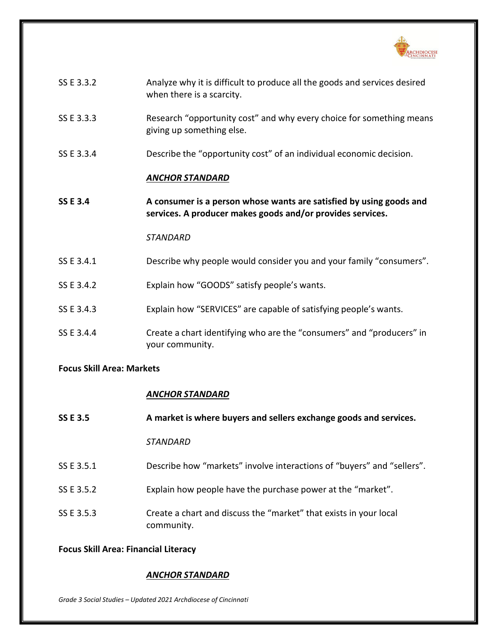

| SS E 3.3.2      | Analyze why it is difficult to produce all the goods and services desired<br>when there is a scarcity.                            |
|-----------------|-----------------------------------------------------------------------------------------------------------------------------------|
| SS E 3.3.3      | Research "opportunity cost" and why every choice for something means<br>giving up something else.                                 |
| SS E 3.3.4      | Describe the "opportunity cost" of an individual economic decision.                                                               |
|                 | <b>ANCHOR STANDARD</b>                                                                                                            |
| <b>SS E 3.4</b> | A consumer is a person whose wants are satisfied by using goods and<br>services. A producer makes goods and/or provides services. |
|                 | <b>STANDARD</b>                                                                                                                   |
| SS E 3.4.1      | Describe why people would consider you and your family "consumers".                                                               |
| SS E 3.4.2      | Explain how "GOODS" satisfy people's wants.                                                                                       |
| SS E 3.4.3      | Explain how "SERVICES" are capable of satisfying people's wants.                                                                  |
| SS E 3.4.4      | Create a chart identifying who are the "consumers" and "producers" in<br>your community.                                          |

# **Focus Skill Area: Markets**

# *ANCHOR STANDARD*

| <b>SS E 3.5</b> | A market is where buyers and sellers exchange goods and services.               |
|-----------------|---------------------------------------------------------------------------------|
|                 | <i><b>STANDARD</b></i>                                                          |
| SS E 3.5.1      | Describe how "markets" involve interactions of "buyers" and "sellers".          |
| SS E 3.5.2      | Explain how people have the purchase power at the "market".                     |
| SS E 3.5.3      | Create a chart and discuss the "market" that exists in your local<br>community. |

# **Focus Skill Area: Financial Literacy**

# *ANCHOR STANDARD*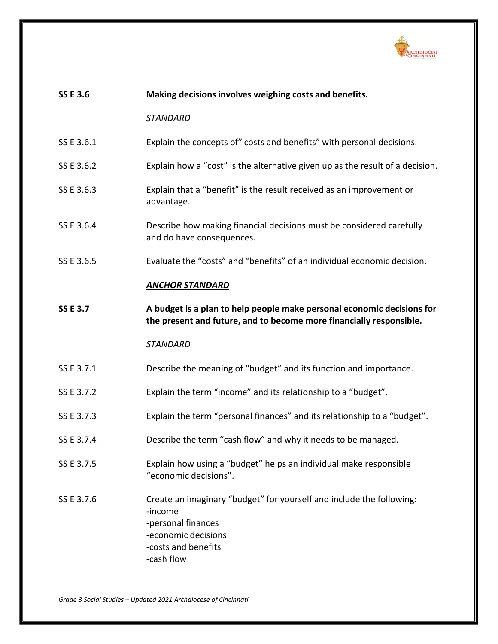

| <b>SSE 3.6</b>  | Making decisions involves weighing costs and benefits.                                                                                        |
|-----------------|-----------------------------------------------------------------------------------------------------------------------------------------------|
|                 | <b>STANDARD</b>                                                                                                                               |
| SS E 3.6.1      | Explain the concepts of" costs and benefits" with personal decisions.                                                                         |
| SS E 3.6.2      | Explain how a "cost" is the alternative given up as the result of a decision.                                                                 |
| SS E 3.6.3      | Explain that a "benefit" is the result received as an improvement or<br>advantage.                                                            |
| SS E 3.6.4      | Describe how making financial decisions must be considered carefully<br>and do have consequences.                                             |
| SS E 3.6.5      | Evaluate the "costs" and "benefits" of an individual economic decision.                                                                       |
|                 | <b>ANCHOR STANDARD</b>                                                                                                                        |
| <b>SS E 3.7</b> | A budget is a plan to help people make personal economic decisions for<br>the present and future, and to become more financially responsible. |
|                 |                                                                                                                                               |
|                 | <b>STANDARD</b>                                                                                                                               |
| SS E 3.7.1      | Describe the meaning of "budget" and its function and importance.                                                                             |
| SS E 3.7.2      | Explain the term "income" and its relationship to a "budget".                                                                                 |
| SS E 3.7.3      | Explain the term "personal finances" and its relationship to a "budget".                                                                      |
| SS E 3.7.4      | Describe the term "cash flow" and why it needs to be managed.                                                                                 |
| SS E 3.7.5      | Explain how using a "budget" helps an individual make responsible<br>"economic decisions".                                                    |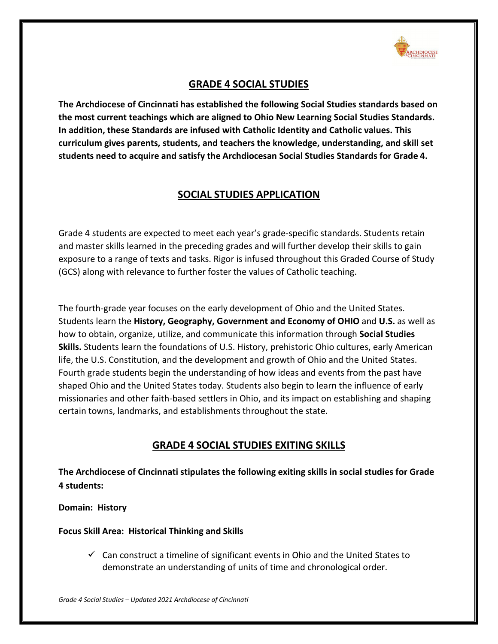

# **GRADE 4 SOCIAL STUDIES**

**The Archdiocese of Cincinnati has established the following Social Studies standards based on the most current teachings which are aligned to Ohio New Learning Social Studies Standards. In addition, these Standards are infused with Catholic Identity and Catholic values. This curriculum gives parents, students, and teachers the knowledge, understanding, and skill set students need to acquire and satisfy the Archdiocesan Social Studies Standards for Grade 4.**

# **SOCIAL STUDIES APPLICATION**

Grade 4 students are expected to meet each year's grade-specific standards. Students retain and master skills learned in the preceding grades and will further develop their skills to gain exposure to a range of texts and tasks. Rigor is infused throughout this Graded Course of Study (GCS) along with relevance to further foster the values of Catholic teaching.

The fourth-grade year focuses on the early development of Ohio and the United States. Students learn the **History, Geography, Government and Economy of OHIO** and **U.S.** as well as how to obtain, organize, utilize, and communicate this information through **Social Studies Skills.** Students learn the foundations of U.S. History, prehistoric Ohio cultures, early American life, the U.S. Constitution, and the development and growth of Ohio and the United States. Fourth grade students begin the understanding of how ideas and events from the past have shaped Ohio and the United States today. Students also begin to learn the influence of early missionaries and other faith-based settlers in Ohio, and its impact on establishing and shaping certain towns, landmarks, and establishments throughout the state.

# **GRADE 4 SOCIAL STUDIES EXITING SKILLS**

**The Archdiocese of Cincinnati stipulates the following exiting skills in social studies for Grade 4 students:**

# **Domain: History**

**Focus Skill Area: Historical Thinking and Skills**

 $\checkmark$  Can construct a timeline of significant events in Ohio and the United States to demonstrate an understanding of units of time and chronological order.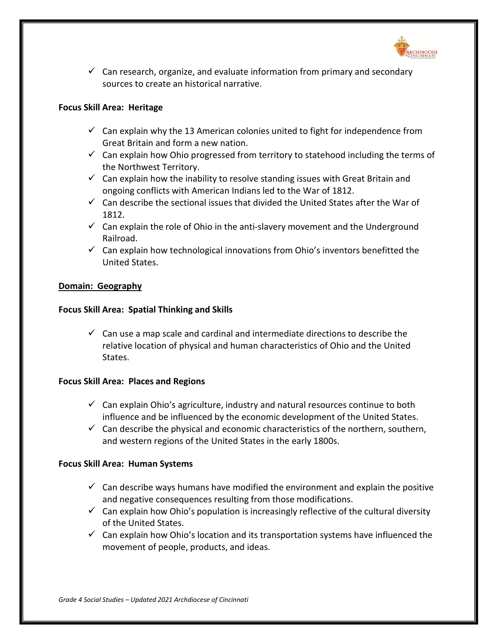

 $\checkmark$  Can research, organize, and evaluate information from primary and secondary sources to create an historical narrative.

## **Focus Skill Area: Heritage**

- $\checkmark$  Can explain why the 13 American colonies united to fight for independence from Great Britain and form a new nation.
- $\checkmark$  Can explain how Ohio progressed from territory to statehood including the terms of the Northwest Territory.
- $\checkmark$  Can explain how the inability to resolve standing issues with Great Britain and ongoing conflicts with American Indians led to the War of 1812.
- $\checkmark$  Can describe the sectional issues that divided the United States after the War of 1812.
- $\checkmark$  Can explain the role of Ohio in the anti-slavery movement and the Underground Railroad.
- $\checkmark$  Can explain how technological innovations from Ohio's inventors benefitted the United States.

### **Domain: Geography**

### **Focus Skill Area: Spatial Thinking and Skills**

 $\checkmark$  Can use a map scale and cardinal and intermediate directions to describe the relative location of physical and human characteristics of Ohio and the United States.

### **Focus Skill Area: Places and Regions**

- $\checkmark$  Can explain Ohio's agriculture, industry and natural resources continue to both influence and be influenced by the economic development of the United States.
- $\checkmark$  Can describe the physical and economic characteristics of the northern, southern, and western regions of the United States in the early 1800s.

### **Focus Skill Area: Human Systems**

- $\checkmark$  Can describe ways humans have modified the environment and explain the positive and negative consequences resulting from those modifications.
- $\checkmark$  Can explain how Ohio's population is increasingly reflective of the cultural diversity of the United States.
- $\checkmark$  Can explain how Ohio's location and its transportation systems have influenced the movement of people, products, and ideas.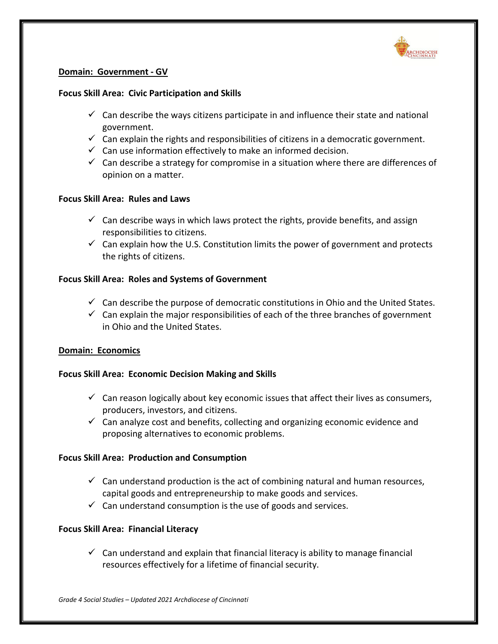

# **Domain: Government - GV**

### **Focus Skill Area: Civic Participation and Skills**

- $\checkmark$  Can describe the ways citizens participate in and influence their state and national government.
- $\checkmark$  Can explain the rights and responsibilities of citizens in a democratic government.
- $\checkmark$  Can use information effectively to make an informed decision.
- $\checkmark$  Can describe a strategy for compromise in a situation where there are differences of opinion on a matter.

# **Focus Skill Area: Rules and Laws**

- $\checkmark$  Can describe ways in which laws protect the rights, provide benefits, and assign responsibilities to citizens.
- $\checkmark$  Can explain how the U.S. Constitution limits the power of government and protects the rights of citizens.

# **Focus Skill Area: Roles and Systems of Government**

- $\checkmark$  Can describe the purpose of democratic constitutions in Ohio and the United States.
- $\checkmark$  Can explain the major responsibilities of each of the three branches of government in Ohio and the United States.

# **Domain: Economics**

### **Focus Skill Area: Economic Decision Making and Skills**

- $\checkmark$  Can reason logically about key economic issues that affect their lives as consumers, producers, investors, and citizens.
- $\checkmark$  Can analyze cost and benefits, collecting and organizing economic evidence and proposing alternatives to economic problems.

### **Focus Skill Area: Production and Consumption**

- $\checkmark$  Can understand production is the act of combining natural and human resources, capital goods and entrepreneurship to make goods and services.
- $\checkmark$  Can understand consumption is the use of goods and services.

### **Focus Skill Area: Financial Literacy**

 $\checkmark$  Can understand and explain that financial literacy is ability to manage financial resources effectively for a lifetime of financial security.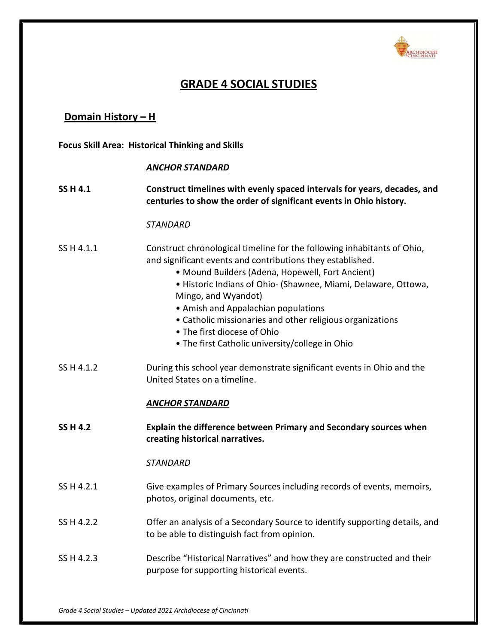

# **GRADE 4 SOCIAL STUDIES**

# **Domain History – H**

**Focus Skill Area: Historical Thinking and Skills**

### *ANCHOR STANDARD*

# **SS H 4.1 Construct timelines with evenly spaced intervals for years, decades, and centuries to show the order of significant events in Ohio history.**

#### *STANDARD*

# SS H 4.1.1 Construct chronological timeline for the following inhabitants of Ohio, and significant events and contributions they established.

- Mound Builders (Adena, Hopewell, Fort Ancient)
- Historic Indians of Ohio- (Shawnee, Miami, Delaware, Ottowa, Mingo, and Wyandot)
- Amish and Appalachian populations
- Catholic missionaries and other religious organizations
- The first diocese of Ohio
- The first Catholic university/college in Ohio
- SS H 4.1.2 During this school year demonstrate significant events in Ohio and the United States on a timeline.

### *ANCHOR STANDARD*

**SS H 4.2 Explain the difference between Primary and Secondary sources when creating historical narratives.**

- SS H 4.2.1 Give examples of Primary Sources including records of events, memoirs, photos, original documents, etc.
- SS H 4.2.2 Offer an analysis of a Secondary Source to identify supporting details, and to be able to distinguish fact from opinion.
- SS H 4.2.3 Describe "Historical Narratives" and how they are constructed and their purpose for supporting historical events.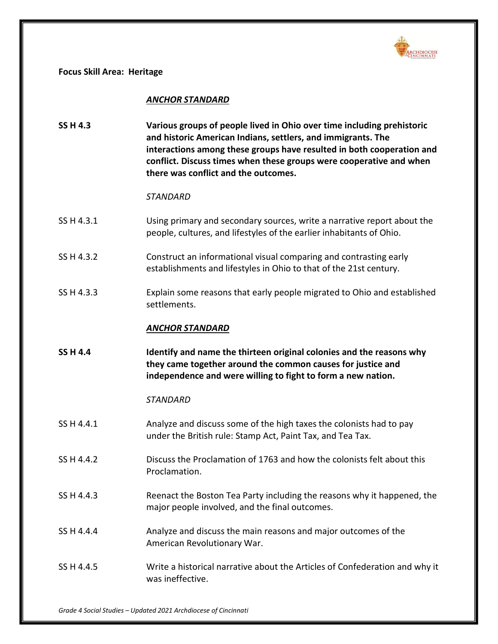

**Focus Skill Area: Heritage**

## *ANCHOR STANDARD*

**SS H 4.3 Various groups of people lived in Ohio over time including prehistoric and historic American Indians, settlers, and immigrants. The interactions among these groups have resulted in both cooperation and conflict. Discuss times when these groups were cooperative and when there was conflict and the outcomes.**

### *STANDARD*

- SS H 4.3.1 Using primary and secondary sources, write a narrative report about the people, cultures, and lifestyles of the earlier inhabitants of Ohio.
- SS H 4.3.2 Construct an informational visual comparing and contrasting early establishments and lifestyles in Ohio to that of the 21st century.
- SS H 4.3.3 Explain some reasons that early people migrated to Ohio and established settlements.

# *ANCHOR STANDARD*

**SS H 4.4 Identify and name the thirteen original colonies and the reasons why they came together around the common causes for justice and independence and were willing to fight to form a new nation.**

- SS H 4.4.1 Analyze and discuss some of the high taxes the colonists had to pay under the British rule: Stamp Act, Paint Tax, and Tea Tax.
- SS H 4.4.2 Discuss the Proclamation of 1763 and how the colonists felt about this Proclamation.
- SS H 4.4.3 Reenact the Boston Tea Party including the reasons why it happened, the major people involved, and the final outcomes.
- SS H 4.4.4 Analyze and discuss the main reasons and major outcomes of the American Revolutionary War.
- SS H 4.4.5 Write a historical narrative about the Articles of Confederation and why it was ineffective.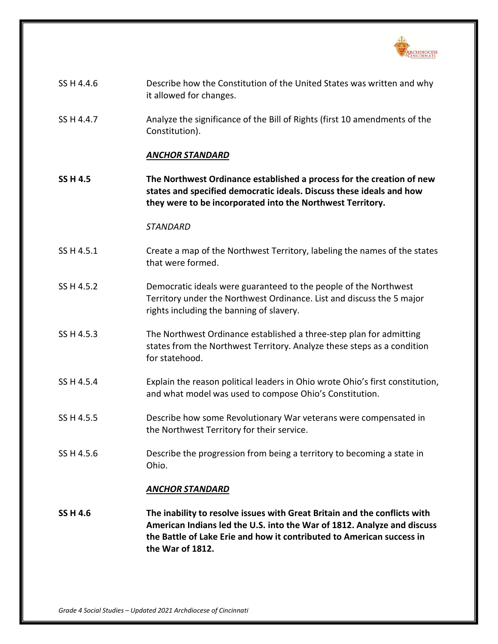

| SS H 4.4.6      | Describe how the Constitution of the United States was written and why<br>it allowed for changes.                                                                                                                                                 |
|-----------------|---------------------------------------------------------------------------------------------------------------------------------------------------------------------------------------------------------------------------------------------------|
| SS H 4.4.7      | Analyze the significance of the Bill of Rights (first 10 amendments of the<br>Constitution).                                                                                                                                                      |
|                 | <b>ANCHOR STANDARD</b>                                                                                                                                                                                                                            |
| <b>SS H 4.5</b> | The Northwest Ordinance established a process for the creation of new<br>states and specified democratic ideals. Discuss these ideals and how<br>they were to be incorporated into the Northwest Territory.                                       |
|                 | <b>STANDARD</b>                                                                                                                                                                                                                                   |
| SS H 4.5.1      | Create a map of the Northwest Territory, labeling the names of the states<br>that were formed.                                                                                                                                                    |
| SS H 4.5.2      | Democratic ideals were guaranteed to the people of the Northwest<br>Territory under the Northwest Ordinance. List and discuss the 5 major<br>rights including the banning of slavery.                                                             |
| SS H 4.5.3      | The Northwest Ordinance established a three-step plan for admitting<br>states from the Northwest Territory. Analyze these steps as a condition<br>for statehood.                                                                                  |
| SS H 4.5.4      | Explain the reason political leaders in Ohio wrote Ohio's first constitution,<br>and what model was used to compose Ohio's Constitution.                                                                                                          |
| SS H 4.5.5      | Describe how some Revolutionary War veterans were compensated in<br>the Northwest Territory for their service.                                                                                                                                    |
| SS H 4.5.6      | Describe the progression from being a territory to becoming a state in<br>Ohio.                                                                                                                                                                   |
|                 | <b>ANCHOR STANDARD</b>                                                                                                                                                                                                                            |
| <b>SS H 4.6</b> | The inability to resolve issues with Great Britain and the conflicts with<br>American Indians led the U.S. into the War of 1812. Analyze and discuss<br>the Battle of Lake Erie and how it contributed to American success in<br>the War of 1812. |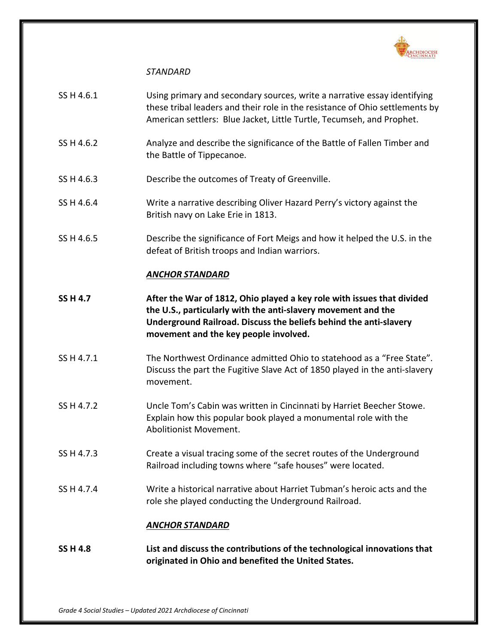

# *STANDARD*

- SS H 4.6.1 Using primary and secondary sources, write a narrative essay identifying these tribal leaders and their role in the resistance of Ohio settlements by American settlers: Blue Jacket, Little Turtle, Tecumseh, and Prophet.
- SS H 4.6.2 Analyze and describe the significance of the Battle of Fallen Timber and the Battle of Tippecanoe.
- SS H 4.6.3 Describe the outcomes of Treaty of Greenville.
- SS H 4.6.4 Write a narrative describing Oliver Hazard Perry's victory against the British navy on Lake Erie in 1813.
- SS H 4.6.5 Describe the significance of Fort Meigs and how it helped the U.S. in the defeat of British troops and Indian warriors.

# *ANCHOR STANDARD*

- **SS H 4.7 After the War of 1812, Ohio played a key role with issues that divided the U.S., particularly with the anti-slavery movement and the Underground Railroad. Discuss the beliefs behind the anti-slavery movement and the key people involved.**
- SS H 4.7.1 The Northwest Ordinance admitted Ohio to statehood as a "Free State". Discuss the part the Fugitive Slave Act of 1850 played in the anti-slavery movement.
- SS H 4.7.2 Uncle Tom's Cabin was written in Cincinnati by Harriet Beecher Stowe. Explain how this popular book played a monumental role with the Abolitionist Movement.
- SS H 4.7.3 Create a visual tracing some of the secret routes of the Underground Railroad including towns where "safe houses" were located.
- SS H 4.7.4 Write a historical narrative about Harriet Tubman's heroic acts and the role she played conducting the Underground Railroad.

# *ANCHOR STANDARD*

**SS H 4.8 List and discuss the contributions of the technological innovations that originated in Ohio and benefited the United States.**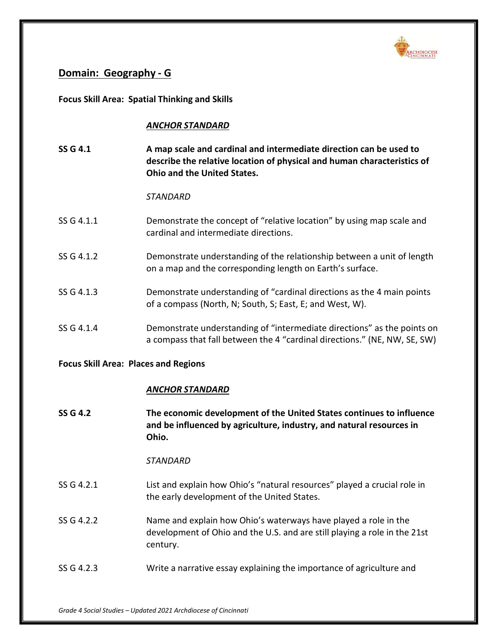

# **Domain: Geography - G**

**Focus Skill Area: Spatial Thinking and Skills**

# *ANCHOR STANDARD*

**SS G 4.1 A map scale and cardinal and intermediate direction can be used to describe the relative location of physical and human characteristics of Ohio and the United States.**

# *STANDARD*

- SS G 4.1.1 Demonstrate the concept of "relative location" by using map scale and cardinal and intermediate directions.
- SS G 4.1.2 Demonstrate understanding of the relationship between a unit of length on a map and the corresponding length on Earth's surface.
- SS G 4.1.3 Demonstrate understanding of "cardinal directions as the 4 main points of a compass (North, N; South, S; East, E; and West, W).
- SS G 4.1.4 Demonstrate understanding of "intermediate directions" as the points on a compass that fall between the 4 "cardinal directions." (NE, NW, SE, SW)

# **Focus Skill Area: Places and Regions**

# *ANCHOR STANDARD*

**SS G 4.2 The economic development of the United States continues to influence and be influenced by agriculture, industry, and natural resources in Ohio.**

- SS G 4.2.1 List and explain how Ohio's "natural resources" played a crucial role in the early development of the United States.
- SS G 4.2.2 Name and explain how Ohio's waterways have played a role in the development of Ohio and the U.S. and are still playing a role in the 21st century.
- SS G 4.2.3 Write a narrative essay explaining the importance of agriculture and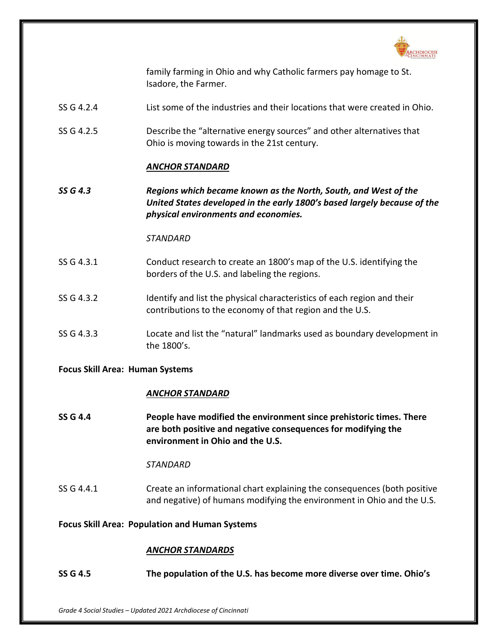

family farming in Ohio and why Catholic farmers pay homage to St. Isadore, the Farmer.

- SS G 4.2.4 List some of the industries and their locations that were created in Ohio.
- SS G 4.2.5 Describe the "alternative energy sources" and other alternatives that Ohio is moving towards in the 21st century.

### *ANCHOR STANDARD*

*SS G 4.3 Regions which became known as the North, South, and West of the United States developed in the early 1800's based largely because of the physical environments and economies.*

### *STANDARD*

- SS G 4.3.1 Conduct research to create an 1800's map of the U.S. identifying the borders of the U.S. and labeling the regions.
- SS G 4.3.2 Identify and list the physical characteristics of each region and their contributions to the economy of that region and the U.S.
- SS G 4.3.3 Locate and list the "natural" landmarks used as boundary development in the 1800's.

### **Focus Skill Area: Human Systems**

### *ANCHOR STANDARD*

**SS G 4.4 People have modified the environment since prehistoric times. There are both positive and negative consequences for modifying the environment in Ohio and the U.S.**

### *STANDARD*

SS G 4.4.1 Create an informational chart explaining the consequences (both positive and negative) of humans modifying the environment in Ohio and the U.S.

#### **Focus Skill Area: Population and Human Systems**

#### *ANCHOR STANDARDS*

**SS G 4.5 The population of the U.S. has become more diverse over time. Ohio's**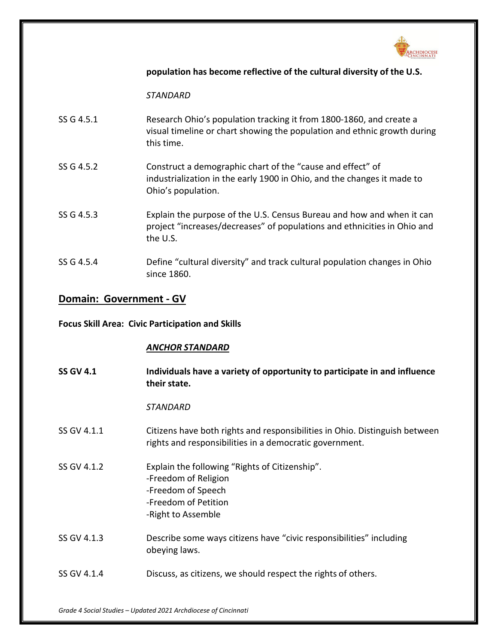

# **population has become reflective of the cultural diversity of the U.S.**

*STANDARD*

| SS G 4.5.1 | Research Ohio's population tracking it from 1800-1860, and create a      |
|------------|--------------------------------------------------------------------------|
|            | visual timeline or chart showing the population and ethnic growth during |
|            | this time.                                                               |

- SS G 4.5.2 Construct a demographic chart of the "cause and effect" of industrialization in the early 1900 in Ohio, and the changes it made to Ohio's population.
- SS G 4.5.3 Explain the purpose of the U.S. Census Bureau and how and when it can project "increases/decreases" of populations and ethnicities in Ohio and the U.S.
- SS G 4.5.4 Define "cultural diversity" and track cultural population changes in Ohio since 1860.

# **Domain: Government - GV**

# **Focus Skill Area: Civic Participation and Skills**

# *ANCHOR STANDARD*

| <b>SS GV 4.1</b> | Individuals have a variety of opportunity to participate in and influence<br>their state.                                                  |
|------------------|--------------------------------------------------------------------------------------------------------------------------------------------|
|                  | <b>STANDARD</b>                                                                                                                            |
| SS GV 4.1.1      | Citizens have both rights and responsibilities in Ohio. Distinguish between<br>rights and responsibilities in a democratic government.     |
| SS GV 4.1.2      | Explain the following "Rights of Citizenship".<br>-Freedom of Religion<br>-Freedom of Speech<br>-Freedom of Petition<br>-Right to Assemble |
| SS GV 4.1.3      | Describe some ways citizens have "civic responsibilities" including<br>obeying laws.                                                       |
| SS GV 4.1.4      | Discuss, as citizens, we should respect the rights of others.                                                                              |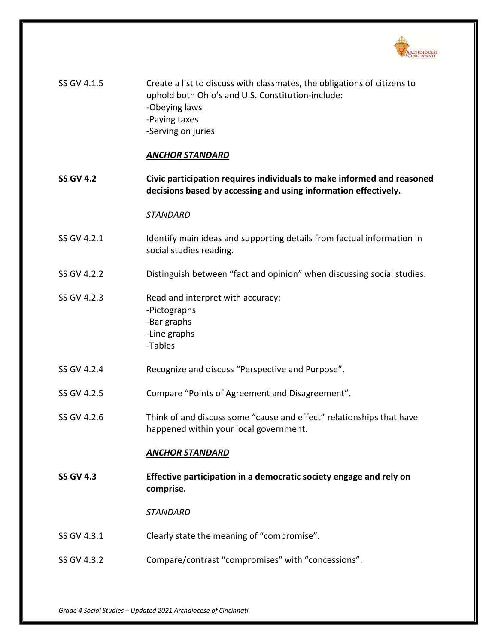

| SS GV 4.1.5      | Create a list to discuss with classmates, the obligations of citizens to<br>uphold both Ohio's and U.S. Constitution-include:<br>-Obeying laws<br>-Paying taxes<br>-Serving on juries<br><b>ANCHOR STANDARD</b> |
|------------------|-----------------------------------------------------------------------------------------------------------------------------------------------------------------------------------------------------------------|
|                  |                                                                                                                                                                                                                 |
| <b>SS GV 4.2</b> | Civic participation requires individuals to make informed and reasoned<br>decisions based by accessing and using information effectively.                                                                       |
|                  | <b>STANDARD</b>                                                                                                                                                                                                 |
| SS GV 4.2.1      | Identify main ideas and supporting details from factual information in<br>social studies reading.                                                                                                               |
| SS GV 4.2.2      | Distinguish between "fact and opinion" when discussing social studies.                                                                                                                                          |
| SS GV 4.2.3      | Read and interpret with accuracy:<br>-Pictographs<br>-Bar graphs<br>-Line graphs<br>-Tables                                                                                                                     |
| SS GV 4.2.4      | Recognize and discuss "Perspective and Purpose".                                                                                                                                                                |
| SS GV 4.2.5      | Compare "Points of Agreement and Disagreement".                                                                                                                                                                 |
| SS GV 4.2.6      | Think of and discuss some "cause and effect" relationships that have<br>happened within your local government.                                                                                                  |
|                  | <b>ANCHOR STANDARD</b>                                                                                                                                                                                          |
| <b>SS GV 4.3</b> | Effective participation in a democratic society engage and rely on<br>comprise.                                                                                                                                 |
|                  | <b>STANDARD</b>                                                                                                                                                                                                 |
| SS GV 4.3.1      | Clearly state the meaning of "compromise".                                                                                                                                                                      |
| SS GV 4.3.2      | Compare/contrast "compromises" with "concessions".                                                                                                                                                              |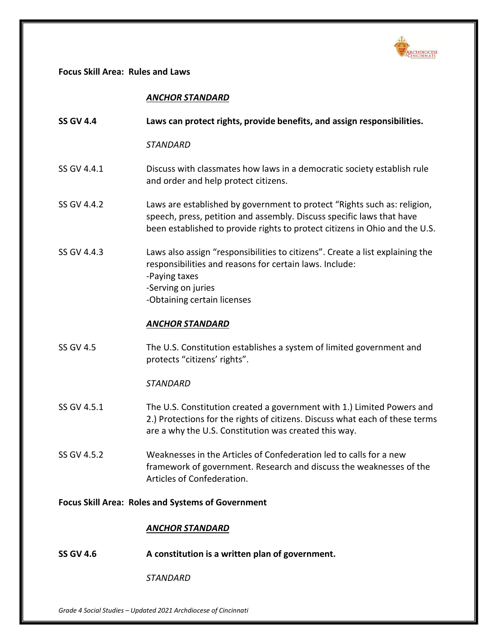

**Focus Skill Area: Rules and Laws**

# *ANCHOR STANDARD*

| <b>SS GV 4.4</b>                                         | Laws can protect rights, provide benefits, and assign responsibilities.                                                                                                                                                          |
|----------------------------------------------------------|----------------------------------------------------------------------------------------------------------------------------------------------------------------------------------------------------------------------------------|
|                                                          | <b>STANDARD</b>                                                                                                                                                                                                                  |
| SS GV 4.4.1                                              | Discuss with classmates how laws in a democratic society establish rule<br>and order and help protect citizens.                                                                                                                  |
| SS GV 4.4.2                                              | Laws are established by government to protect "Rights such as: religion,<br>speech, press, petition and assembly. Discuss specific laws that have<br>been established to provide rights to protect citizens in Ohio and the U.S. |
| SS GV 4.4.3                                              | Laws also assign "responsibilities to citizens". Create a list explaining the<br>responsibilities and reasons for certain laws. Include:<br>-Paying taxes<br>-Serving on juries<br>-Obtaining certain licenses                   |
|                                                          | <b>ANCHOR STANDARD</b>                                                                                                                                                                                                           |
| <b>SS GV 4.5</b>                                         | The U.S. Constitution establishes a system of limited government and<br>protects "citizens' rights".                                                                                                                             |
|                                                          | <b>STANDARD</b>                                                                                                                                                                                                                  |
| SS GV 4.5.1                                              | The U.S. Constitution created a government with 1.) Limited Powers and<br>2.) Protections for the rights of citizens. Discuss what each of these terms<br>are a why the U.S. Constitution was created this way.                  |
| SS GV 4.5.2                                              | Weaknesses in the Articles of Confederation led to calls for a new<br>framework of government. Research and discuss the weaknesses of the<br>Articles of Confederation.                                                          |
| <b>Focus Skill Area: Roles and Systems of Government</b> |                                                                                                                                                                                                                                  |
|                                                          | <b>ANCHOR STANDARD</b>                                                                                                                                                                                                           |
| <b>SS GV 4.6</b>                                         | A constitution is a written plan of government.                                                                                                                                                                                  |

*STANDARD*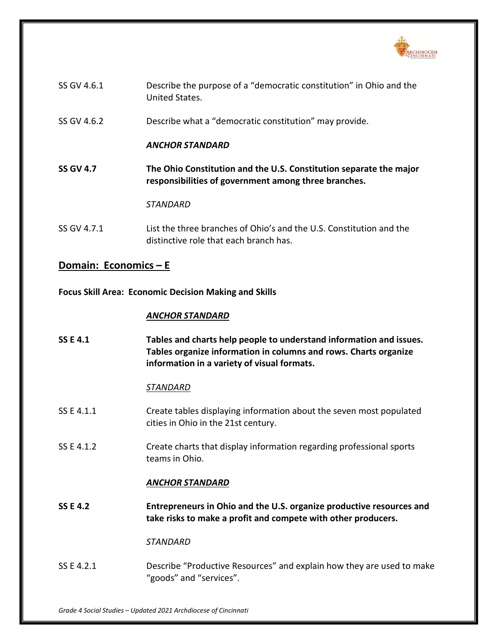

| SS GV 4.6.1 | Describe the purpose of a "democratic constitution" in Ohio and the<br>United States. |
|-------------|---------------------------------------------------------------------------------------|
| SS GV 4.6.2 | Describe what a "democratic constitution" may provide.                                |
|             | ANCHOR STANDARD                                                                       |

**SS GV 4.7 The Ohio Constitution and the U.S. Constitution separate the major responsibilities of government among three branches.**

*STANDARD*

SS GV 4.7.1 List the three branches of Ohio's and the U.S. Constitution and the distinctive role that each branch has.

# **Domain: Economics – E**

**Focus Skill Area: Economic Decision Making and Skills**

# *ANCHOR STANDARD*

**SS E 4.1 Tables and charts help people to understand information and issues. Tables organize information in columns and rows. Charts organize information in a variety of visual formats.**

# *STANDARD*

- SS E 4.1.1 Create tables displaying information about the seven most populated cities in Ohio in the 21st century.
- SS E 4.1.2 Create charts that display information regarding professional sports teams in Ohio.

# *ANCHOR STANDARD*

**SS E 4.2 Entrepreneurs in Ohio and the U.S. organize productive resources and take risks to make a profit and compete with other producers.**

# *STANDARD*

SS E 4.2.1 Describe "Productive Resources" and explain how they are used to make "goods" and "services".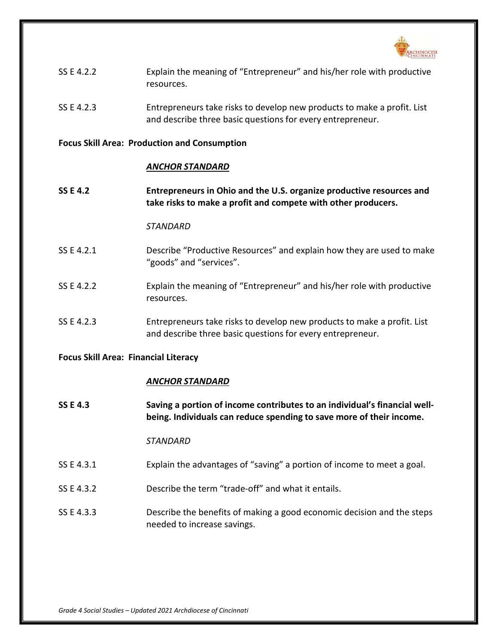

| SS E 4.2.2 | Explain the meaning of "Entrepreneur" and his/her role with productive |  |
|------------|------------------------------------------------------------------------|--|
|            | resources.                                                             |  |

SS E 4.2.3 Entrepreneurs take risks to develop new products to make a profit. List and describe three basic questions for every entrepreneur.

### **Focus Skill Area: Production and Consumption**

### *ANCHOR STANDARD*

**SS E 4.2 Entrepreneurs in Ohio and the U.S. organize productive resources and take risks to make a profit and compete with other producers.**

### *STANDARD*

- SS E 4.2.1 Describe "Productive Resources" and explain how they are used to make "goods" and "services".
- SS E 4.2.2 Explain the meaning of "Entrepreneur" and his/her role with productive resources.
- SS E 4.2.3 Entrepreneurs take risks to develop new products to make a profit. List and describe three basic questions for every entrepreneur.

### **Focus Skill Area: Financial Literacy**

### *ANCHOR STANDARD*

**SS E 4.3 Saving a portion of income contributes to an individual's financial wellbeing. Individuals can reduce spending to save more of their income.**

- SS E 4.3.1 Explain the advantages of "saving" a portion of income to meet a goal.
- SS E 4.3.2 Describe the term "trade-off" and what it entails.
- SS E 4.3.3 Describe the benefits of making a good economic decision and the steps needed to increase savings.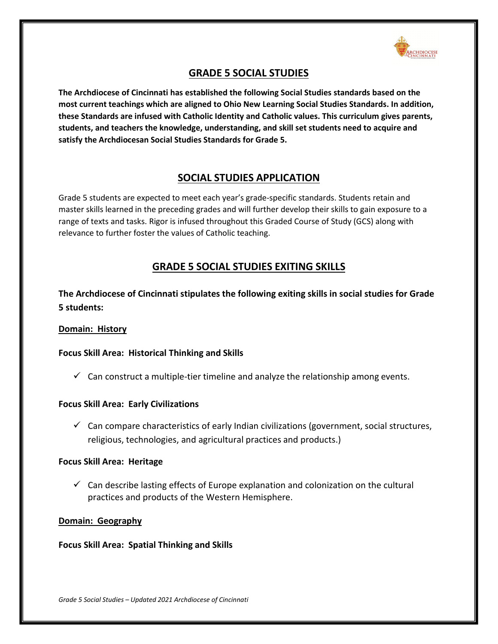

# **GRADE 5 SOCIAL STUDIES**

**The Archdiocese of Cincinnati has established the following Social Studies standards based on the most current teachings which are aligned to Ohio New Learning Social Studies Standards. In addition, these Standards are infused with Catholic Identity and Catholic values. This curriculum gives parents, students, and teachers the knowledge, understanding, and skill set students need to acquire and satisfy the Archdiocesan Social Studies Standards for Grade 5.**

# **SOCIAL STUDIES APPLICATION**

Grade 5 students are expected to meet each year's grade-specific standards. Students retain and master skills learned in the preceding grades and will further develop their skills to gain exposure to a range of texts and tasks. Rigor is infused throughout this Graded Course of Study (GCS) along with relevance to further foster the values of Catholic teaching.

# **GRADE 5 SOCIAL STUDIES EXITING SKILLS**

**The Archdiocese of Cincinnati stipulates the following exiting skills in social studies for Grade 5 students:**

# **Domain: History**

# **Focus Skill Area: Historical Thinking and Skills**

 $\checkmark$  Can construct a multiple-tier timeline and analyze the relationship among events.

# **Focus Skill Area: Early Civilizations**

 $\checkmark$  Can compare characteristics of early Indian civilizations (government, social structures, religious, technologies, and agricultural practices and products.)

# **Focus Skill Area: Heritage**

 $\checkmark$  Can describe lasting effects of Europe explanation and colonization on the cultural practices and products of the Western Hemisphere.

# **Domain: Geography**

# **Focus Skill Area: Spatial Thinking and Skills**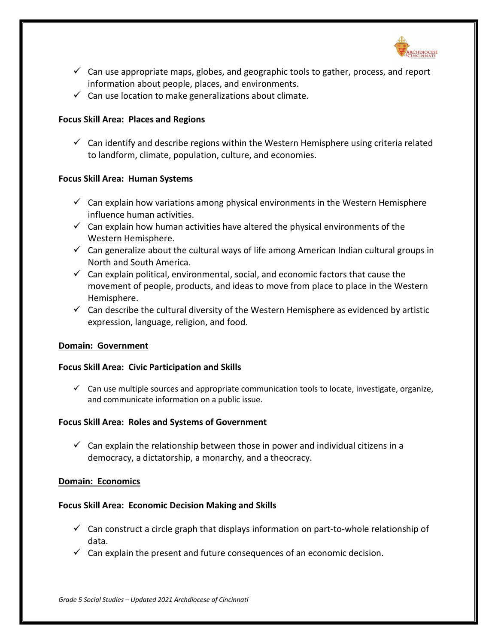

- $\checkmark$  Can use appropriate maps, globes, and geographic tools to gather, process, and report information about people, places, and environments.
- $\checkmark$  Can use location to make generalizations about climate.

# **Focus Skill Area: Places and Regions**

 $\checkmark$  Can identify and describe regions within the Western Hemisphere using criteria related to landform, climate, population, culture, and economies.

### **Focus Skill Area: Human Systems**

- $\checkmark$  Can explain how variations among physical environments in the Western Hemisphere influence human activities.
- $\checkmark$  Can explain how human activities have altered the physical environments of the Western Hemisphere.
- $\checkmark$  Can generalize about the cultural ways of life among American Indian cultural groups in North and South America.
- $\checkmark$  Can explain political, environmental, social, and economic factors that cause the movement of people, products, and ideas to move from place to place in the Western Hemisphere.
- $\checkmark$  Can describe the cultural diversity of the Western Hemisphere as evidenced by artistic expression, language, religion, and food.

### **Domain: Government**

### **Focus Skill Area: Civic Participation and Skills**

 $\checkmark$  Can use multiple sources and appropriate communication tools to locate, investigate, organize, and communicate information on a public issue.

# **Focus Skill Area: Roles and Systems of Government**

 $\checkmark$  Can explain the relationship between those in power and individual citizens in a democracy, a dictatorship, a monarchy, and a theocracy.

### **Domain: Economics**

# **Focus Skill Area: Economic Decision Making and Skills**

- $\checkmark$  Can construct a circle graph that displays information on part-to-whole relationship of data.
- $\checkmark$  Can explain the present and future consequences of an economic decision.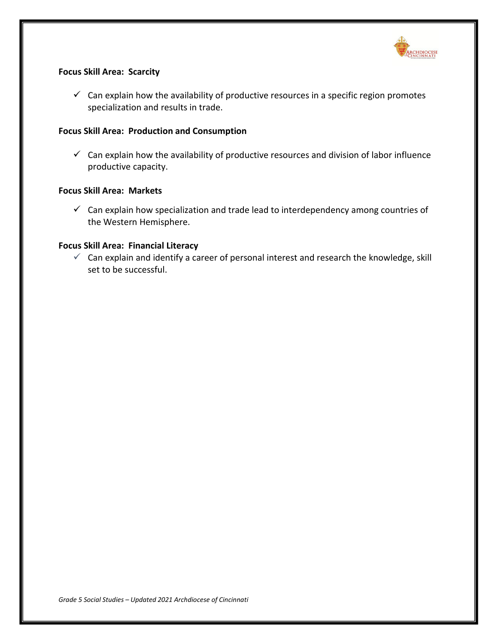

# **Focus Skill Area: Scarcity**

 $\checkmark$  Can explain how the availability of productive resources in a specific region promotes specialization and results in trade.

## **Focus Skill Area: Production and Consumption**

 $\checkmark$  Can explain how the availability of productive resources and division of labor influence productive capacity.

## **Focus Skill Area: Markets**

 $\checkmark$  Can explain how specialization and trade lead to interdependency among countries of the Western Hemisphere.

### **Focus Skill Area: Financial Literacy**

 $\checkmark$  Can explain and identify a career of personal interest and research the knowledge, skill set to be successful.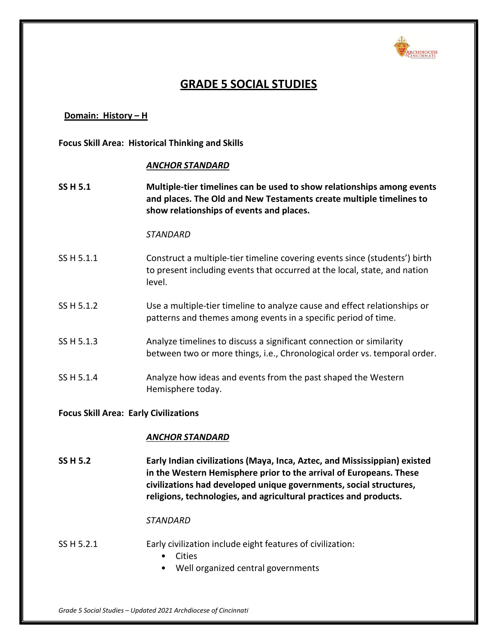

# **GRADE 5 SOCIAL STUDIES**

## **Domain: History – H**

**Focus Skill Area: Historical Thinking and Skills**

### *ANCHOR STANDARD*

**SS H 5.1 Multiple-tier timelines can be used to show relationships among events and places. The Old and New Testaments create multiple timelines to show relationships of events and places.**

#### *STANDARD*

- SS H 5.1.1 Construct a multiple-tier timeline covering events since (students') birth to present including events that occurred at the local, state, and nation level.
- SS H 5.1.2 Use a multiple-tier timeline to analyze cause and effect relationships or patterns and themes among events in a specific period of time.
- SS H 5.1.3 Analyze timelines to discuss a significant connection or similarity between two or more things, i.e., Chronological order vs. temporal order.
- SS H 5.1.4 Analyze how ideas and events from the past shaped the Western Hemisphere today.

### **Focus Skill Area: Early Civilizations**

#### *ANCHOR STANDARD*

**SS H 5.2 Early Indian civilizations (Maya, Inca, Aztec, and Mississippian) existed in the Western Hemisphere prior to the arrival of Europeans. These civilizations had developed unique governments, social structures, religions, technologies, and agricultural practices and products.**

#### *STANDARD*

### SS H 5.2.1 Early civilization include eight features of civilization:

- Cities
- Well organized central governments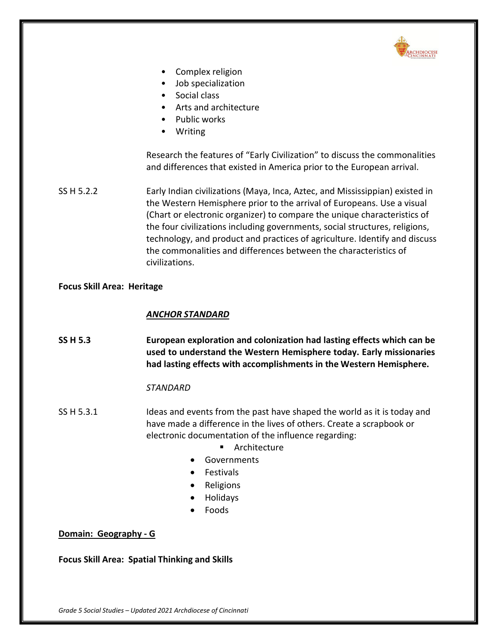

- Complex religion
- Job specialization
- Social class
- Arts and architecture
- Public works
- Writing

Research the features of "Early Civilization" to discuss the commonalities and differences that existed in America prior to the European arrival.

SS H 5.2.2 Early Indian civilizations (Maya, Inca, Aztec, and Mississippian) existed in the Western Hemisphere prior to the arrival of Europeans. Use a visual (Chart or electronic organizer) to compare the unique characteristics of the four civilizations including governments, social structures, religions, technology, and product and practices of agriculture. Identify and discuss the commonalities and differences between the characteristics of civilizations.

# **Focus Skill Area: Heritage**

# *ANCHOR STANDARD*

**SS H 5.3 European exploration and colonization had lasting effects which can be used to understand the Western Hemisphere today. Early missionaries had lasting effects with accomplishments in the Western Hemisphere.**

# *STANDARD*

- SS H 5.3.1 Ideas and events from the past have shaped the world as it is today and have made a difference in the lives of others. Create a scrapbook or electronic documentation of the influence regarding:
	- **EXALGO** Architecture
	- Governments
	- Festivals
	- Religions
	- Holidays
	- Foods

# **Domain: Geography - G**

**Focus Skill Area: Spatial Thinking and Skills**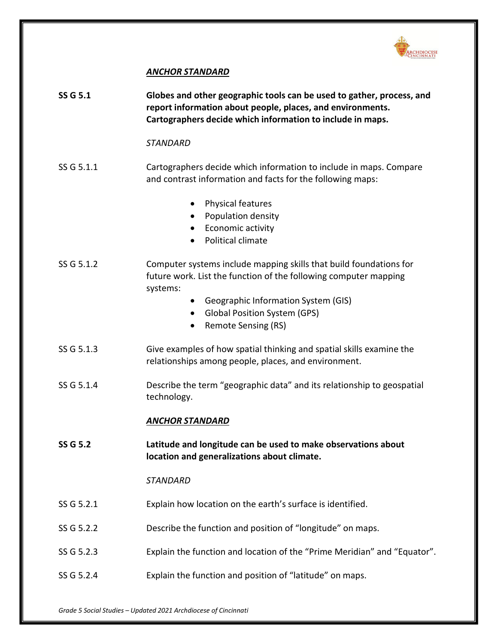

# *ANCHOR STANDARD*

| <b>SS G 5.1</b> | Globes and other geographic tools can be used to gather, process, and<br>report information about people, places, and environments.<br>Cartographers decide which information to include in maps.                                                          |
|-----------------|------------------------------------------------------------------------------------------------------------------------------------------------------------------------------------------------------------------------------------------------------------|
|                 | <b>STANDARD</b>                                                                                                                                                                                                                                            |
| SS G 5.1.1      | Cartographers decide which information to include in maps. Compare<br>and contrast information and facts for the following maps:                                                                                                                           |
|                 | Physical features<br>$\bullet$<br>Population density<br>$\bullet$<br>Economic activity<br>$\bullet$<br>Political climate                                                                                                                                   |
| SS G 5.1.2      | Computer systems include mapping skills that build foundations for<br>future work. List the function of the following computer mapping<br>systems:<br>Geographic Information System (GIS)<br>$\bullet$<br><b>Global Position System (GPS)</b><br>$\bullet$ |
|                 | Remote Sensing (RS)<br>$\bullet$                                                                                                                                                                                                                           |
| SS G 5.1.3      | Give examples of how spatial thinking and spatial skills examine the<br>relationships among people, places, and environment.                                                                                                                               |
| SS G 5.1.4      | Describe the term "geographic data" and its relationship to geospatial<br>technology.                                                                                                                                                                      |
|                 | <b>ANCHOR STANDARD</b>                                                                                                                                                                                                                                     |
| <b>SS G 5.2</b> | Latitude and longitude can be used to make observations about<br>location and generalizations about climate.                                                                                                                                               |
|                 | STANDARD                                                                                                                                                                                                                                                   |
| SS G 5.2.1      | Explain how location on the earth's surface is identified.                                                                                                                                                                                                 |
| SS G 5.2.2      | Describe the function and position of "longitude" on maps.                                                                                                                                                                                                 |
| SS G 5.2.3      | Explain the function and location of the "Prime Meridian" and "Equator".                                                                                                                                                                                   |
| SS G 5.2.4      | Explain the function and position of "latitude" on maps.                                                                                                                                                                                                   |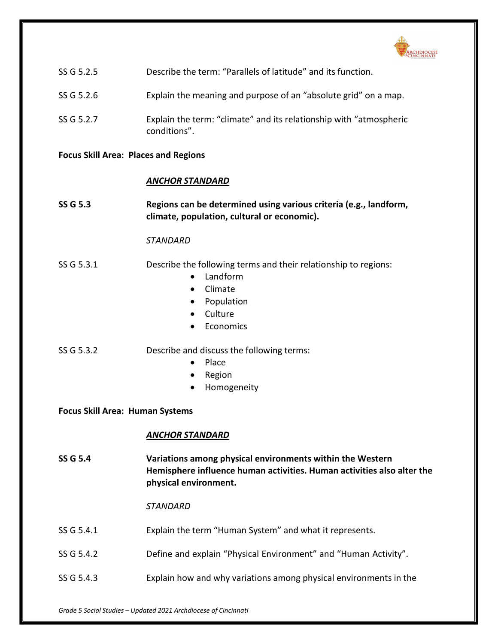

| SS G 5.2.5 | Describe the term: "Parallels of latitude" and its function. |  |  |
|------------|--------------------------------------------------------------|--|--|
|            |                                                              |  |  |

- SS G 5.2.6 Explain the meaning and purpose of an "absolute grid" on a map.
- SS G 5.2.7 Explain the term: "climate" and its relationship with "atmospheric conditions".

### **Focus Skill Area: Places and Regions**

### *ANCHOR STANDARD*

**SS G 5.3 Regions can be determined using various criteria (e.g., landform, climate, population, cultural or economic).**

### *STANDARD*

# SS G 5.3.1 Describe the following terms and their relationship to regions:

- Landform
- Climate
- Population
- Culture
- Economics

### SS G 5.3.2 Describe and discuss the following terms:

- Place
- Region
- Homogeneity

### **Focus Skill Area: Human Systems**

### *ANCHOR STANDARD*

**SS G 5.4 Variations among physical environments within the Western Hemisphere influence human activities. Human activities also alter the physical environment.**

- SS G 5.4.1 Explain the term "Human System" and what it represents.
- SS G 5.4.2 Define and explain "Physical Environment" and "Human Activity".
- SS G 5.4.3 Explain how and why variations among physical environments in the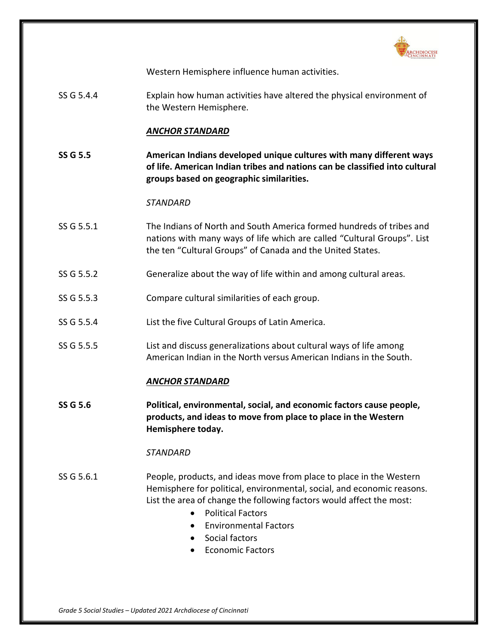

Western Hemisphere influence human activities.

SS G 5.4.4 Explain how human activities have altered the physical environment of the Western Hemisphere.

## *ANCHOR STANDARD*

**SS G 5.5 American Indians developed unique cultures with many different ways of life. American Indian tribes and nations can be classified into cultural groups based on geographic similarities.**

#### *STANDARD*

- SS G 5.5.1 The Indians of North and South America formed hundreds of tribes and nations with many ways of life which are called "Cultural Groups". List the ten "Cultural Groups" of Canada and the United States.
- SS G 5.5.2 Generalize about the way of life within and among cultural areas.
- SS G 5.5.3 Compare cultural similarities of each group.
- SS G 5.5.4 List the five Cultural Groups of Latin America.
- SS G 5.5.5 List and discuss generalizations about cultural ways of life among American Indian in the North versus American Indians in the South.

### *ANCHOR STANDARD*

**SS G 5.6 Political, environmental, social, and economic factors cause people, products, and ideas to move from place to place in the Western Hemisphere today.**

### *STANDARD*

- SS G 5.6.1 People, products, and ideas move from place to place in the Western Hemisphere for political, environmental, social, and economic reasons. List the area of change the following factors would affect the most:
	- Political Factors
	- Environmental Factors
	- Social factors
	- Economic Factors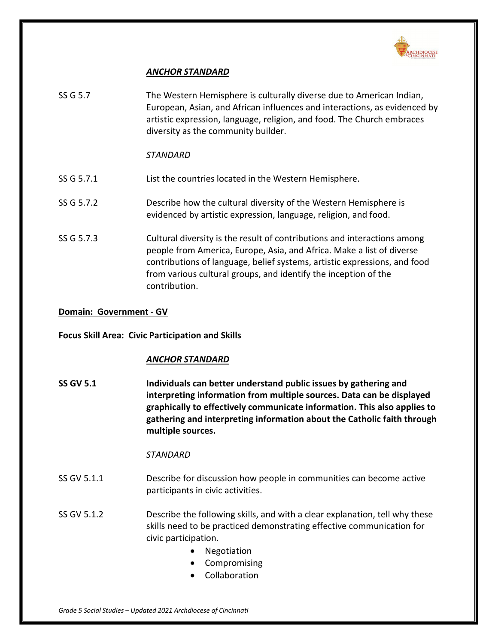

# *ANCHOR STANDARD*

| SS G 5.7   | The Western Hemisphere is culturally diverse due to American Indian,<br>European, Asian, and African influences and interactions, as evidenced by<br>artistic expression, language, religion, and food. The Church embraces                                                                                        |
|------------|--------------------------------------------------------------------------------------------------------------------------------------------------------------------------------------------------------------------------------------------------------------------------------------------------------------------|
|            | diversity as the community builder.                                                                                                                                                                                                                                                                                |
|            | STANDARD                                                                                                                                                                                                                                                                                                           |
| SS G 5.7.1 | List the countries located in the Western Hemisphere.                                                                                                                                                                                                                                                              |
| SS G 5.7.2 | Describe how the cultural diversity of the Western Hemisphere is<br>evidenced by artistic expression, language, religion, and food.                                                                                                                                                                                |
| SS G 5.7.3 | Cultural diversity is the result of contributions and interactions among<br>people from America, Europe, Asia, and Africa. Make a list of diverse<br>contributions of language, belief systems, artistic expressions, and food<br>from various cultural groups, and identify the inception of the<br>contribution. |

## **Domain: Government - GV**

# **Focus Skill Area: Civic Participation and Skills**

# *ANCHOR STANDARD*

**SS GV 5.1 Individuals can better understand public issues by gathering and interpreting information from multiple sources. Data can be displayed graphically to effectively communicate information. This also applies to gathering and interpreting information about the Catholic faith through multiple sources.**

### *STANDARD*

- SS GV 5.1.1 Describe for discussion how people in communities can become active participants in civic activities.
- SS GV 5.1.2 Describe the following skills, and with a clear explanation, tell why these skills need to be practiced demonstrating effective communication for civic participation.
	- Negotiation
	- Compromising
	- Collaboration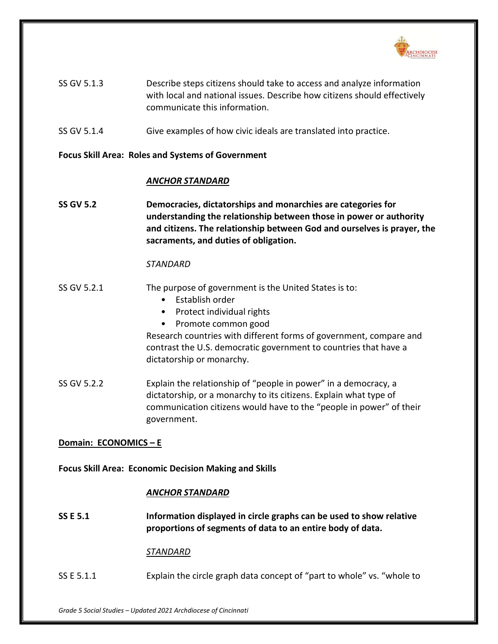

| SS GV 5.1.3 | Describe steps citizens should take to access and analyze information    |
|-------------|--------------------------------------------------------------------------|
|             | with local and national issues. Describe how citizens should effectively |
|             | communicate this information.                                            |

SS GV 5.1.4 Give examples of how civic ideals are translated into practice.

### **Focus Skill Area: Roles and Systems of Government**

### *ANCHOR STANDARD*

**SS GV 5.2 Democracies, dictatorships and monarchies are categories for understanding the relationship between those in power or authority and citizens. The relationship between God and ourselves is prayer, the sacraments, and duties of obligation.**

### *STANDARD*

- SS GV 5.2.1 The purpose of government is the United States is to:
	- Establish order
	- Protect individual rights
	- Promote common good

Research countries with different forms of government, compare and contrast the U.S. democratic government to countries that have a dictatorship or monarchy.

SS GV 5.2.2 Explain the relationship of "people in power" in a democracy, a dictatorship, or a monarchy to its citizens. Explain what type of communication citizens would have to the "people in power" of their government.

# **Domain: ECONOMICS – E**

**Focus Skill Area: Economic Decision Making and Skills**

### *ANCHOR STANDARD*

**SS E 5.1 Information displayed in circle graphs can be used to show relative proportions of segments of data to an entire body of data.**

### *STANDARD*

SS E 5.1.1 Explain the circle graph data concept of "part to whole" vs. "whole to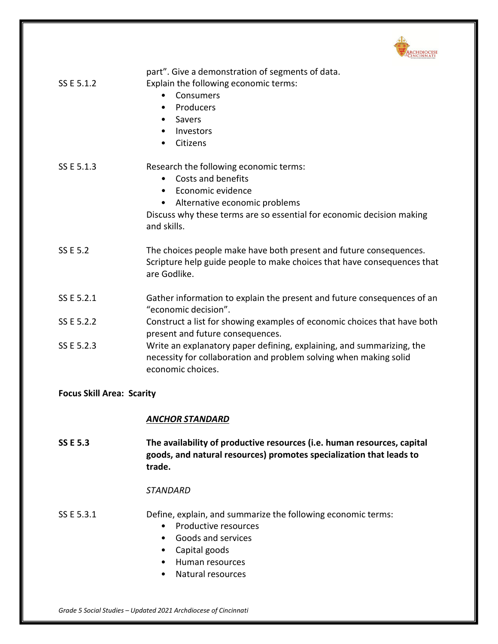

| SS E 5.1.2                       | part". Give a demonstration of segments of data.<br>Explain the following economic terms:<br>Consumers<br>$\bullet$<br>Producers<br>$\bullet$<br>Savers<br>$\bullet$<br>Investors<br>$\bullet$<br>Citizens<br>$\bullet$              |
|----------------------------------|--------------------------------------------------------------------------------------------------------------------------------------------------------------------------------------------------------------------------------------|
| SS E 5.1.3                       | Research the following economic terms:<br>Costs and benefits<br>Economic evidence<br>$\bullet$<br>Alternative economic problems<br>$\bullet$<br>Discuss why these terms are so essential for economic decision making<br>and skills. |
| <b>SS E 5.2</b>                  | The choices people make have both present and future consequences.<br>Scripture help guide people to make choices that have consequences that<br>are Godlike.                                                                        |
| SS E 5.2.1                       | Gather information to explain the present and future consequences of an<br>"economic decision".                                                                                                                                      |
| SS E 5.2.2                       | Construct a list for showing examples of economic choices that have both<br>present and future consequences.                                                                                                                         |
| SS E 5.2.3                       | Write an explanatory paper defining, explaining, and summarizing, the<br>necessity for collaboration and problem solving when making solid<br>economic choices.                                                                      |
| <b>Focus Skill Area: Scarity</b> |                                                                                                                                                                                                                                      |
|                                  | <b>ANCHOR STANDARD</b>                                                                                                                                                                                                               |
| <b>SS E 5.3</b>                  | The availability of productive resources (i.e. human resources, capital<br>goods, and natural resources) promotes specialization that leads to<br>trade.                                                                             |

### *STANDARD*

# SS E 5.3.1 Define, explain, and summarize the following economic terms:

- Productive resources
- Goods and services
- Capital goods
- Human resources
- Natural resources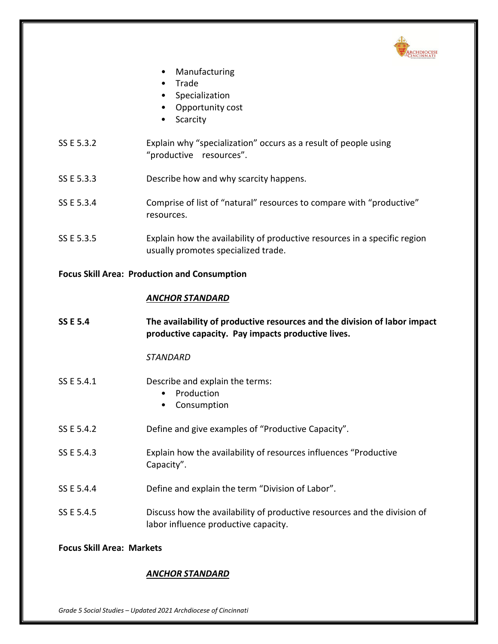

- **Manufacturing**
- Trade
- Specialization
- Opportunity cost
- Scarcity
- SS E 5.3.2 Explain why "specialization" occurs as a result of people using "productive resources".
- SS E 5.3.3 Describe how and why scarcity happens.
- SS E 5.3.4 Comprise of list of "natural" resources to compare with "productive" resources.
- SS E 5.3.5 Explain how the availability of productive resources in a specific region usually promotes specialized trade.

# **Focus Skill Area: Production and Consumption**

# *ANCHOR STANDARD*

**SS E 5.4 The availability of productive resources and the division of labor impact productive capacity. Pay impacts productive lives.**

# *STANDARD*

- SS E 5.4.1 Describe and explain the terms:
	- Production
	- Consumption
- SS E 5.4.2 Define and give examples of "Productive Capacity".
- SS E 5.4.3 Explain how the availability of resources influences "Productive Capacity".
- SS E 5.4.4 Define and explain the term "Division of Labor".
- SS E 5.4.5 Discuss how the availability of productive resources and the division of labor influence productive capacity.

# **Focus Skill Area: Markets**

# *ANCHOR STANDARD*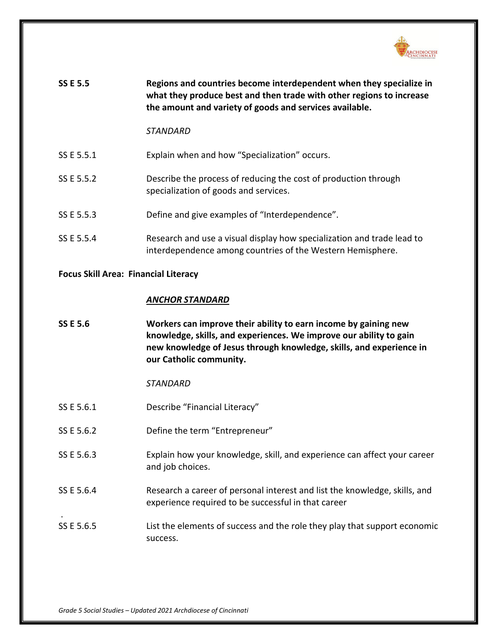

| <b>SS E 5.5</b> | Regions and countries become interdependent when they specialize in<br>what they produce best and then trade with other regions to increase<br>the amount and variety of goods and services available. |
|-----------------|--------------------------------------------------------------------------------------------------------------------------------------------------------------------------------------------------------|
|                 | STANDARD                                                                                                                                                                                               |
| SS E 5.5.1      | Explain when and how "Specialization" occurs.                                                                                                                                                          |
| SS E 5.5.2      | Describe the process of reducing the cost of production through<br>specialization of goods and services.                                                                                               |
| SS E 5.5.3      | Define and give examples of "Interdependence".                                                                                                                                                         |
| SS E 5.5.4      | Research and use a visual display how specialization and trade lead to<br>interdependence among countries of the Western Hemisphere.                                                                   |

### **Focus Skill Area: Financial Literacy**

### *ANCHOR STANDARD*

| <b>SS E 5.6</b> | Workers can improve their ability to earn income by gaining new     |
|-----------------|---------------------------------------------------------------------|
|                 | knowledge, skills, and experiences. We improve our ability to gain  |
|                 | new knowledge of Jesus through knowledge, skills, and experience in |
|                 | our Catholic community.                                             |

*STANDARD*

- SS E 5.6.1 Describe "Financial Literacy"
- SS E 5.6.2 Define the term "Entrepreneur"
- SS E 5.6.3 Explain how your knowledge, skill, and experience can affect your career and job choices.
- SS E 5.6.4 Research a career of personal interest and list the knowledge, skills, and experience required to be successful in that career
- SS E 5.6.5 List the elements of success and the role they play that support economic success.

.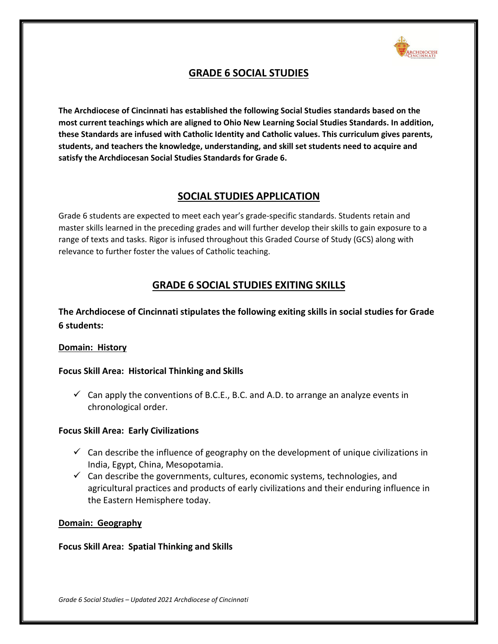

# **GRADE 6 SOCIAL STUDIES**

**The Archdiocese of Cincinnati has established the following Social Studies standards based on the most current teachings which are aligned to Ohio New Learning Social Studies Standards. In addition, these Standards are infused with Catholic Identity and Catholic values. This curriculum gives parents, students, and teachers the knowledge, understanding, and skill set students need to acquire and satisfy the Archdiocesan Social Studies Standards for Grade 6.**

## **SOCIAL STUDIES APPLICATION**

Grade 6 students are expected to meet each year's grade-specific standards. Students retain and master skills learned in the preceding grades and will further develop their skills to gain exposure to a range of texts and tasks. Rigor is infused throughout this Graded Course of Study (GCS) along with relevance to further foster the values of Catholic teaching.

# **GRADE 6 SOCIAL STUDIES EXITING SKILLS**

**The Archdiocese of Cincinnati stipulates the following exiting skills in social studies for Grade 6 students:**

## **Domain: History**

## **Focus Skill Area: Historical Thinking and Skills**

 $\checkmark$  Can apply the conventions of B.C.E., B.C. and A.D. to arrange an analyze events in chronological order.

## **Focus Skill Area: Early Civilizations**

- $\checkmark$  Can describe the influence of geography on the development of unique civilizations in India, Egypt, China, Mesopotamia.
- $\checkmark$  Can describe the governments, cultures, economic systems, technologies, and agricultural practices and products of early civilizations and their enduring influence in the Eastern Hemisphere today.

## **Domain: Geography**

## **Focus Skill Area: Spatial Thinking and Skills**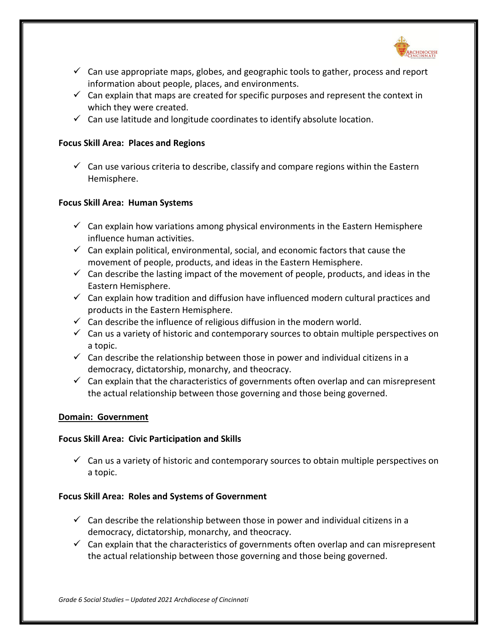

- $\checkmark$  Can use appropriate maps, globes, and geographic tools to gather, process and report information about people, places, and environments.
- $\checkmark$  Can explain that maps are created for specific purposes and represent the context in which they were created.
- $\checkmark$  Can use latitude and longitude coordinates to identify absolute location.

## **Focus Skill Area: Places and Regions**

 $\checkmark$  Can use various criteria to describe, classify and compare regions within the Eastern Hemisphere.

## **Focus Skill Area: Human Systems**

- $\checkmark$  Can explain how variations among physical environments in the Eastern Hemisphere influence human activities.
- $\checkmark$  Can explain political, environmental, social, and economic factors that cause the movement of people, products, and ideas in the Eastern Hemisphere.
- $\checkmark$  Can describe the lasting impact of the movement of people, products, and ideas in the Eastern Hemisphere.
- $\checkmark$  Can explain how tradition and diffusion have influenced modern cultural practices and products in the Eastern Hemisphere.
- $\checkmark$  Can describe the influence of religious diffusion in the modern world.
- $\checkmark$  Can us a variety of historic and contemporary sources to obtain multiple perspectives on a topic.
- $\checkmark$  Can describe the relationship between those in power and individual citizens in a democracy, dictatorship, monarchy, and theocracy.
- $\checkmark$  Can explain that the characteristics of governments often overlap and can misrepresent the actual relationship between those governing and those being governed.

#### **Domain: Government**

## **Focus Skill Area: Civic Participation and Skills**

 $\checkmark$  Can us a variety of historic and contemporary sources to obtain multiple perspectives on a topic.

## **Focus Skill Area: Roles and Systems of Government**

- $\checkmark$  Can describe the relationship between those in power and individual citizens in a democracy, dictatorship, monarchy, and theocracy.
- $\checkmark$  Can explain that the characteristics of governments often overlap and can misrepresent the actual relationship between those governing and those being governed.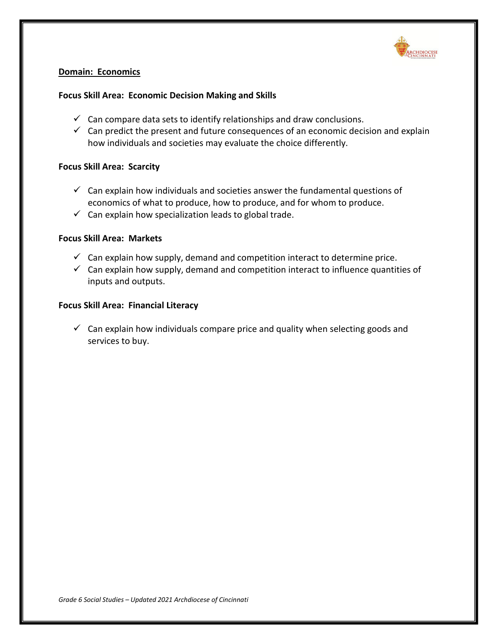

## **Domain: Economics**

## **Focus Skill Area: Economic Decision Making and Skills**

- $\checkmark$  Can compare data sets to identify relationships and draw conclusions.
- $\checkmark$  Can predict the present and future consequences of an economic decision and explain how individuals and societies may evaluate the choice differently.

### **Focus Skill Area: Scarcity**

- $\checkmark$  Can explain how individuals and societies answer the fundamental questions of economics of what to produce, how to produce, and for whom to produce.
- $\checkmark$  Can explain how specialization leads to global trade.

#### **Focus Skill Area: Markets**

- $\checkmark$  Can explain how supply, demand and competition interact to determine price.
- $\checkmark$  Can explain how supply, demand and competition interact to influence quantities of inputs and outputs.

### **Focus Skill Area: Financial Literacy**

 $\checkmark$  Can explain how individuals compare price and quality when selecting goods and services to buy.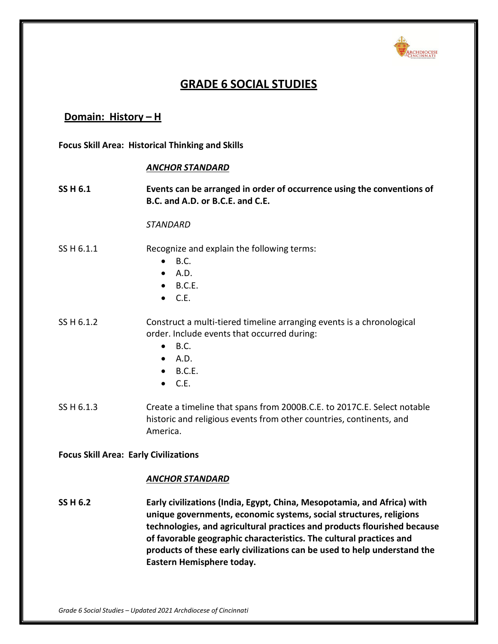

# **GRADE 6 SOCIAL STUDIES**

## **Domain: History – H**

**Focus Skill Area: Historical Thinking and Skills**

### *ANCHOR STANDARD*

**SS H 6.1 Events can be arranged in order of occurrence using the conventions of B.C. and A.D. or B.C.E. and C.E.**

#### *STANDARD*

## SS H 6.1.1 Recognize and explain the following terms:

- $\bullet$  B.C.
- $\bullet$  A.D.
- $\bullet$  B.C.E.
- $\bullet$  C.E.

SS H 6.1.2 Construct a multi-tiered timeline arranging events is a chronological order. Include events that occurred during:

- $\bullet$  B.C.
- $\bullet$  A.D.
- $\bullet$  B.C.E.
- $\bullet$  C.E.
- SS H 6.1.3 Create a timeline that spans from 2000B.C.E. to 2017C.E. Select notable historic and religious events from other countries, continents, and America.

#### **Focus Skill Area: Early Civilizations**

#### *ANCHOR STANDARD*

**SS H 6.2 Early civilizations (India, Egypt, China, Mesopotamia, and Africa) with unique governments, economic systems, social structures, religions technologies, and agricultural practices and products flourished because of favorable geographic characteristics. The cultural practices and products of these early civilizations can be used to help understand the Eastern Hemisphere today.**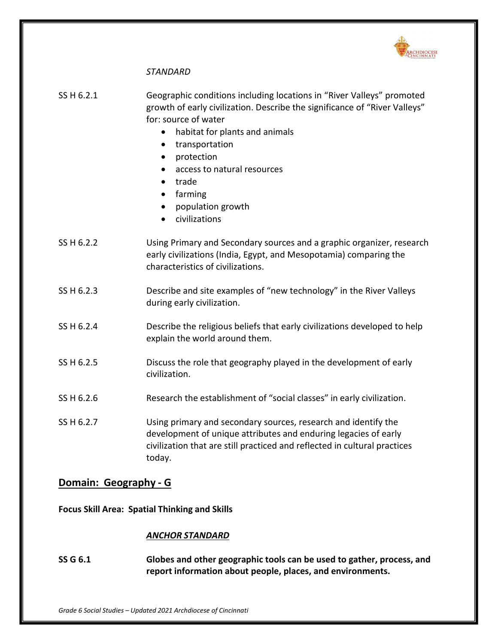

## *STANDARD*

| SS H 6.2.1 | Geographic conditions including locations in "River Valleys" promoted<br>growth of early civilization. Describe the significance of "River Valleys"<br>for: source of water |
|------------|-----------------------------------------------------------------------------------------------------------------------------------------------------------------------------|
|            | • habitat for plants and animals                                                                                                                                            |
|            | transportation<br>$\bullet$                                                                                                                                                 |
|            | protection<br>$\bullet$                                                                                                                                                     |
|            | access to natural resources<br>$\bullet$                                                                                                                                    |
|            | trade                                                                                                                                                                       |

- farming
- population growth
- civilizations
- SS H 6.2.2 Using Primary and Secondary sources and a graphic organizer, research early civilizations (India, Egypt, and Mesopotamia) comparing the characteristics of civilizations.
- SS H 6.2.3 Describe and site examples of "new technology" in the River Valleys during early civilization.
- SS H 6.2.4 Describe the religious beliefs that early civilizations developed to help explain the world around them.
- SS H 6.2.5 Discuss the role that geography played in the development of early civilization.
- SS H 6.2.6 Research the establishment of "social classes" in early civilization.
- SS H 6.2.7 Using primary and secondary sources, research and identify the development of unique attributes and enduring legacies of early civilization that are still practiced and reflected in cultural practices today.

## **Domain: Geography - G**

**Focus Skill Area: Spatial Thinking and Skills**

#### *ANCHOR STANDARD*

**SS G 6.1 Globes and other geographic tools can be used to gather, process, and report information about people, places, and environments.**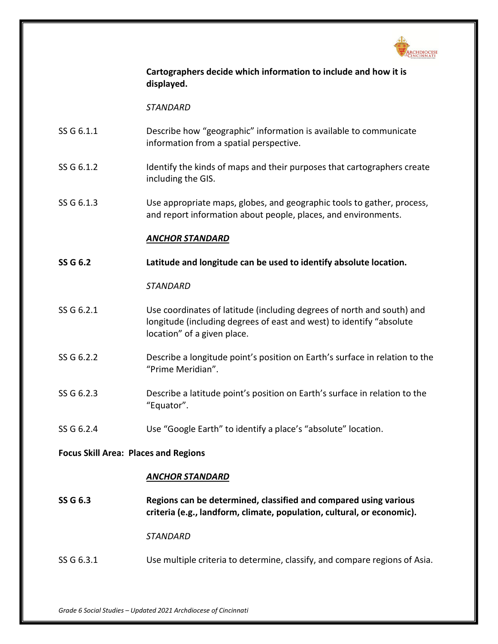

**Cartographers decide which information to include and how it is displayed.**

*STANDARD*

- SS G 6.1.1 Describe how "geographic" information is available to communicate information from a spatial perspective.
- SS G 6.1.2 Identify the kinds of maps and their purposes that cartographers create including the GIS.
- SS G 6.1.3 Use appropriate maps, globes, and geographic tools to gather, process, and report information about people, places, and environments.

### *ANCHOR STANDARD*

**SS G 6.2 Latitude and longitude can be used to identify absolute location.**

*STANDARD*

- SS G 6.2.1 Use coordinates of latitude (including degrees of north and south) and longitude (including degrees of east and west) to identify "absolute location" of a given place.
- SS G 6.2.2 Describe a longitude point's position on Earth's surface in relation to the "Prime Meridian".
- SS G 6.2.3 Describe a latitude point's position on Earth's surface in relation to the "Equator".
- SS G 6.2.4 Use "Google Earth" to identify a place's "absolute" location.

#### **Focus Skill Area: Places and Regions**

### *ANCHOR STANDARD*

**SS G 6.3 Regions can be determined, classified and compared using various criteria (e.g., landform, climate, population, cultural, or economic).**

*STANDARD*

SS G 6.3.1 Use multiple criteria to determine, classify, and compare regions of Asia.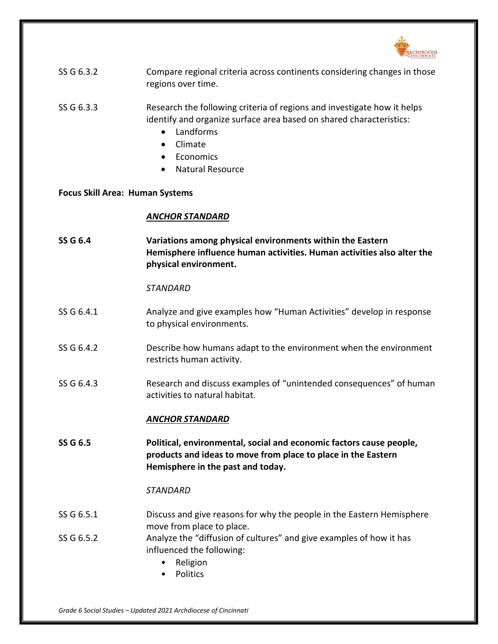

| SS G 6.3.2 | Compare regional criteria across continents considering changes in those |
|------------|--------------------------------------------------------------------------|
|            | regions over time.                                                       |

SS G 6.3.3 Research the following criteria of regions and investigate how it helps identify and organize surface area based on shared characteristics:

- Landforms
- Climate
- Economics
- Natural Resource

**Focus Skill Area: Human Systems**

### *ANCHOR STANDARD*

**SS G 6.4 Variations among physical environments within the Eastern Hemisphere influence human activities. Human activities also alter the physical environment.**

*STANDARD*

- SS G 6.4.1 Analyze and give examples how "Human Activities" develop in response to physical environments.
- SS G 6.4.2 Describe how humans adapt to the environment when the environment restricts human activity.
- SS G 6.4.3 Research and discuss examples of "unintended consequences" of human activities to natural habitat.

## *ANCHOR STANDARD*

**SS G 6.5 Political, environmental, social and economic factors cause people, products and ideas to move from place to place in the Eastern Hemisphere in the past and today.**

- SS G 6.5.1 Discuss and give reasons for why the people in the Eastern Hemisphere move from place to place.
- SS G 6.5.2 Analyze the "diffusion of cultures" and give examples of how it has influenced the following:
	- Religion
	- Politics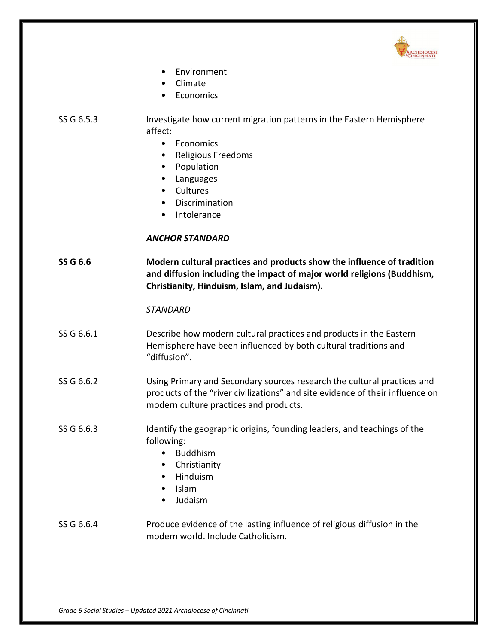

- **Environment**
- Climate
- Economics
- SS G 6.5.3 Investigate how current migration patterns in the Eastern Hemisphere affect:
	- Economics
	- Religious Freedoms
	- Population
	- Languages
	- Cultures
	- Discrimination
	- **Intolerance**

## *ANCHOR STANDARD*

**SS G 6.6 Modern cultural practices and products show the influence of tradition and diffusion including the impact of major world religions (Buddhism, Christianity, Hinduism, Islam, and Judaism).**

### *STANDARD*

- SS G 6.6.1 Describe how modern cultural practices and products in the Eastern Hemisphere have been influenced by both cultural traditions and "diffusion".
- SS G 6.6.2 Using Primary and Secondary sources research the cultural practices and products of the "river civilizations" and site evidence of their influence on modern culture practices and products.
- SS G 6.6.3 Identify the geographic origins, founding leaders, and teachings of the following:
	- Buddhism
	- Christianity
	- Hinduism
	- Islam
	- Judaism

## SS G 6.6.4 Produce evidence of the lasting influence of religious diffusion in the modern world. Include Catholicism.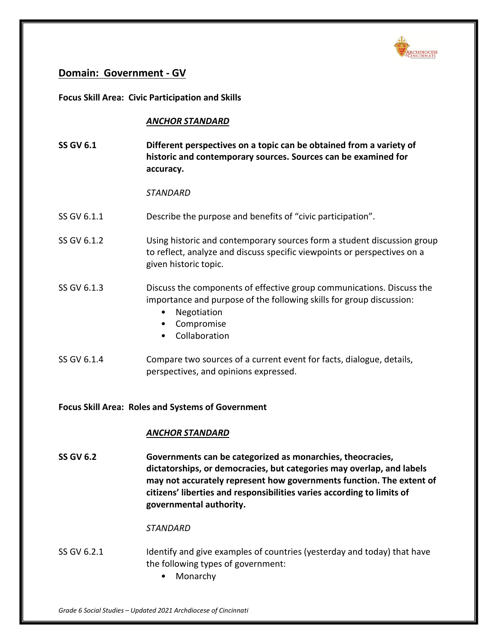

## **Domain: Government - GV**

**Focus Skill Area: Civic Participation and Skills**

## *ANCHOR STANDARD*

**SS GV 6.1 Different perspectives on a topic can be obtained from a variety of historic and contemporary sources. Sources can be examined for accuracy.**

*STANDARD*

- SS GV 6.1.1 Describe the purpose and benefits of "civic participation".
- SS GV 6.1.2 Using historic and contemporary sources form a student discussion group to reflect, analyze and discuss specific viewpoints or perspectives on a given historic topic.
- SS GV 6.1.3 Discuss the components of effective group communications. Discuss the importance and purpose of the following skills for group discussion:
	- Negotiation
	- Compromise
	- Collaboration
- SS GV 6.1.4 Compare two sources of a current event for facts, dialogue, details, perspectives, and opinions expressed.

**Focus Skill Area: Roles and Systems of Government**

## *ANCHOR STANDARD*

**SS GV 6.2 Governments can be categorized as monarchies, theocracies, dictatorships, or democracies, but categories may overlap, and labels may not accurately represent how governments function. The extent of citizens' liberties and responsibilities varies according to limits of governmental authority.**

- SS GV 6.2.1 Identify and give examples of countries (yesterday and today) that have the following types of government:
	- Monarchy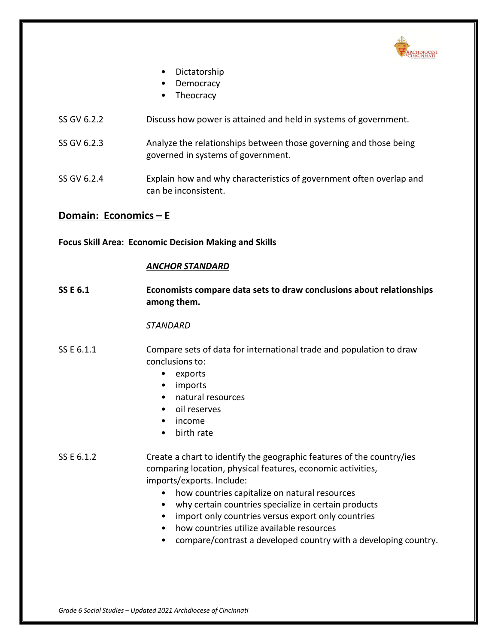

- Dictatorship
- Democracy
- Theocracy
- SS GV 6.2.2 Discuss how power is attained and held in systems of government.
- SS GV 6.2.3 Analyze the relationships between those governing and those being governed in systems of government.
- SS GV 6.2.4 Explain how and why characteristics of government often overlap and can be inconsistent.

## **Domain: Economics – E**

**Focus Skill Area: Economic Decision Making and Skills**

### *ANCHOR STANDARD*

**SS E 6.1 Economists compare data sets to draw conclusions about relationships among them.**

#### *STANDARD*

- SS E 6.1.1 Compare sets of data for international trade and population to draw conclusions to:
	- exports
	- imports
	- natural resources
	- oil reserves
	- income
	- birth rate

## SS E 6.1.2 Create a chart to identify the geographic features of the country/ies comparing location, physical features, economic activities, imports/exports. Include:

- how countries capitalize on natural resources
- why certain countries specialize in certain products
- import only countries versus export only countries
- how countries utilize available resources
- compare/contrast a developed country with a developing country.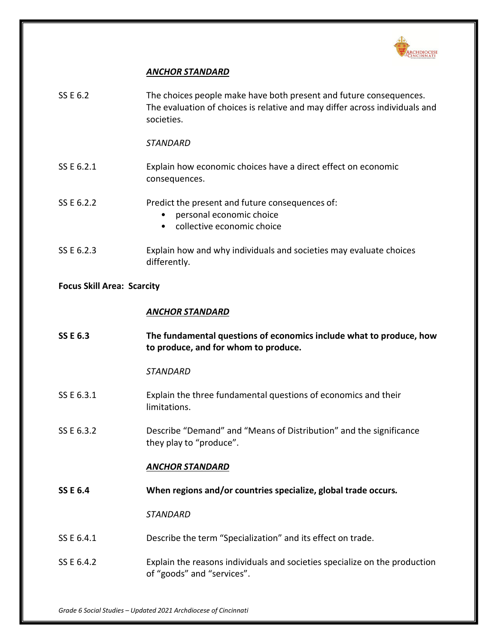

## *ANCHOR STANDARD*

| SS E 6.2                          | The choices people make have both present and future consequences.<br>The evaluation of choices is relative and may differ across individuals and<br>societies. |
|-----------------------------------|-----------------------------------------------------------------------------------------------------------------------------------------------------------------|
|                                   | <b>STANDARD</b>                                                                                                                                                 |
| SS E 6.2.1                        | Explain how economic choices have a direct effect on economic<br>consequences.                                                                                  |
| SS E 6.2.2                        | Predict the present and future consequences of:<br>personal economic choice<br>collective economic choice                                                       |
| SS E 6.2.3                        | Explain how and why individuals and societies may evaluate choices<br>differently.                                                                              |
| <b>Focus Skill Area: Scarcity</b> |                                                                                                                                                                 |
|                                   | <b>ANCHOR STANDARD</b>                                                                                                                                          |
| <b>SS E 6.3</b>                   | The fundamental questions of economics include what to produce, how<br>to produce, and for whom to produce.                                                     |
|                                   | <b>STANDARD</b>                                                                                                                                                 |
| SS E 6.3.1                        | Explain the three fundamental questions of economics and their<br>limitations.                                                                                  |
| SS E 6.3.2                        | Describe "Demand" and "Means of Distribution" and the significance<br>they play to "produce".                                                                   |
|                                   | ANCHOR STANDARD                                                                                                                                                 |
| <b>SS E 6.4</b>                   | When regions and/or countries specialize, global trade occurs.                                                                                                  |
|                                   | <b>STANDARD</b>                                                                                                                                                 |
| SS E 6.4.1                        | Describe the term "Specialization" and its effect on trade.                                                                                                     |
| SS E 6.4.2                        | Explain the reasons individuals and societies specialize on the production<br>of "goods" and "services".                                                        |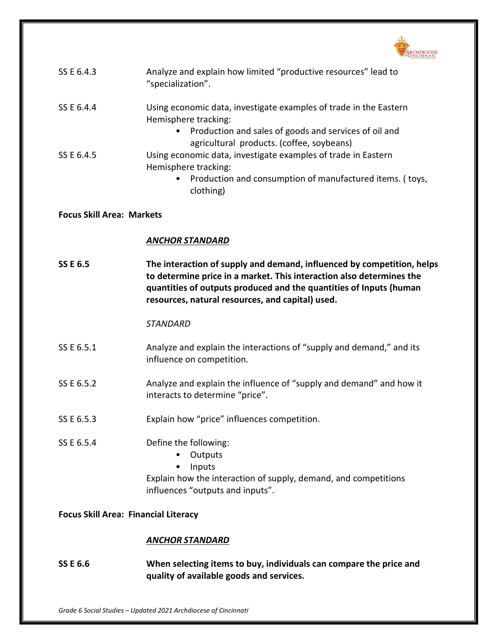

| SS E 6.4.3                                  | Analyze and explain how limited "productive resources" lead to<br>"specialization".                                                                                                                                                                                      |
|---------------------------------------------|--------------------------------------------------------------------------------------------------------------------------------------------------------------------------------------------------------------------------------------------------------------------------|
| SS E 6.4.4                                  | Using economic data, investigate examples of trade in the Eastern<br>Hemisphere tracking:<br>Production and sales of goods and services of oil and                                                                                                                       |
| SS E 6.4.5                                  | agricultural products. (coffee, soybeans)<br>Using economic data, investigate examples of trade in Eastern<br>Hemisphere tracking:<br>Production and consumption of manufactured items. (toys,<br>٠<br>clothing)                                                         |
| <b>Focus Skill Area: Markets</b>            |                                                                                                                                                                                                                                                                          |
|                                             | <b>ANCHOR STANDARD</b>                                                                                                                                                                                                                                                   |
| <b>SS E 6.5</b>                             | The interaction of supply and demand, influenced by competition, helps<br>to determine price in a market. This interaction also determines the<br>quantities of outputs produced and the quantities of Inputs (human<br>resources, natural resources, and capital) used. |
|                                             | <b>STANDARD</b>                                                                                                                                                                                                                                                          |
| SS E 6.5.1                                  | Analyze and explain the interactions of "supply and demand," and its<br>influence on competition.                                                                                                                                                                        |
| SS E 6.5.2                                  | Analyze and explain the influence of "supply and demand" and how it<br>interacts to determine "price".                                                                                                                                                                   |
| SS E 6.5.3                                  | Explain how "price" influences competition.                                                                                                                                                                                                                              |
| SS E 6.5.4                                  | Define the following:<br>Outputs<br>Inputs<br>٠<br>Explain how the interaction of supply, demand, and competitions<br>influences "outputs and inputs".                                                                                                                   |
| <b>Focus Skill Area: Financial Literacy</b> |                                                                                                                                                                                                                                                                          |
|                                             | <b>ANCHOR STANDARD</b>                                                                                                                                                                                                                                                   |
| <b>SS E 6.6</b>                             | When selecting items to buy, individuals can compare the price and<br>quality of available goods and services.                                                                                                                                                           |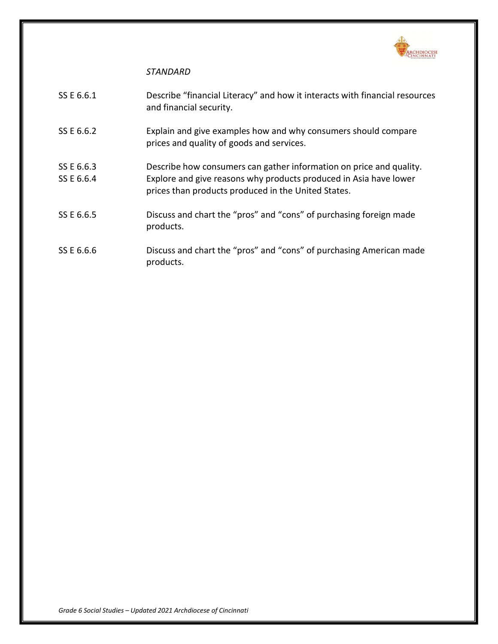

| SS E 6.6.1 | Describe "financial Literacy" and how it interacts with financial resources<br>and financial security.                   |
|------------|--------------------------------------------------------------------------------------------------------------------------|
| SS E 6.6.2 | Explain and give examples how and why consumers should compare<br>prices and quality of goods and services.              |
| SS E 6.6.3 | Describe how consumers can gather information on price and quality.                                                      |
| SS E 6.6.4 | Explore and give reasons why products produced in Asia have lower<br>prices than products produced in the United States. |
| SS E 6.6.5 | Discuss and chart the "pros" and "cons" of purchasing foreign made<br>products.                                          |
| SS E 6.6.6 | Discuss and chart the "pros" and "cons" of purchasing American made<br>products.                                         |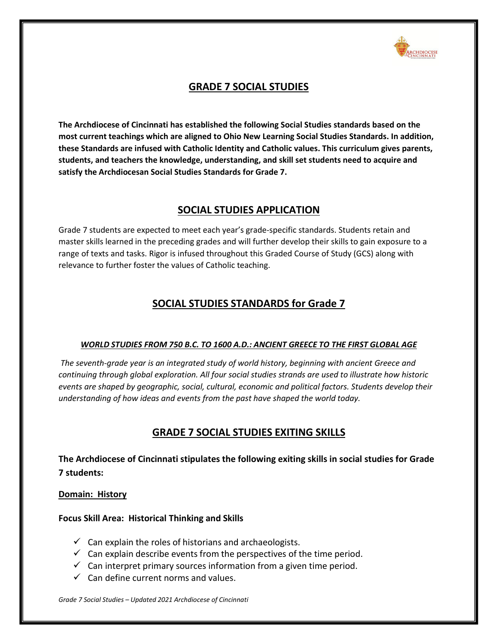

# **GRADE 7 SOCIAL STUDIES**

**The Archdiocese of Cincinnati has established the following Social Studies standards based on the most current teachings which are aligned to Ohio New Learning Social Studies Standards. In addition, these Standards are infused with Catholic Identity and Catholic values. This curriculum gives parents, students, and teachers the knowledge, understanding, and skill set students need to acquire and satisfy the Archdiocesan Social Studies Standards for Grade 7.**

## **SOCIAL STUDIES APPLICATION**

Grade 7 students are expected to meet each year's grade-specific standards. Students retain and master skills learned in the preceding grades and will further develop their skills to gain exposure to a range of texts and tasks. Rigor is infused throughout this Graded Course of Study (GCS) along with relevance to further foster the values of Catholic teaching.

# **SOCIAL STUDIES STANDARDS for Grade 7**

## *WORLD STUDIES FROM 750 B.C. TO 1600 A.D.: ANCIENT GREECE TO THE FIRST GLOBAL AGE*

*The seventh-grade year is an integrated study of world history, beginning with ancient Greece and continuing through global exploration. All four social studies strands are used to illustrate how historic events are shaped by geographic, social, cultural, economic and political factors. Students develop their understanding of how ideas and events from the past have shaped the world today.*

# **GRADE 7 SOCIAL STUDIES EXITING SKILLS**

**The Archdiocese of Cincinnati stipulates the following exiting skills in social studies for Grade 7 students:**

## **Domain: History**

## **Focus Skill Area: Historical Thinking and Skills**

- $\checkmark$  Can explain the roles of historians and archaeologists.
- $\checkmark$  Can explain describe events from the perspectives of the time period.
- $\checkmark$  Can interpret primary sources information from a given time period.
- $\checkmark$  Can define current norms and values.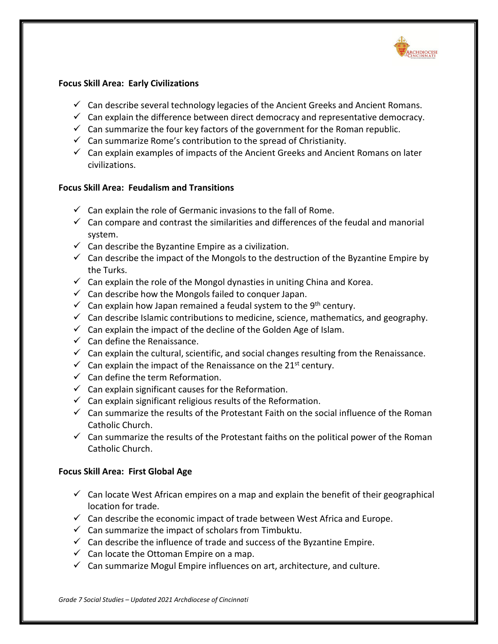

## **Focus Skill Area: Early Civilizations**

- $\checkmark$  Can describe several technology legacies of the Ancient Greeks and Ancient Romans.
- $\checkmark$  Can explain the difference between direct democracy and representative democracy.
- $\checkmark$  Can summarize the four key factors of the government for the Roman republic.
- $\checkmark$  Can summarize Rome's contribution to the spread of Christianity.
- $\checkmark$  Can explain examples of impacts of the Ancient Greeks and Ancient Romans on later civilizations.

## **Focus Skill Area: Feudalism and Transitions**

- $\checkmark$  Can explain the role of Germanic invasions to the fall of Rome.
- $\checkmark$  Can compare and contrast the similarities and differences of the feudal and manorial system.
- $\checkmark$  Can describe the Byzantine Empire as a civilization.
- $\checkmark$  Can describe the impact of the Mongols to the destruction of the Byzantine Empire by the Turks.
- $\checkmark$  Can explain the role of the Mongol dynasties in uniting China and Korea.
- $\checkmark$  Can describe how the Mongols failed to conquer Japan.
- $\checkmark$  Can explain how Japan remained a feudal system to the 9<sup>th</sup> century.
- $\checkmark$  Can describe Islamic contributions to medicine, science, mathematics, and geography.
- $\checkmark$  Can explain the impact of the decline of the Golden Age of Islam.
- $\checkmark$  Can define the Renaissance.
- $\checkmark$  Can explain the cultural, scientific, and social changes resulting from the Renaissance.
- $\checkmark$  Can explain the impact of the Renaissance on the 21<sup>st</sup> century.
- $\checkmark$  Can define the term Reformation.
- $\checkmark$  Can explain significant causes for the Reformation.
- $\checkmark$  Can explain significant religious results of the Reformation.
- $\checkmark$  Can summarize the results of the Protestant Faith on the social influence of the Roman Catholic Church.
- $\checkmark$  Can summarize the results of the Protestant faiths on the political power of the Roman Catholic Church.

#### **Focus Skill Area: First Global Age**

- $\checkmark$  Can locate West African empires on a map and explain the benefit of their geographical location for trade.
- $\checkmark$  Can describe the economic impact of trade between West Africa and Europe.
- $\checkmark$  Can summarize the impact of scholars from Timbuktu.
- $\checkmark$  Can describe the influence of trade and success of the Byzantine Empire.
- $\checkmark$  Can locate the Ottoman Empire on a map.
- $\checkmark$  Can summarize Mogul Empire influences on art, architecture, and culture.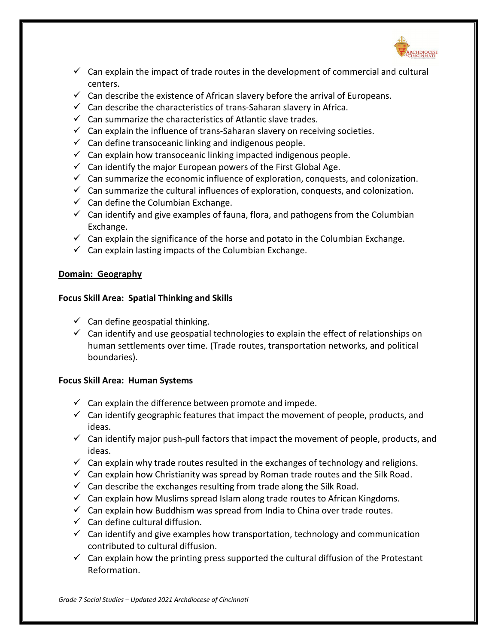

- $\checkmark$  Can explain the impact of trade routes in the development of commercial and cultural centers.
- $\checkmark$  Can describe the existence of African slavery before the arrival of Europeans.
- $\checkmark$  Can describe the characteristics of trans-Saharan slavery in Africa.
- $\checkmark$  Can summarize the characteristics of Atlantic slave trades.
- $\checkmark$  Can explain the influence of trans-Saharan slavery on receiving societies.
- $\checkmark$  Can define transoceanic linking and indigenous people.
- $\checkmark$  Can explain how transoceanic linking impacted indigenous people.
- $\checkmark$  Can identify the major European powers of the First Global Age.
- $\checkmark$  Can summarize the economic influence of exploration, conquests, and colonization.
- $\checkmark$  Can summarize the cultural influences of exploration, conquests, and colonization.
- $\checkmark$  Can define the Columbian Exchange.
- $\checkmark$  Can identify and give examples of fauna, flora, and pathogens from the Columbian Exchange.
- $\checkmark$  Can explain the significance of the horse and potato in the Columbian Exchange.
- $\checkmark$  Can explain lasting impacts of the Columbian Exchange.

## **Domain: Geography**

### **Focus Skill Area: Spatial Thinking and Skills**

- $\checkmark$  Can define geospatial thinking.
- $\checkmark$  Can identify and use geospatial technologies to explain the effect of relationships on human settlements over time. (Trade routes, transportation networks, and political boundaries).

## **Focus Skill Area: Human Systems**

- $\checkmark$  Can explain the difference between promote and impede.
- $\checkmark$  Can identify geographic features that impact the movement of people, products, and ideas.
- $\checkmark$  Can identify major push-pull factors that impact the movement of people, products, and ideas.
- $\checkmark$  Can explain why trade routes resulted in the exchanges of technology and religions.
- $\checkmark$  Can explain how Christianity was spread by Roman trade routes and the Silk Road.
- $\checkmark$  Can describe the exchanges resulting from trade along the Silk Road.
- $\checkmark$  Can explain how Muslims spread Islam along trade routes to African Kingdoms.
- $\checkmark$  Can explain how Buddhism was spread from India to China over trade routes.
- $\checkmark$  Can define cultural diffusion.
- $\checkmark$  Can identify and give examples how transportation, technology and communication contributed to cultural diffusion.
- $\checkmark$  Can explain how the printing press supported the cultural diffusion of the Protestant Reformation.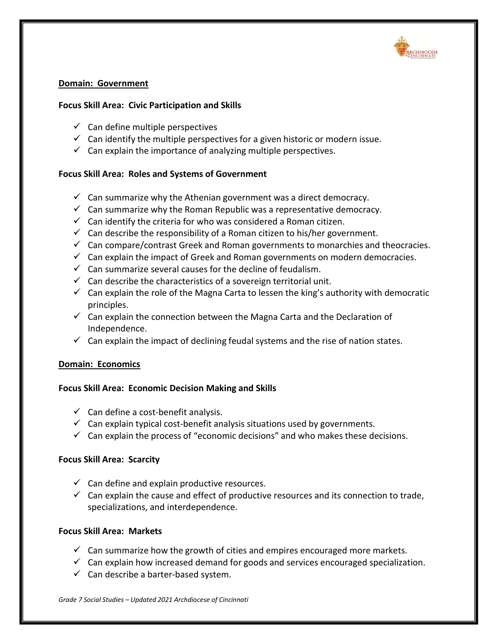

## **Domain: Government**

## **Focus Skill Area: Civic Participation and Skills**

- $\checkmark$  Can define multiple perspectives
- $\checkmark$  Can identify the multiple perspectives for a given historic or modern issue.
- $\checkmark$  Can explain the importance of analyzing multiple perspectives.

## **Focus Skill Area: Roles and Systems of Government**

- $\checkmark$  Can summarize why the Athenian government was a direct democracy.
- $\checkmark$  Can summarize why the Roman Republic was a representative democracy.
- $\checkmark$  Can identify the criteria for who was considered a Roman citizen.
- $\checkmark$  Can describe the responsibility of a Roman citizen to his/her government.
- $\checkmark$  Can compare/contrast Greek and Roman governments to monarchies and theocracies.
- $\checkmark$  Can explain the impact of Greek and Roman governments on modern democracies.
- $\checkmark$  Can summarize several causes for the decline of feudalism.
- $\checkmark$  Can describe the characteristics of a sovereign territorial unit.
- $\checkmark$  Can explain the role of the Magna Carta to lessen the king's authority with democratic principles.
- $\checkmark$  Can explain the connection between the Magna Carta and the Declaration of Independence.
- $\checkmark$  Can explain the impact of declining feudal systems and the rise of nation states.

## **Domain: Economics**

## **Focus Skill Area: Economic Decision Making and Skills**

- $\checkmark$  Can define a cost-benefit analysis.
- $\checkmark$  Can explain typical cost-benefit analysis situations used by governments.
- $\checkmark$  Can explain the process of "economic decisions" and who makes these decisions.

## **Focus Skill Area: Scarcity**

- $\checkmark$  Can define and explain productive resources.
- $\checkmark$  Can explain the cause and effect of productive resources and its connection to trade, specializations, and interdependence.

## **Focus Skill Area: Markets**

- $\checkmark$  Can summarize how the growth of cities and empires encouraged more markets.
- $\checkmark$  Can explain how increased demand for goods and services encouraged specialization.
- $\checkmark$  Can describe a barter-based system.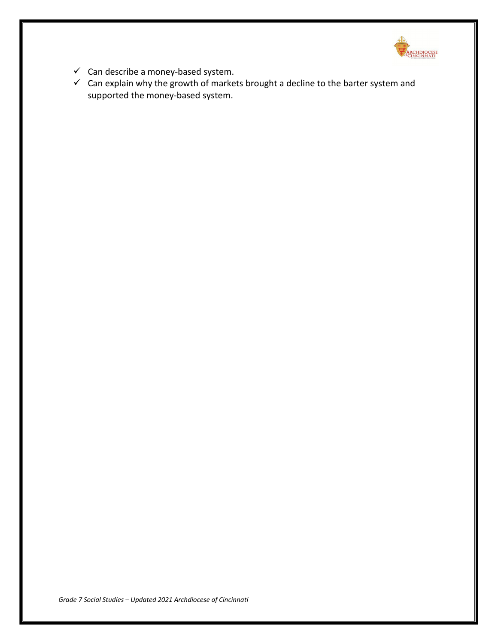

- $\checkmark$  Can describe a money-based system.
- $\checkmark$  Can explain why the growth of markets brought a decline to the barter system and supported the money-based system.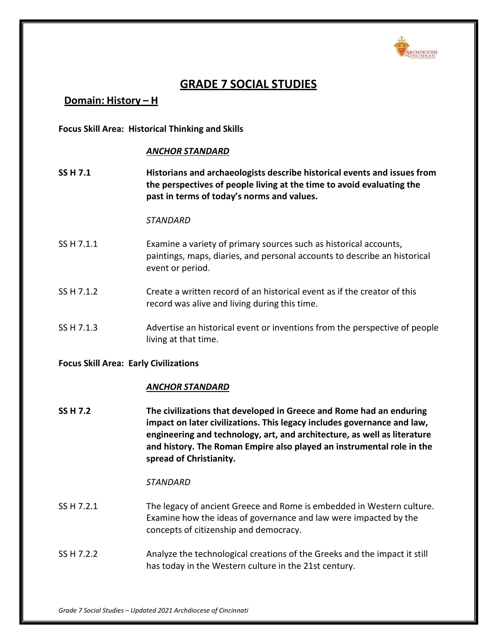

# **GRADE 7 SOCIAL STUDIES**

**Domain: History – H**

**Focus Skill Area: Historical Thinking and Skills**

### *ANCHOR STANDARD*

**SS H 7.1 Historians and archaeologists describe historical events and issues from the perspectives of people living at the time to avoid evaluating the past in terms of today's norms and values.**

#### *STANDARD*

- SS H 7.1.1 Examine a variety of primary sources such as historical accounts, paintings, maps, diaries, and personal accounts to describe an historical event or period.
- SS H 7.1.2 Create a written record of an historical event as if the creator of this record was alive and living during this time.
- SS H 7.1.3 Advertise an historical event or inventions from the perspective of people living at that time.

#### **Focus Skill Area: Early Civilizations**

## *ANCHOR STANDARD*

**SS H 7.2 The civilizations that developed in Greece and Rome had an enduring impact on later civilizations. This legacy includes governance and law, engineering and technology, art, and architecture, as well as literature and history. The Roman Empire also played an instrumental role in the spread of Christianity.**

- SS H 7.2.1 The legacy of ancient Greece and Rome is embedded in Western culture. Examine how the ideas of governance and law were impacted by the concepts of citizenship and democracy.
- SS H 7.2.2 Analyze the technological creations of the Greeks and the impact it still has today in the Western culture in the 21st century.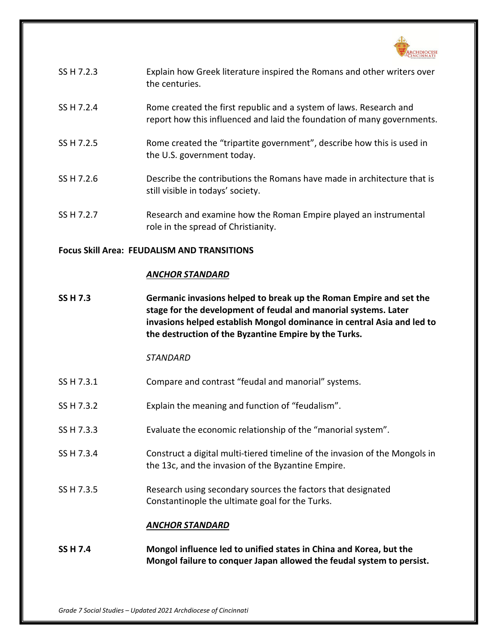

| SS H 7.2.3 | Explain how Greek literature inspired the Romans and other writers over<br>the centuries.                                                     |
|------------|-----------------------------------------------------------------------------------------------------------------------------------------------|
| SS H 7.2.4 | Rome created the first republic and a system of laws. Research and<br>report how this influenced and laid the foundation of many governments. |
| SS H 7.2.5 | Rome created the "tripartite government", describe how this is used in<br>the U.S. government today.                                          |
| SS H 7.2.6 | Describe the contributions the Romans have made in architecture that is<br>still visible in todays' society.                                  |
| SS H 7.2.7 | Research and examine how the Roman Empire played an instrumental                                                                              |

## **Focus Skill Area: FEUDALISM AND TRANSITIONS**

#### *ANCHOR STANDARD*

**SS H 7.3 Germanic invasions helped to break up the Roman Empire and set the stage for the development of feudal and manorial systems. Later invasions helped establish Mongol dominance in central Asia and led to the destruction of the Byzantine Empire by the Turks.**

#### *STANDARD*

SS H 7.3.1 Compare and contrast "feudal and manorial" systems.

role in the spread of Christianity.

- SS H 7.3.2 Explain the meaning and function of "feudalism".
- SS H 7.3.3 Evaluate the economic relationship of the "manorial system".
- SS H 7.3.4 Construct a digital multi-tiered timeline of the invasion of the Mongols in the 13c, and the invasion of the Byzantine Empire.
- SS H 7.3.5 Research using secondary sources the factors that designated Constantinople the ultimate goal for the Turks.

#### *ANCHOR STANDARD*

**SS H 7.4 Mongol influence led to unified states in China and Korea, but the Mongol failure to conquer Japan allowed the feudal system to persist.**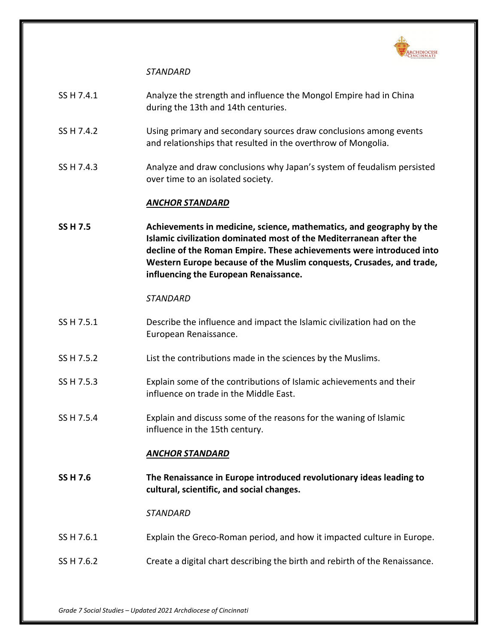

## *STANDARD*

| SS H 7.4.1 | Analyze the strength and influence the Mongol Empire had in China |
|------------|-------------------------------------------------------------------|
|            | during the 13th and 14th centuries.                               |

- SS H 7.4.2 Using primary and secondary sources draw conclusions among events and relationships that resulted in the overthrow of Mongolia.
- SS H 7.4.3 Analyze and draw conclusions why Japan's system of feudalism persisted over time to an isolated society.

### *ANCHOR STANDARD*

**SS H 7.5 Achievements in medicine, science, mathematics, and geography by the Islamic civilization dominated most of the Mediterranean after the decline of the Roman Empire. These achievements were introduced into Western Europe because of the Muslim conquests, Crusades, and trade, influencing the European Renaissance.**

#### *STANDARD*

- SS H 7.5.1 Describe the influence and impact the Islamic civilization had on the European Renaissance.
- SS H 7.5.2 List the contributions made in the sciences by the Muslims.
- SS H 7.5.3 Explain some of the contributions of Islamic achievements and their influence on trade in the Middle East.
- SS H 7.5.4 Explain and discuss some of the reasons for the waning of Islamic influence in the 15th century.

## *ANCHOR STANDARD*

**SS H 7.6 The Renaissance in Europe introduced revolutionary ideas leading to cultural, scientific, and social changes.**

- SS H 7.6.1 Explain the Greco-Roman period, and how it impacted culture in Europe.
- SS H 7.6.2 Create a digital chart describing the birth and rebirth of the Renaissance.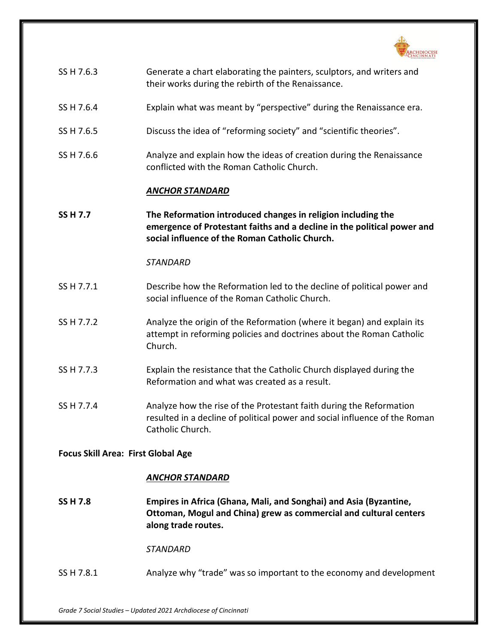

| SS H 7.6.3 | Generate a chart elaborating the painters, sculptors, and writers and |
|------------|-----------------------------------------------------------------------|
|            | their works during the rebirth of the Renaissance.                    |

- SS H 7.6.4 Explain what was meant by "perspective" during the Renaissance era.
- SS H 7.6.5 Discuss the idea of "reforming society" and "scientific theories".
- SS H 7.6.6 **Analyze and explain how the ideas of creation during the Renaissance** conflicted with the Roman Catholic Church.

#### *ANCHOR STANDARD*

**SS H 7.7 The Reformation introduced changes in religion including the emergence of Protestant faiths and a decline in the political power and social influence of the Roman Catholic Church.**

#### *STANDARD*

- SS H 7.7.1 Describe how the Reformation led to the decline of political power and social influence of the Roman Catholic Church.
- SS H 7.7.2 Analyze the origin of the Reformation (where it began) and explain its attempt in reforming policies and doctrines about the Roman Catholic Church.
- SS H 7.7.3 Explain the resistance that the Catholic Church displayed during the Reformation and what was created as a result.
- SS H 7.7.4 Analyze how the rise of the Protestant faith during the Reformation resulted in a decline of political power and social influence of the Roman Catholic Church.

#### **Focus Skill Area: First Global Age**

#### *ANCHOR STANDARD*

**SS H 7.8 Empires in Africa (Ghana, Mali, and Songhai) and Asia (Byzantine, Ottoman, Mogul and China) grew as commercial and cultural centers along trade routes.**

*STANDARD*

SS H 7.8.1 Analyze why "trade" was so important to the economy and development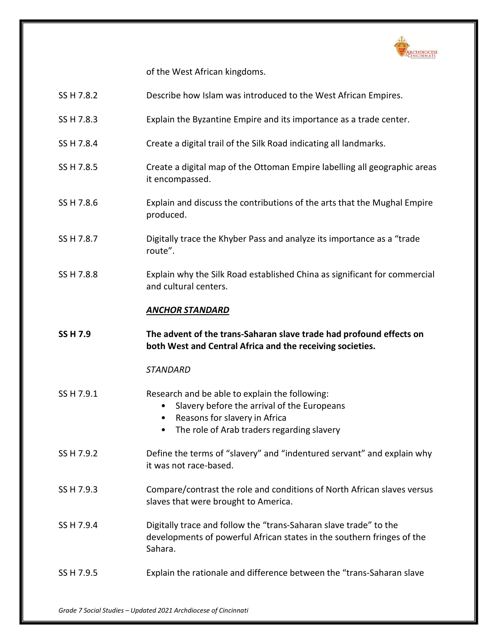

of the West African kingdoms.

| SS H 7.8.2      | Describe how Islam was introduced to the West African Empires.                                                                                                                    |
|-----------------|-----------------------------------------------------------------------------------------------------------------------------------------------------------------------------------|
| SS H 7.8.3      | Explain the Byzantine Empire and its importance as a trade center.                                                                                                                |
| SS H 7.8.4      | Create a digital trail of the Silk Road indicating all landmarks.                                                                                                                 |
| SS H 7.8.5      | Create a digital map of the Ottoman Empire labelling all geographic areas<br>it encompassed.                                                                                      |
| SS H 7.8.6      | Explain and discuss the contributions of the arts that the Mughal Empire<br>produced.                                                                                             |
| SS H 7.8.7      | Digitally trace the Khyber Pass and analyze its importance as a "trade<br>route".                                                                                                 |
| SS H 7.8.8      | Explain why the Silk Road established China as significant for commercial<br>and cultural centers.                                                                                |
|                 | <b>ANCHOR STANDARD</b>                                                                                                                                                            |
| <b>SS H 7.9</b> | The advent of the trans-Saharan slave trade had profound effects on                                                                                                               |
|                 | both West and Central Africa and the receiving societies.                                                                                                                         |
|                 | <b>STANDARD</b>                                                                                                                                                                   |
| SS H 7.9.1      | Research and be able to explain the following:<br>Slavery before the arrival of the Europeans<br>Reasons for slavery in Africa<br>The role of Arab traders regarding slavery<br>٠ |
| SS H 7.9.2      | Define the terms of "slavery" and "indentured servant" and explain why<br>it was not race-based.                                                                                  |
| SS H 7.9.3      | Compare/contrast the role and conditions of North African slaves versus<br>slaves that were brought to America.                                                                   |
| SS H 7.9.4      | Digitally trace and follow the "trans-Saharan slave trade" to the<br>developments of powerful African states in the southern fringes of the<br>Sahara.                            |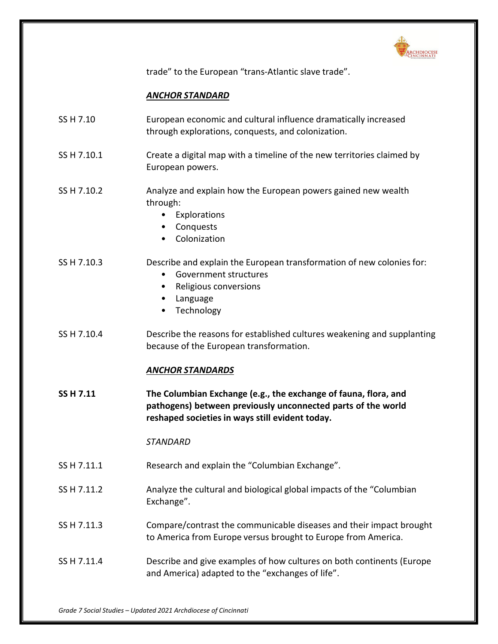

trade" to the European "trans-Atlantic slave trade".

## *ANCHOR STANDARD*

| SS H 7.10 | European economic and cultural influence dramatically increased |
|-----------|-----------------------------------------------------------------|
|           | through explorations, conquests, and colonization.              |

- SS H 7.10.1 Create a digital map with a timeline of the new territories claimed by European powers.
- SS H 7.10.2 **Analyze and explain how the European powers gained new wealth** through:
	- Explorations
	- Conquests
	- Colonization

#### SS H 7.10.3 Describe and explain the European transformation of new colonies for:

- Government structures
- Religious conversions
- Language
- **Technology**
- SS H 7.10.4 Describe the reasons for established cultures weakening and supplanting because of the European transformation.

## *ANCHOR STANDARDS*

**SS H 7.11 The Columbian Exchange (e.g., the exchange of fauna, flora, and pathogens) between previously unconnected parts of the world reshaped societies in ways still evident today.**

- SS H 7.11.1 Research and explain the "Columbian Exchange".
- SS H 7.11.2 Analyze the cultural and biological global impacts of the "Columbian Exchange".
- SS H 7.11.3 Compare/contrast the communicable diseases and their impact brought to America from Europe versus brought to Europe from America.
- SS H 7.11.4 Describe and give examples of how cultures on both continents (Europe and America) adapted to the "exchanges of life".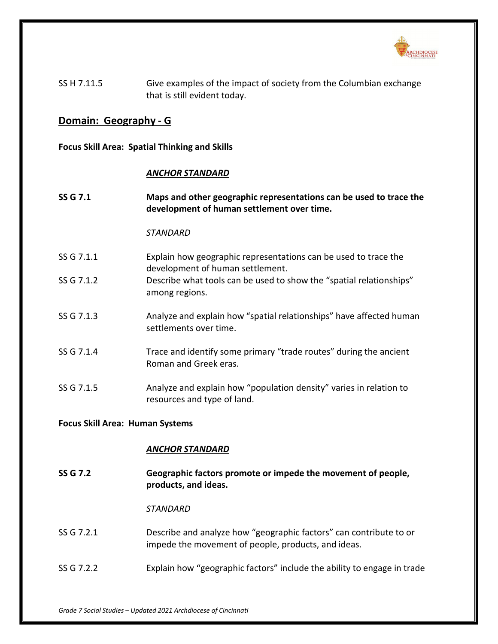

SS H 7.11.5 Give examples of the impact of society from the Columbian exchange that is still evident today.

## **Domain: Geography - G**

**Focus Skill Area: Spatial Thinking and Skills**

#### *ANCHOR STANDARD*

**SS G 7.1 Maps and other geographic representations can be used to trace the development of human settlement over time.**

### *STANDARD*

- SS G 7.1.1 Explain how geographic representations can be used to trace the development of human settlement.
- SS G 7.1.2 Describe what tools can be used to show the "spatial relationships" among regions.
- SS G 7.1.3 Analyze and explain how "spatial relationships" have affected human settlements over time.
- SS G 7.1.4 Trace and identify some primary "trade routes" during the ancient Roman and Greek eras.
- SS G 7.1.5 Analyze and explain how "population density" varies in relation to resources and type of land.

#### **Focus Skill Area: Human Systems**

## *ANCHOR STANDARD*

**SS G 7.2 Geographic factors promote or impede the movement of people, products, and ideas.**

- SS G 7.2.1 Describe and analyze how "geographic factors" can contribute to or impede the movement of people, products, and ideas.
- SS G 7.2.2 Explain how "geographic factors" include the ability to engage in trade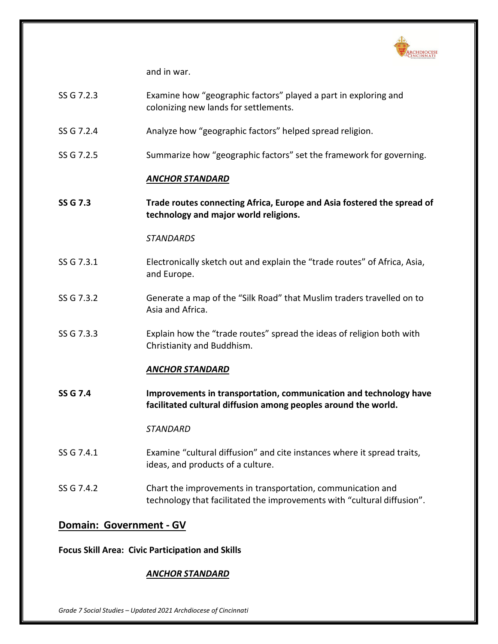

and in war.

- SS G 7.2.3 Examine how "geographic factors" played a part in exploring and colonizing new lands for settlements.
- SS G 7.2.4 Analyze how "geographic factors" helped spread religion.
- SS G 7.2.5 Summarize how "geographic factors" set the framework for governing.

### *ANCHOR STANDARD*

**SS G 7.3 Trade routes connecting Africa, Europe and Asia fostered the spread of technology and major world religions.**

### *STANDARDS*

- SS G 7.3.1 Electronically sketch out and explain the "trade routes" of Africa, Asia, and Europe.
- SS G 7.3.2 Generate a map of the "Silk Road" that Muslim traders travelled on to Asia and Africa.
- SS G 7.3.3 Explain how the "trade routes" spread the ideas of religion both with Christianity and Buddhism.

## *ANCHOR STANDARD*

**SS G 7.4 Improvements in transportation, communication and technology have facilitated cultural diffusion among peoples around the world.**

#### *STANDARD*

- SS G 7.4.1 Examine "cultural diffusion" and cite instances where it spread traits, ideas, and products of a culture.
- SS G 7.4.2 Chart the improvements in transportation, communication and technology that facilitated the improvements with "cultural diffusion".

## **Domain: Government - GV**

## **Focus Skill Area: Civic Participation and Skills**

## *ANCHOR STANDARD*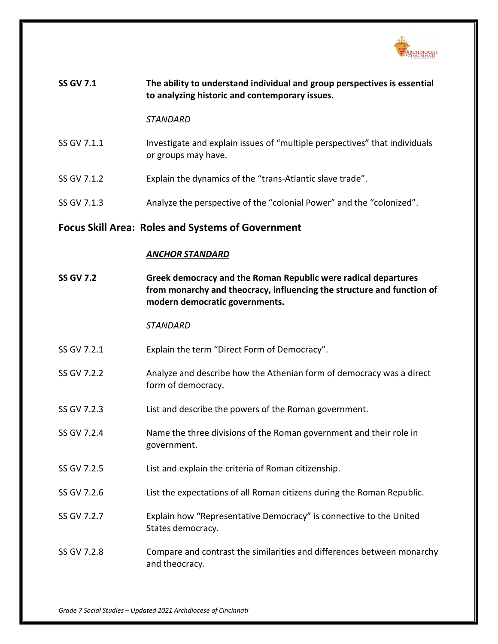

| <b>SS GV 7.1</b> | The ability to understand individual and group perspectives is essential<br>to analyzing historic and contemporary issues. |
|------------------|----------------------------------------------------------------------------------------------------------------------------|
|                  | STANDARD                                                                                                                   |
| SS GV 7.1.1      | Investigate and explain issues of "multiple perspectives" that individuals<br>or groups may have.                          |

- SS GV 7.1.2 Explain the dynamics of the "trans-Atlantic slave trade".
- SS GV 7.1.3 Analyze the perspective of the "colonial Power" and the "colonized".

# **Focus Skill Area: Roles and Systems of Government**

## *ANCHOR STANDARD*

| <b>SS GV 7.2</b> | Greek democracy and the Roman Republic were radical departures<br>from monarchy and theocracy, influencing the structure and function of<br>modern democratic governments. |
|------------------|----------------------------------------------------------------------------------------------------------------------------------------------------------------------------|
|                  | <b>STANDARD</b>                                                                                                                                                            |
| SS GV 7.2.1      | Explain the term "Direct Form of Democracy".                                                                                                                               |
| SS GV 7.2.2      | Analyze and describe how the Athenian form of democracy was a direct<br>form of democracy.                                                                                 |
| SS GV 7.2.3      | List and describe the powers of the Roman government.                                                                                                                      |
| SS GV 7.2.4      | Name the three divisions of the Roman government and their role in<br>government.                                                                                          |
| SS GV 7.2.5      | List and explain the criteria of Roman citizenship.                                                                                                                        |
| SS GV 7.2.6      | List the expectations of all Roman citizens during the Roman Republic.                                                                                                     |
| SS GV 7.2.7      | Explain how "Representative Democracy" is connective to the United<br>States democracy.                                                                                    |
| SS GV 7.2.8      | Compare and contrast the similarities and differences between monarchy<br>and theocracy.                                                                                   |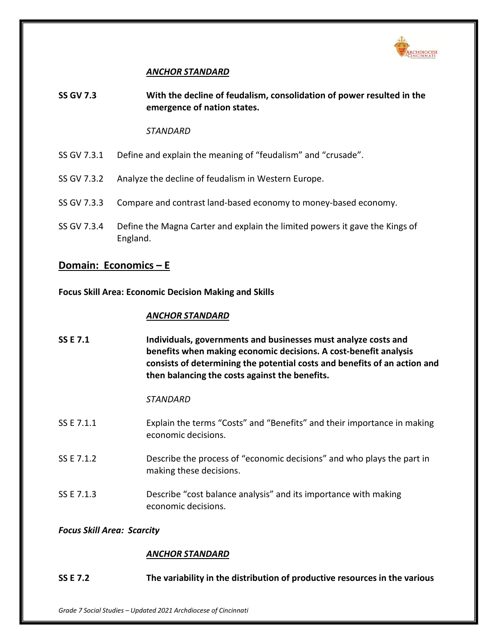

## *ANCHOR STANDARD*

**SS GV 7.3 With the decline of feudalism, consolidation of power resulted in the emergence of nation states.**

#### *STANDARD*

- SS GV 7.3.1 Define and explain the meaning of "feudalism" and "crusade".
- SS GV 7.3.2 Analyze the decline of feudalism in Western Europe.
- SS GV 7.3.3 Compare and contrast land-based economy to money-based economy.
- SS GV 7.3.4 Define the Magna Carter and explain the limited powers it gave the Kings of England.

## **Domain: Economics – E**

**Focus Skill Area: Economic Decision Making and Skills**

## *ANCHOR STANDARD*

**SS E 7.1 Individuals, governments and businesses must analyze costs and benefits when making economic decisions. A cost-benefit analysis consists of determining the potential costs and benefits of an action and then balancing the costs against the benefits.**

## *STANDARD*

- SS E 7.1.1 Explain the terms "Costs" and "Benefits" and their importance in making economic decisions.
- SS E 7.1.2 Describe the process of "economic decisions" and who plays the part in making these decisions.
- SS E 7.1.3 Describe "cost balance analysis" and its importance with making economic decisions.

## *Focus Skill Area: Scarcity*

## *ANCHOR STANDARD*

**SS E 7.2 The variability in the distribution of productive resources in the various**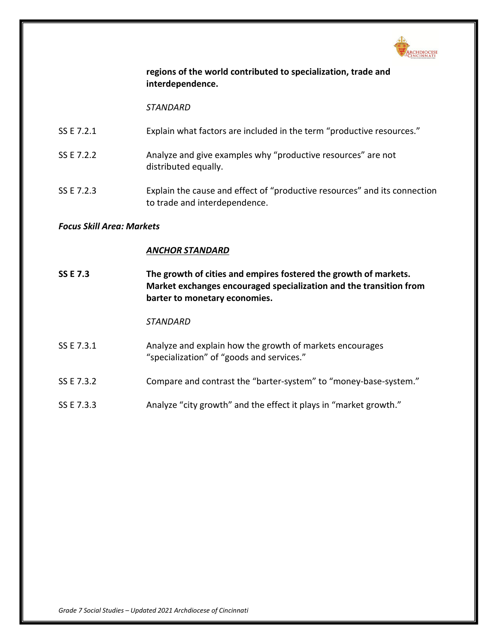

## **regions of the world contributed to specialization, trade and interdependence.**

*STANDARD*

- SS E 7.2.1 Explain what factors are included in the term "productive resources."
- SS E 7.2.2 Analyze and give examples why "productive resources" are not distributed equally.
- SS E 7.2.3 Explain the cause and effect of "productive resources" and its connection to trade and interdependence.

## *Focus Skill Area: Markets*

## *ANCHOR STANDARD*

**SS E 7.3 The growth of cities and empires fostered the growth of markets. Market exchanges encouraged specialization and the transition from barter to monetary economies.**

- SS E 7.3.1 Analyze and explain how the growth of markets encourages "specialization" of "goods and services."
- SS E 7.3.2 Compare and contrast the "barter-system" to "money-base-system."
- SS E 7.3.3 Analyze "city growth" and the effect it plays in "market growth."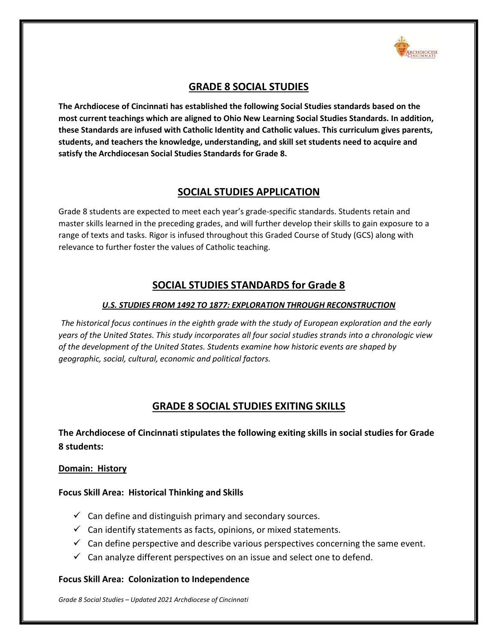

## **GRADE 8 SOCIAL STUDIES**

**The Archdiocese of Cincinnati has established the following Social Studies standards based on the most current teachings which are aligned to Ohio New Learning Social Studies Standards. In addition, these Standards are infused with Catholic Identity and Catholic values. This curriculum gives parents, students, and teachers the knowledge, understanding, and skill set students need to acquire and satisfy the Archdiocesan Social Studies Standards for Grade 8.**

## **SOCIAL STUDIES APPLICATION**

Grade 8 students are expected to meet each year's grade-specific standards. Students retain and master skills learned in the preceding grades, and will further develop their skills to gain exposure to a range of texts and tasks. Rigor is infused throughout this Graded Course of Study (GCS) along with relevance to further foster the values of Catholic teaching.

# **SOCIAL STUDIES STANDARDS for Grade 8**

### *U.S. STUDIES FROM 1492 TO 1877: EXPLORATION THROUGH RECONSTRUCTION*

*The historical focus continues in the eighth grade with the study of European exploration and the early years of the United States. This study incorporates all four social studies strands into a chronologic view of the development of the United States. Students examine how historic events are shaped by geographic, social, cultural, economic and political factors.*

## **GRADE 8 SOCIAL STUDIES EXITING SKILLS**

## **The Archdiocese of Cincinnati stipulates the following exiting skills in social studies for Grade 8 students:**

#### **Domain: History**

## **Focus Skill Area: Historical Thinking and Skills**

- $\checkmark$  Can define and distinguish primary and secondary sources.
- $\checkmark$  Can identify statements as facts, opinions, or mixed statements.
- $\checkmark$  Can define perspective and describe various perspectives concerning the same event.
- $\checkmark$  Can analyze different perspectives on an issue and select one to defend.

#### **Focus Skill Area: Colonization to Independence**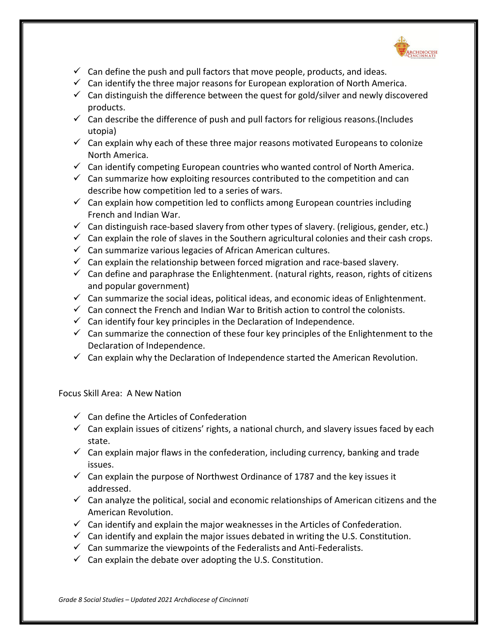

- $\checkmark$  Can define the push and pull factors that move people, products, and ideas.
- $\checkmark$  Can identify the three major reasons for European exploration of North America.
- $\checkmark$  Can distinguish the difference between the quest for gold/silver and newly discovered products.
- $\checkmark$  Can describe the difference of push and pull factors for religious reasons. (Includes utopia)
- $\checkmark$  Can explain why each of these three major reasons motivated Europeans to colonize North America.
- $\checkmark$  Can identify competing European countries who wanted control of North America.
- $\checkmark$  Can summarize how exploiting resources contributed to the competition and can describe how competition led to a series of wars.
- $\checkmark$  Can explain how competition led to conflicts among European countries including French and Indian War.
- $\checkmark$  Can distinguish race-based slavery from other types of slavery. (religious, gender, etc.)
- $\checkmark$  Can explain the role of slaves in the Southern agricultural colonies and their cash crops.
- $\checkmark$  Can summarize various legacies of African American cultures.
- $\checkmark$  Can explain the relationship between forced migration and race-based slavery.
- $\checkmark$  Can define and paraphrase the Enlightenment. (natural rights, reason, rights of citizens and popular government)
- $\checkmark$  Can summarize the social ideas, political ideas, and economic ideas of Enlightenment.
- $\checkmark$  Can connect the French and Indian War to British action to control the colonists.
- $\checkmark$  Can identify four key principles in the Declaration of Independence.
- $\checkmark$  Can summarize the connection of these four key principles of the Enlightenment to the Declaration of Independence.
- $\checkmark$  Can explain why the Declaration of Independence started the American Revolution.

Focus Skill Area: A New Nation

- $\checkmark$  Can define the Articles of Confederation
- $\checkmark$  Can explain issues of citizens' rights, a national church, and slavery issues faced by each state.
- $\checkmark$  Can explain major flaws in the confederation, including currency, banking and trade issues.
- $\checkmark$  Can explain the purpose of Northwest Ordinance of 1787 and the key issues it addressed.
- $\checkmark$  Can analyze the political, social and economic relationships of American citizens and the American Revolution.
- $\checkmark$  Can identify and explain the major weaknesses in the Articles of Confederation.
- $\checkmark$  Can identify and explain the major issues debated in writing the U.S. Constitution.
- $\checkmark$  Can summarize the viewpoints of the Federalists and Anti-Federalists.
- $\checkmark$  Can explain the debate over adopting the U.S. Constitution.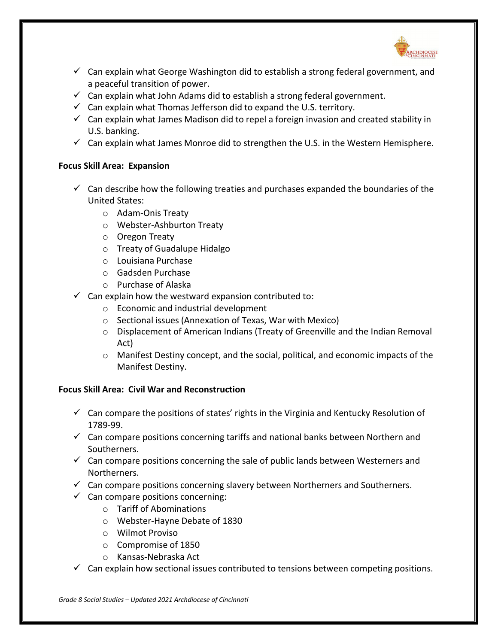

- $\checkmark$  Can explain what George Washington did to establish a strong federal government, and a peaceful transition of power.
- $\checkmark$  Can explain what John Adams did to establish a strong federal government.
- $\checkmark$  Can explain what Thomas Jefferson did to expand the U.S. territory.
- $\checkmark$  Can explain what James Madison did to repel a foreign invasion and created stability in U.S. banking.
- $\checkmark$  Can explain what James Monroe did to strengthen the U.S. in the Western Hemisphere.

## **Focus Skill Area: Expansion**

- $\checkmark$  Can describe how the following treaties and purchases expanded the boundaries of the United States:
	- o Adam-Onis Treaty
	- o Webster-Ashburton Treaty
	- o Oregon Treaty
	- o Treaty of Guadalupe Hidalgo
	- o Louisiana Purchase
	- o Gadsden Purchase
	- o Purchase of Alaska
- $\checkmark$  Can explain how the westward expansion contributed to:
	- o Economic and industrial development
	- o Sectional issues (Annexation of Texas, War with Mexico)
	- $\circ$  Displacement of American Indians (Treaty of Greenville and the Indian Removal Act)
	- $\circ$  Manifest Destiny concept, and the social, political, and economic impacts of the Manifest Destiny.

## **Focus Skill Area: Civil War and Reconstruction**

- $\checkmark$  Can compare the positions of states' rights in the Virginia and Kentucky Resolution of 1789-99.
- $\checkmark$  Can compare positions concerning tariffs and national banks between Northern and Southerners.
- $\checkmark$  Can compare positions concerning the sale of public lands between Westerners and Northerners.
- $\checkmark$  Can compare positions concerning slavery between Northerners and Southerners.
- $\checkmark$  Can compare positions concerning:
	- o Tariff of Abominations
	- o Webster-Hayne Debate of 1830
	- o Wilmot Proviso
	- o Compromise of 1850
	- o Kansas-Nebraska Act
- $\checkmark$  Can explain how sectional issues contributed to tensions between competing positions.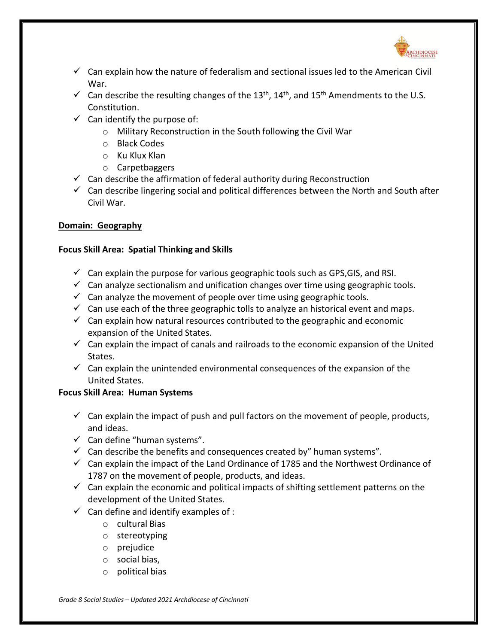

- $\checkmark$  Can explain how the nature of federalism and sectional issues led to the American Civil War.
- $\checkmark$  Can describe the resulting changes of the 13<sup>th</sup>, 14<sup>th</sup>, and 15<sup>th</sup> Amendments to the U.S. Constitution.
- $\checkmark$  Can identify the purpose of:
	- o Military Reconstruction in the South following the Civil War
	- o Black Codes
	- o Ku Klux Klan
	- o Carpetbaggers
- $\checkmark$  Can describe the affirmation of federal authority during Reconstruction
- $\checkmark$  Can describe lingering social and political differences between the North and South after Civil War.

## **Domain: Geography**

## **Focus Skill Area: Spatial Thinking and Skills**

- $\checkmark$  Can explain the purpose for various geographic tools such as GPS, GIS, and RSI.
- $\checkmark$  Can analyze sectionalism and unification changes over time using geographic tools.
- $\checkmark$  Can analyze the movement of people over time using geographic tools.
- $\checkmark$  Can use each of the three geographic tolls to analyze an historical event and maps.
- $\checkmark$  Can explain how natural resources contributed to the geographic and economic expansion of the United States.
- $\checkmark$  Can explain the impact of canals and railroads to the economic expansion of the United States.
- $\checkmark$  Can explain the unintended environmental consequences of the expansion of the United States.

## **Focus Skill Area: Human Systems**

- $\checkmark$  Can explain the impact of push and pull factors on the movement of people, products, and ideas.
- $\checkmark$  Can define "human systems".
- $\checkmark$  Can describe the benefits and consequences created by" human systems".
- $\checkmark$  Can explain the impact of the Land Ordinance of 1785 and the Northwest Ordinance of 1787 on the movement of people, products, and ideas.
- $\checkmark$  Can explain the economic and political impacts of shifting settlement patterns on the development of the United States.
- $\checkmark$  Can define and identify examples of :
	- o cultural Bias
	- o stereotyping
	- o prejudice
	- o social bias,
	- o political bias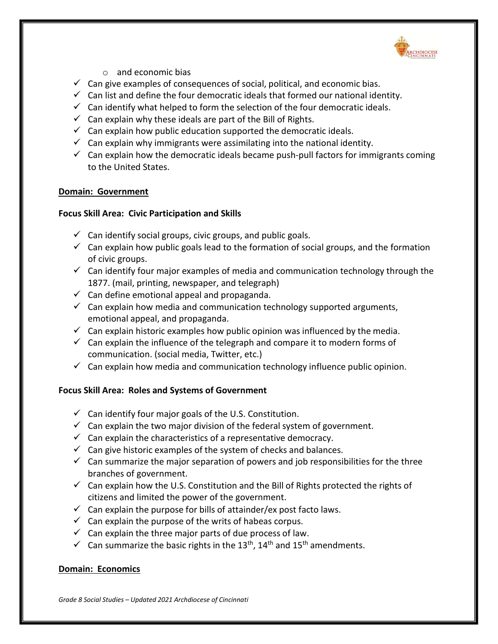

- o and economic bias
- $\checkmark$  Can give examples of consequences of social, political, and economic bias.
- $\checkmark$  Can list and define the four democratic ideals that formed our national identity.
- $\checkmark$  Can identify what helped to form the selection of the four democratic ideals.
- $\checkmark$  Can explain why these ideals are part of the Bill of Rights.
- $\checkmark$  Can explain how public education supported the democratic ideals.
- $\checkmark$  Can explain why immigrants were assimilating into the national identity.
- $\checkmark$  Can explain how the democratic ideals became push-pull factors for immigrants coming to the United States.

### **Domain: Government**

### **Focus Skill Area: Civic Participation and Skills**

- $\checkmark$  Can identify social groups, civic groups, and public goals.
- $\checkmark$  Can explain how public goals lead to the formation of social groups, and the formation of civic groups.
- $\checkmark$  Can identify four major examples of media and communication technology through the 1877. (mail, printing, newspaper, and telegraph)
- $\checkmark$  Can define emotional appeal and propaganda.
- $\checkmark$  Can explain how media and communication technology supported arguments, emotional appeal, and propaganda.
- $\checkmark$  Can explain historic examples how public opinion was influenced by the media.
- $\checkmark$  Can explain the influence of the telegraph and compare it to modern forms of communication. (social media, Twitter, etc.)
- $\checkmark$  Can explain how media and communication technology influence public opinion.

## **Focus Skill Area: Roles and Systems of Government**

- $\checkmark$  Can identify four major goals of the U.S. Constitution.
- $\checkmark$  Can explain the two major division of the federal system of government.
- $\checkmark$  Can explain the characteristics of a representative democracy.
- $\checkmark$  Can give historic examples of the system of checks and balances.
- $\checkmark$  Can summarize the major separation of powers and job responsibilities for the three branches of government.
- $\checkmark$  Can explain how the U.S. Constitution and the Bill of Rights protected the rights of citizens and limited the power of the government.
- $\checkmark$  Can explain the purpose for bills of attainder/ex post facto laws.
- $\checkmark$  Can explain the purpose of the writs of habeas corpus.
- $\checkmark$  Can explain the three major parts of due process of law.
- $\checkmark$  Can summarize the basic rights in the 13<sup>th</sup>, 14<sup>th</sup> and 15<sup>th</sup> amendments.

## **Domain: Economics**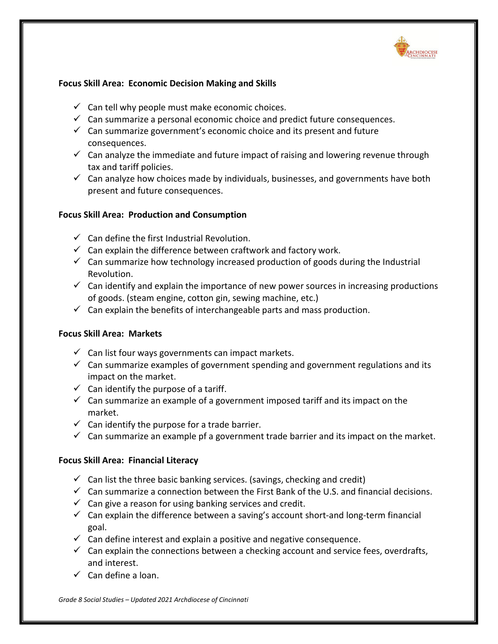

## **Focus Skill Area: Economic Decision Making and Skills**

- $\checkmark$  Can tell why people must make economic choices.
- $\checkmark$  Can summarize a personal economic choice and predict future consequences.
- $\checkmark$  Can summarize government's economic choice and its present and future consequences.
- $\checkmark$  Can analyze the immediate and future impact of raising and lowering revenue through tax and tariff policies.
- $\checkmark$  Can analyze how choices made by individuals, businesses, and governments have both present and future consequences.

## **Focus Skill Area: Production and Consumption**

- $\checkmark$  Can define the first Industrial Revolution.
- $\checkmark$  Can explain the difference between craftwork and factory work.
- $\checkmark$  Can summarize how technology increased production of goods during the Industrial Revolution.
- $\checkmark$  Can identify and explain the importance of new power sources in increasing productions of goods. (steam engine, cotton gin, sewing machine, etc.)
- $\checkmark$  Can explain the benefits of interchangeable parts and mass production.

## **Focus Skill Area: Markets**

- $\checkmark$  Can list four ways governments can impact markets.
- $\checkmark$  Can summarize examples of government spending and government regulations and its impact on the market.
- $\checkmark$  Can identify the purpose of a tariff.
- $\checkmark$  Can summarize an example of a government imposed tariff and its impact on the market.
- $\checkmark$  Can identify the purpose for a trade barrier.
- $\checkmark$  Can summarize an example pf a government trade barrier and its impact on the market.

## **Focus Skill Area: Financial Literacy**

- $\checkmark$  Can list the three basic banking services. (savings, checking and credit)
- $\checkmark$  Can summarize a connection between the First Bank of the U.S. and financial decisions.
- $\checkmark$  Can give a reason for using banking services and credit.
- $\checkmark$  Can explain the difference between a saving's account short-and long-term financial goal.
- $\checkmark$  Can define interest and explain a positive and negative consequence.
- $\checkmark$  Can explain the connections between a checking account and service fees, overdrafts, and interest.
- $\checkmark$  Can define a loan.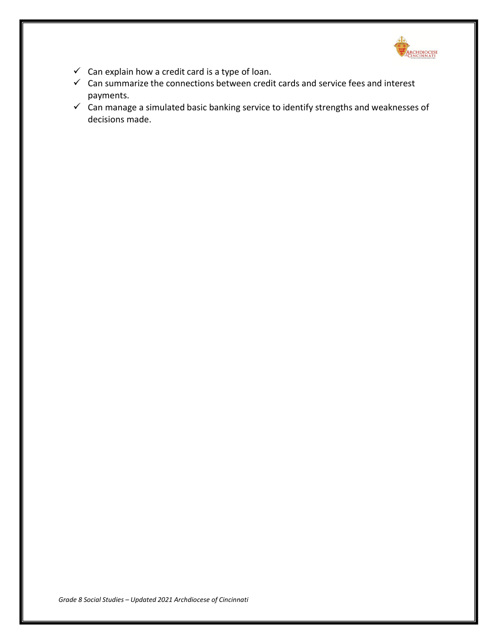

- $\checkmark$  Can explain how a credit card is a type of loan.
- $\checkmark$  Can summarize the connections between credit cards and service fees and interest payments.
- $\checkmark$  Can manage a simulated basic banking service to identify strengths and weaknesses of decisions made.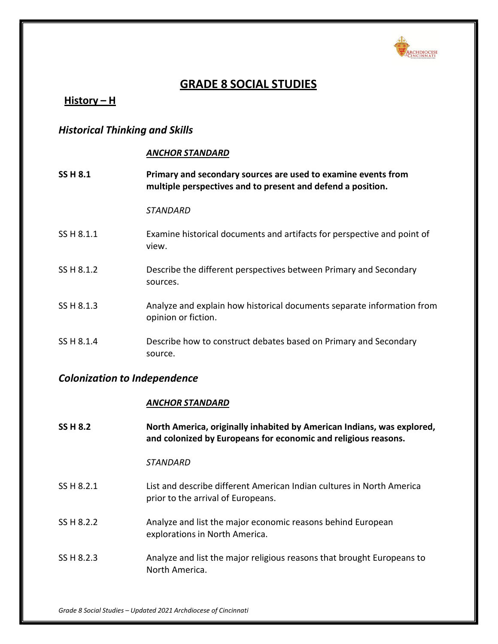

# **GRADE 8 SOCIAL STUDIES**

# **History – H**

# *Historical Thinking and Skills*

### *ANCHOR STANDARD*

| <b>SS H 8.1</b> | Primary and secondary sources are used to examine events from<br>multiple perspectives and to present and defend a position. |
|-----------------|------------------------------------------------------------------------------------------------------------------------------|
|                 | STANDARD                                                                                                                     |
| SS H 8.1.1      | Examine historical documents and artifacts for perspective and point of<br>view.                                             |
| SS H 8.1.2      | Describe the different perspectives between Primary and Secondary<br>sources.                                                |
| SS H 8.1.3      | Analyze and explain how historical documents separate information from<br>opinion or fiction.                                |
| SS H 8.1.4      | Describe how to construct debates based on Primary and Secondary<br>source.                                                  |

# *Colonization to Independence*

### *ANCHOR STANDARD*

| <b>SS H 8.2</b> | North America, originally inhabited by American Indians, was explored,<br>and colonized by Europeans for economic and religious reasons. |
|-----------------|------------------------------------------------------------------------------------------------------------------------------------------|
|                 | STANDARD                                                                                                                                 |
| SS H 8.2.1      | List and describe different American Indian cultures in North America<br>prior to the arrival of Europeans.                              |
| SS H 8.2.2      | Analyze and list the major economic reasons behind European<br>explorations in North America.                                            |
| SS H 8.2.3      | Analyze and list the major religious reasons that brought Europeans to<br>North America.                                                 |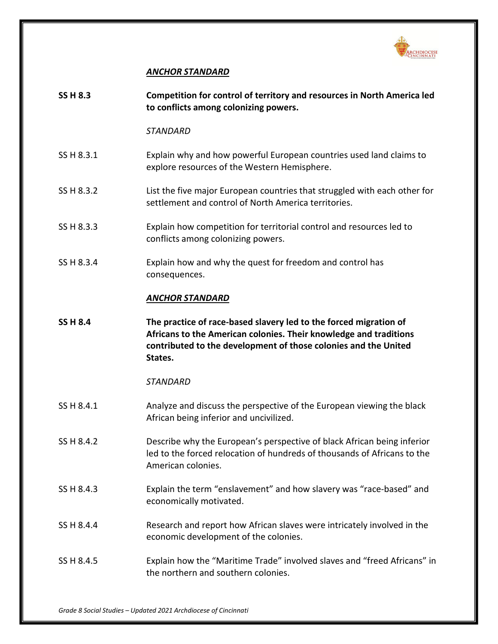

### *ANCHOR STANDARD*

| <b>SS H 8.3</b> | Competition for control of territory and resources in North America led<br>to conflicts among colonizing powers.                                                                                                     |
|-----------------|----------------------------------------------------------------------------------------------------------------------------------------------------------------------------------------------------------------------|
|                 | <b>STANDARD</b>                                                                                                                                                                                                      |
| SS H 8.3.1      | Explain why and how powerful European countries used land claims to<br>explore resources of the Western Hemisphere.                                                                                                  |
| SS H 8.3.2      | List the five major European countries that struggled with each other for<br>settlement and control of North America territories.                                                                                    |
| SS H 8.3.3      | Explain how competition for territorial control and resources led to<br>conflicts among colonizing powers.                                                                                                           |
| SS H 8.3.4      | Explain how and why the quest for freedom and control has<br>consequences.                                                                                                                                           |
|                 | <b>ANCHOR STANDARD</b>                                                                                                                                                                                               |
| <b>SS H 8.4</b> | The practice of race-based slavery led to the forced migration of<br>Africans to the American colonies. Their knowledge and traditions<br>contributed to the development of those colonies and the United<br>States. |
|                 | <b>STANDARD</b>                                                                                                                                                                                                      |
| SS H 8.4.1      | Analyze and discuss the perspective of the European viewing the black<br>African being inferior and uncivilized.                                                                                                     |
| SS H 8.4.2      | Describe why the European's perspective of black African being inferior<br>led to the forced relocation of hundreds of thousands of Africans to the<br>American colonies.                                            |
| SS H 8.4.3      | Explain the term "enslavement" and how slavery was "race-based" and<br>economically motivated.                                                                                                                       |
| SS H 8.4.4      | Research and report how African slaves were intricately involved in the<br>economic development of the colonies.                                                                                                     |
| SS H 8.4.5      | Explain how the "Maritime Trade" involved slaves and "freed Africans" in<br>the northern and southern colonies.                                                                                                      |
|                 |                                                                                                                                                                                                                      |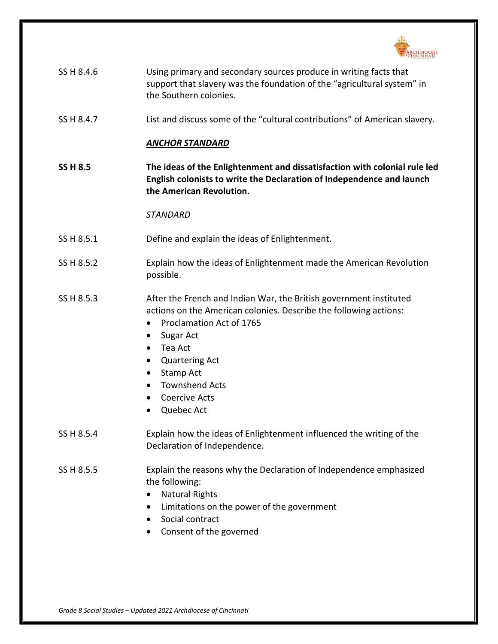

| SS H 8.4.6 | Using primary and secondary sources produce in writing facts that       |
|------------|-------------------------------------------------------------------------|
|            | support that slavery was the foundation of the "agricultural system" in |
|            | the Southern colonies.                                                  |

SS H 8.4.7 List and discuss some of the "cultural contributions" of American slavery.

#### *ANCHOR STANDARD*

**SS H 8.5 The ideas of the Enlightenment and dissatisfaction with colonial rule led English colonists to write the Declaration of Independence and launch the American Revolution.**

- SS H 8.5.1 Define and explain the ideas of Enlightenment.
- SS H 8.5.2 Explain how the ideas of Enlightenment made the American Revolution possible.
- SS H 8.5.3 After the French and Indian War, the British government instituted actions on the American colonies. Describe the following actions:
	- Proclamation Act of 1765
	- Sugar Act
	- Tea Act
	- Quartering Act
	- Stamp Act
	- Townshend Acts
	- Coercive Acts
	- Quebec Act
- SS H 8.5.4 Explain how the ideas of Enlightenment influenced the writing of the Declaration of Independence.
- SS H 8.5.5 Explain the reasons why the Declaration of Independence emphasized the following:
	- Natural Rights
	- Limitations on the power of the government
	- Social contract
	- Consent of the governed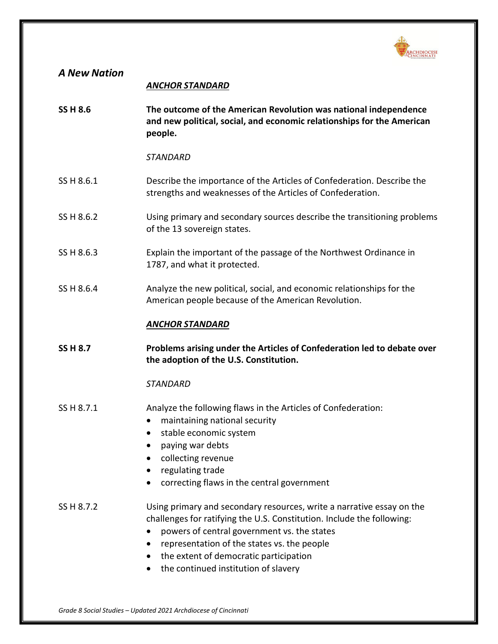

| <b>A New Nation</b> | <b>ANCHOR STANDARD</b>                                                                                                                                                                                                                                                                                                                                                 |
|---------------------|------------------------------------------------------------------------------------------------------------------------------------------------------------------------------------------------------------------------------------------------------------------------------------------------------------------------------------------------------------------------|
| <b>SS H 8.6</b>     | The outcome of the American Revolution was national independence<br>and new political, social, and economic relationships for the American<br>people.                                                                                                                                                                                                                  |
|                     | <b>STANDARD</b>                                                                                                                                                                                                                                                                                                                                                        |
| SS H 8.6.1          | Describe the importance of the Articles of Confederation. Describe the<br>strengths and weaknesses of the Articles of Confederation.                                                                                                                                                                                                                                   |
| SS H 8.6.2          | Using primary and secondary sources describe the transitioning problems<br>of the 13 sovereign states.                                                                                                                                                                                                                                                                 |
| SS H 8.6.3          | Explain the important of the passage of the Northwest Ordinance in<br>1787, and what it protected.                                                                                                                                                                                                                                                                     |
| SS H 8.6.4          | Analyze the new political, social, and economic relationships for the<br>American people because of the American Revolution.                                                                                                                                                                                                                                           |
|                     | <b>ANCHOR STANDARD</b>                                                                                                                                                                                                                                                                                                                                                 |
| <b>SS H 8.7</b>     | Problems arising under the Articles of Confederation led to debate over<br>the adoption of the U.S. Constitution.                                                                                                                                                                                                                                                      |
|                     | <b>STANDARD</b>                                                                                                                                                                                                                                                                                                                                                        |
| SS H 8.7.1          | Analyze the following flaws in the Articles of Confederation:<br>maintaining national security<br>stable economic system<br>paying war debts<br>collecting revenue<br>regulating trade<br>correcting flaws in the central government                                                                                                                                   |
| SS H 8.7.2          | Using primary and secondary resources, write a narrative essay on the<br>challenges for ratifying the U.S. Constitution. Include the following:<br>powers of central government vs. the states<br>representation of the states vs. the people<br>$\bullet$<br>the extent of democratic participation<br>$\bullet$<br>the continued institution of slavery<br>$\bullet$ |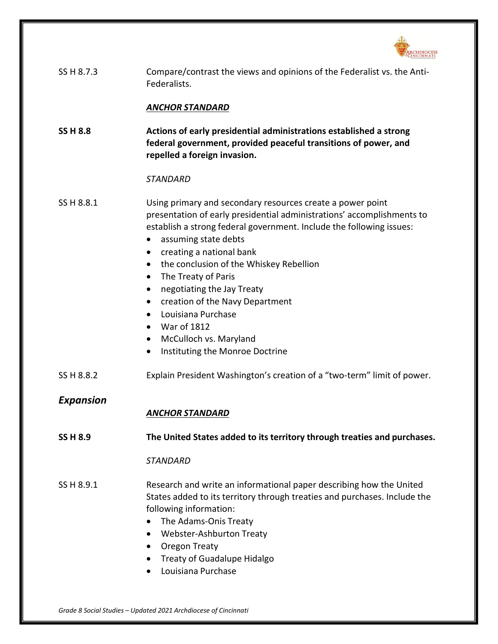

| SS H 8.7.3       | Compare/contrast the views and opinions of the Federalist vs. the Anti-<br>Federalists.                                                                                                                                                                                                                                                                                                                                                                                                                                                                                                            |
|------------------|----------------------------------------------------------------------------------------------------------------------------------------------------------------------------------------------------------------------------------------------------------------------------------------------------------------------------------------------------------------------------------------------------------------------------------------------------------------------------------------------------------------------------------------------------------------------------------------------------|
|                  | <b>ANCHOR STANDARD</b>                                                                                                                                                                                                                                                                                                                                                                                                                                                                                                                                                                             |
| <b>SS H 8.8</b>  | Actions of early presidential administrations established a strong<br>federal government, provided peaceful transitions of power, and<br>repelled a foreign invasion.                                                                                                                                                                                                                                                                                                                                                                                                                              |
|                  | <b>STANDARD</b>                                                                                                                                                                                                                                                                                                                                                                                                                                                                                                                                                                                    |
| SS H 8.8.1       | Using primary and secondary resources create a power point<br>presentation of early presidential administrations' accomplishments to<br>establish a strong federal government. Include the following issues:<br>assuming state debts<br>$\bullet$<br>creating a national bank<br>٠<br>the conclusion of the Whiskey Rebellion<br>$\bullet$<br>The Treaty of Paris<br>٠<br>negotiating the Jay Treaty<br>٠<br>creation of the Navy Department<br>Louisiana Purchase<br>$\bullet$<br>War of 1812<br>$\bullet$<br>McCulloch vs. Maryland<br>$\bullet$<br>Instituting the Monroe Doctrine<br>$\bullet$ |
| SS H 8.8.2       | Explain President Washington's creation of a "two-term" limit of power.                                                                                                                                                                                                                                                                                                                                                                                                                                                                                                                            |
| <b>Expansion</b> | <b>ANCHOR STANDARD</b>                                                                                                                                                                                                                                                                                                                                                                                                                                                                                                                                                                             |
| <b>SS H 8.9</b>  | The United States added to its territory through treaties and purchases.                                                                                                                                                                                                                                                                                                                                                                                                                                                                                                                           |
|                  | <b>STANDARD</b>                                                                                                                                                                                                                                                                                                                                                                                                                                                                                                                                                                                    |
| SS H 8.9.1       | Research and write an informational paper describing how the United<br>States added to its territory through treaties and purchases. Include the<br>following information:<br>The Adams-Onis Treaty<br>Webster-Ashburton Treaty<br>Oregon Treaty<br><b>Treaty of Guadalupe Hidalgo</b><br>Louisiana Purchase<br>$\bullet$                                                                                                                                                                                                                                                                          |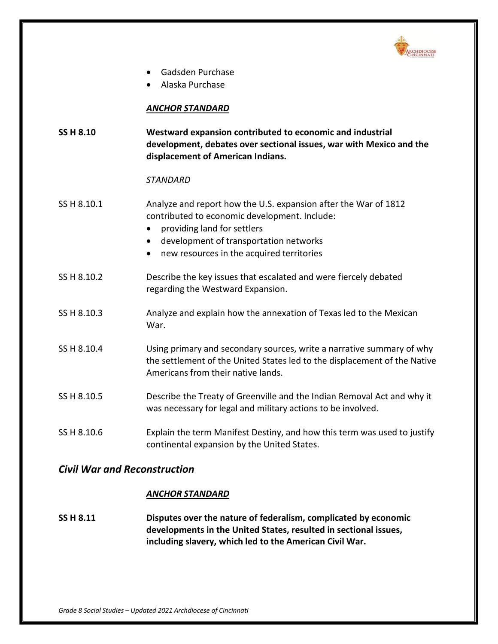

- Gadsden Purchase
- Alaska Purchase

#### *ANCHOR STANDARD*

| <b>SS H 8.10</b> | Westward expansion contributed to economic and industrial           |
|------------------|---------------------------------------------------------------------|
|                  | development, debates over sectional issues, war with Mexico and the |
|                  | displacement of American Indians.                                   |

#### *STANDARD*

- SS H 8.10.1 Analyze and report how the U.S. expansion after the War of 1812 contributed to economic development. Include:
	- providing land for settlers
	- development of transportation networks
	- new resources in the acquired territories
- SS H 8.10.2 Describe the key issues that escalated and were fiercely debated regarding the Westward Expansion.
- SS H 8.10.3 Analyze and explain how the annexation of Texas led to the Mexican War.
- SS H 8.10.4 Using primary and secondary sources, write a narrative summary of why the settlement of the United States led to the displacement of the Native Americans from their native lands.
- SS H 8.10.5 Describe the Treaty of Greenville and the Indian Removal Act and why it was necessary for legal and military actions to be involved.
- SS H 8.10.6 Explain the term Manifest Destiny, and how this term was used to justify continental expansion by the United States.

## *Civil War and Reconstruction*

#### *ANCHOR STANDARD*

**SS H 8.11 Disputes over the nature of federalism, complicated by economic developments in the United States, resulted in sectional issues, including slavery, which led to the American Civil War.**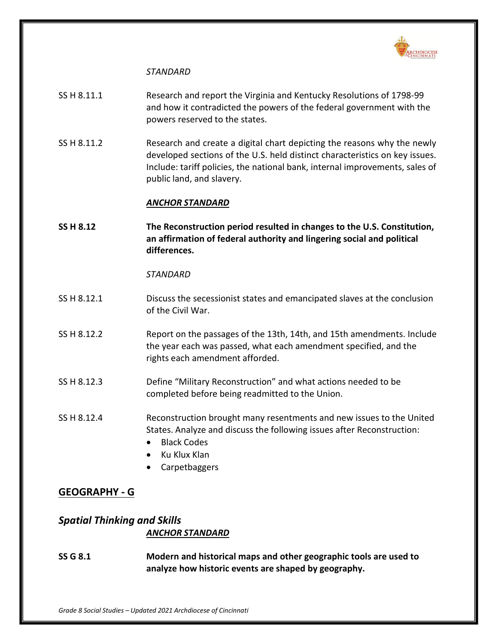

#### *STANDARD*

- SS H 8.11.1 Research and report the Virginia and Kentucky Resolutions of 1798-99 and how it contradicted the powers of the federal government with the powers reserved to the states.
- SS H 8.11.2 Research and create a digital chart depicting the reasons why the newly developed sections of the U.S. held distinct characteristics on key issues. Include: tariff policies, the national bank, internal improvements, sales of public land, and slavery.

#### *ANCHOR STANDARD*

**SS H 8.12 The Reconstruction period resulted in changes to the U.S. Constitution, an affirmation of federal authority and lingering social and political differences.**

#### *STANDARD*

- SS H 8.12.1 Discuss the secessionist states and emancipated slaves at the conclusion of the Civil War.
- SS H 8.12.2 Report on the passages of the 13th, 14th, and 15th amendments. Include the year each was passed, what each amendment specified, and the rights each amendment afforded.
- SS H 8.12.3 Define "Military Reconstruction" and what actions needed to be completed before being readmitted to the Union.
- SS H 8.12.4 Reconstruction brought many resentments and new issues to the United States. Analyze and discuss the following issues after Reconstruction:
	- Black Codes
	- Ku Klux Klan
	- Carpetbaggers

## **GEOGRAPHY - G**

# *Spatial Thinking and Skills ANCHOR STANDARD*

**SS G 8.1 Modern and historical maps and other geographic tools are used to analyze how historic events are shaped by geography.**

*Grade 8 Social Studies – Updated 2021 Archdiocese of Cincinnati*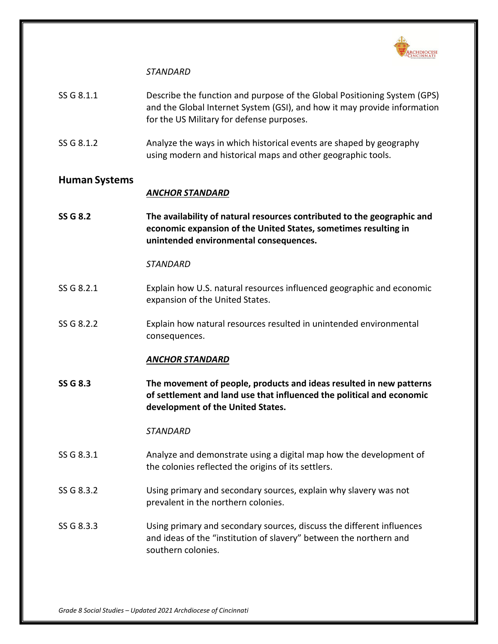

#### *STANDARD*

- SS G 8.1.1 Describe the function and purpose of the Global Positioning System (GPS) and the Global Internet System (GSI), and how it may provide information for the US Military for defense purposes.
- SS G 8.1.2 Analyze the ways in which historical events are shaped by geography using modern and historical maps and other geographic tools.

### **Human Systems**

#### *ANCHOR STANDARD*

**SS G 8.2 The availability of natural resources contributed to the geographic and economic expansion of the United States, sometimes resulting in unintended environmental consequences.**

#### *STANDARD*

- SS G 8.2.1 Explain how U.S. natural resources influenced geographic and economic expansion of the United States.
- SS G 8.2.2 Explain how natural resources resulted in unintended environmental consequences.

#### *ANCHOR STANDARD*

**SS G 8.3 The movement of people, products and ideas resulted in new patterns of settlement and land use that influenced the political and economic development of the United States.**

- SS G 8.3.1 Analyze and demonstrate using a digital map how the development of the colonies reflected the origins of its settlers.
- SS G 8.3.2 Using primary and secondary sources, explain why slavery was not prevalent in the northern colonies.
- SS G 8.3.3 Using primary and secondary sources, discuss the different influences and ideas of the "institution of slavery" between the northern and southern colonies.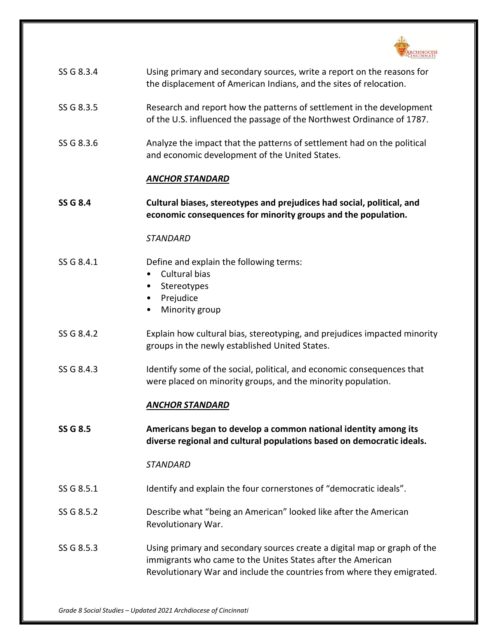

| SS G 8.3.4      | Using primary and secondary sources, write a report on the reasons for<br>the displacement of American Indians, and the sites of relocation.                                                                      |
|-----------------|-------------------------------------------------------------------------------------------------------------------------------------------------------------------------------------------------------------------|
| SS G 8.3.5      | Research and report how the patterns of settlement in the development<br>of the U.S. influenced the passage of the Northwest Ordinance of 1787.                                                                   |
| SS G 8.3.6      | Analyze the impact that the patterns of settlement had on the political<br>and economic development of the United States.                                                                                         |
|                 | <b>ANCHOR STANDARD</b>                                                                                                                                                                                            |
| <b>SS G 8.4</b> | Cultural biases, stereotypes and prejudices had social, political, and<br>economic consequences for minority groups and the population.                                                                           |
|                 | <b>STANDARD</b>                                                                                                                                                                                                   |
| SS G 8.4.1      | Define and explain the following terms:<br>Cultural bias<br>Stereotypes<br>٠<br>Prejudice<br>٠<br>Minority group<br>$\bullet$                                                                                     |
| SS G 8.4.2      | Explain how cultural bias, stereotyping, and prejudices impacted minority<br>groups in the newly established United States.                                                                                       |
| SS G 8.4.3      | Identify some of the social, political, and economic consequences that<br>were placed on minority groups, and the minority population.                                                                            |
|                 | <b>ANCHOR STANDARD</b>                                                                                                                                                                                            |
| SS G 8.5        | Americans began to develop a common national identity among its<br>diverse regional and cultural populations based on democratic ideals.                                                                          |
|                 | <b>STANDARD</b>                                                                                                                                                                                                   |
| SS G 8.5.1      | Identify and explain the four cornerstones of "democratic ideals".                                                                                                                                                |
| SS G 8.5.2      | Describe what "being an American" looked like after the American<br>Revolutionary War.                                                                                                                            |
| SS G 8.5.3      | Using primary and secondary sources create a digital map or graph of the<br>immigrants who came to the Unites States after the American<br>Revolutionary War and include the countries from where they emigrated. |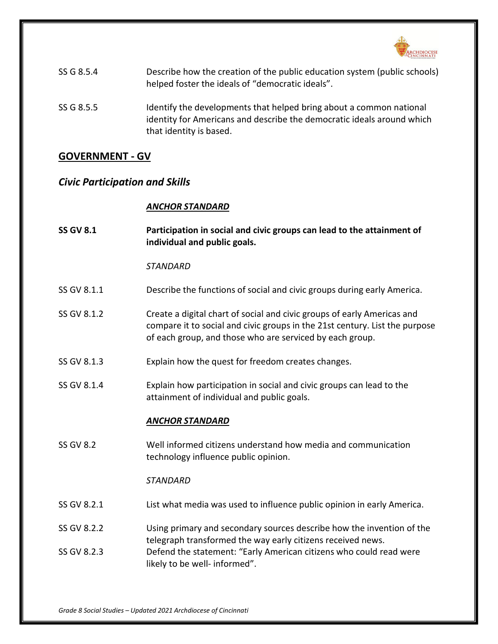

| SS G 8.5.4 | Describe how the creation of the public education system (public schools)<br>helped foster the ideals of "democratic ideals".                                            |
|------------|--------------------------------------------------------------------------------------------------------------------------------------------------------------------------|
| SS G 8.5.5 | Identify the developments that helped bring about a common national<br>identity for Americans and describe the democratic ideals around which<br>that identity is based. |

# **GOVERNMENT - GV**

# *Civic Participation and Skills*

## *ANCHOR STANDARD*

| <b>SS GV 8.1</b> | Participation in social and civic groups can lead to the attainment of<br>individual and public goals.                                                                                                             |
|------------------|--------------------------------------------------------------------------------------------------------------------------------------------------------------------------------------------------------------------|
|                  | <b>STANDARD</b>                                                                                                                                                                                                    |
| SS GV 8.1.1      | Describe the functions of social and civic groups during early America.                                                                                                                                            |
| SS GV 8.1.2      | Create a digital chart of social and civic groups of early Americas and<br>compare it to social and civic groups in the 21st century. List the purpose<br>of each group, and those who are serviced by each group. |
| SS GV 8.1.3      | Explain how the quest for freedom creates changes.                                                                                                                                                                 |
| SS GV 8.1.4      | Explain how participation in social and civic groups can lead to the<br>attainment of individual and public goals.                                                                                                 |
|                  | <b>ANCHOR STANDARD</b>                                                                                                                                                                                             |
| <b>SS GV 8.2</b> | Well informed citizens understand how media and communication<br>technology influence public opinion.                                                                                                              |
|                  | <b>STANDARD</b>                                                                                                                                                                                                    |
| SS GV 8.2.1      | List what media was used to influence public opinion in early America.                                                                                                                                             |
| SS GV 8.2.2      | Using primary and secondary sources describe how the invention of the<br>telegraph transformed the way early citizens received news.                                                                               |
| SS GV 8.2.3      | Defend the statement: "Early American citizens who could read were<br>likely to be well- informed".                                                                                                                |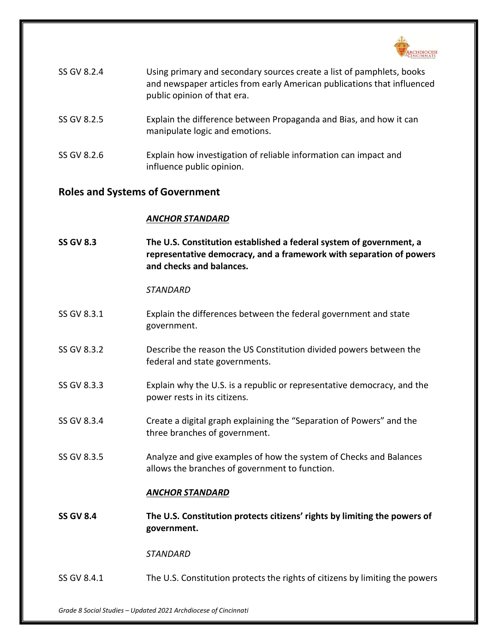

| SS GV 8.2.4 | Using primary and secondary sources create a list of pamphlets, books<br>and newspaper articles from early American publications that influenced<br>public opinion of that era. |
|-------------|---------------------------------------------------------------------------------------------------------------------------------------------------------------------------------|
| SS GV 8.2.5 | Explain the difference between Propaganda and Bias, and how it can<br>manipulate logic and emotions.                                                                            |
| SS GV 8.2.6 | Explain how investigation of reliable information can impact and                                                                                                                |

### **Roles and Systems of Government**

#### *ANCHOR STANDARD*

influence public opinion.

**SS GV 8.3 The U.S. Constitution established a federal system of government, a representative democracy, and a framework with separation of powers and checks and balances.**

#### *STANDARD*

- SS GV 8.3.1 Explain the differences between the federal government and state government.
- SS GV 8.3.2 Describe the reason the US Constitution divided powers between the federal and state governments.
- SS GV 8.3.3 Explain why the U.S. is a republic or representative democracy, and the power rests in its citizens.
- SS GV 8.3.4 Create a digital graph explaining the "Separation of Powers" and the three branches of government.
- SS GV 8.3.5 Analyze and give examples of how the system of Checks and Balances allows the branches of government to function.

#### *ANCHOR STANDARD*

**SS GV 8.4 The U.S. Constitution protects citizens' rights by limiting the powers of government.**

*STANDARD*

SS GV 8.4.1 The U.S. Constitution protects the rights of citizens by limiting the powers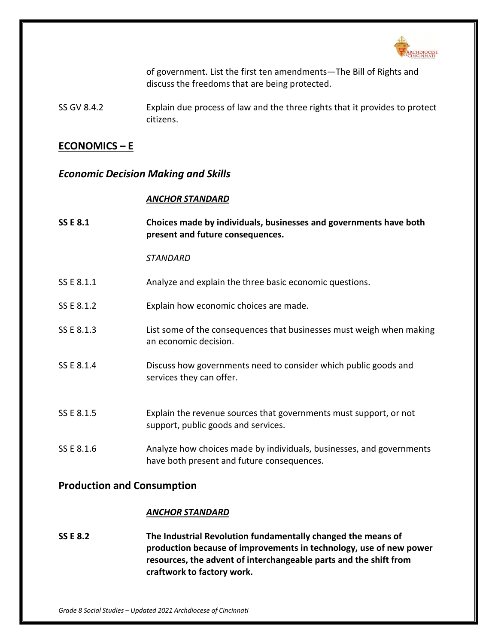

of government. List the first ten amendments—The Bill of Rights and discuss the freedoms that are being protected.

SS GV 8.4.2 Explain due process of law and the three rights that it provides to protect citizens.

# **ECONOMICS – E**

## *Economic Decision Making and Skills*

#### *ANCHOR STANDARD*

| <b>SS E 8.1</b> | Choices made by individuals, businesses and governments have both<br>present and future consequences.              |
|-----------------|--------------------------------------------------------------------------------------------------------------------|
|                 | <b>STANDARD</b>                                                                                                    |
| SS E 8.1.1      | Analyze and explain the three basic economic questions.                                                            |
| SS E 8.1.2      | Explain how economic choices are made.                                                                             |
| SS E 8.1.3      | List some of the consequences that businesses must weigh when making<br>an economic decision.                      |
| SS E 8.1.4      | Discuss how governments need to consider which public goods and<br>services they can offer.                        |
| SS E 8.1.5      | Explain the revenue sources that governments must support, or not<br>support, public goods and services.           |
| SS E 8.1.6      | Analyze how choices made by individuals, businesses, and governments<br>have both present and future consequences. |

# **Production and Consumption**

#### *ANCHOR STANDARD*

**SS E 8.2 The Industrial Revolution fundamentally changed the means of production because of improvements in technology, use of new power resources, the advent of interchangeable parts and the shift from craftwork to factory work.**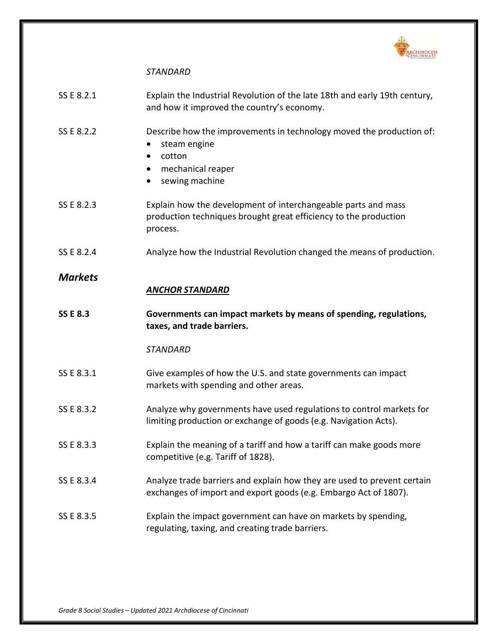

| SS E 8.2.1      | Explain the Industrial Revolution of the late 18th and early 19th century,<br>and how it improved the country's economy.                        |
|-----------------|-------------------------------------------------------------------------------------------------------------------------------------------------|
| SS E 8.2.2      | Describe how the improvements in technology moved the production of:<br>steam engine<br>cotton<br>٠<br>mechanical reaper<br>sewing machine<br>٠ |
| SS E 8.2.3      | Explain how the development of interchangeable parts and mass<br>production techniques brought great efficiency to the production<br>process.   |
| SS E 8.2.4      | Analyze how the Industrial Revolution changed the means of production.                                                                          |
| <b>Markets</b>  | <b>ANCHOR STANDARD</b>                                                                                                                          |
| <b>SS E 8.3</b> | Governments can impact markets by means of spending, regulations,                                                                               |
|                 | taxes, and trade barriers.                                                                                                                      |
|                 | <b>STANDARD</b>                                                                                                                                 |
| SS E 8.3.1      | Give examples of how the U.S. and state governments can impact<br>markets with spending and other areas.                                        |
| SS E 8.3.2      | Analyze why governments have used regulations to control markets for<br>limiting production or exchange of goods (e.g. Navigation Acts).        |
| SS E 8.3.3      | Explain the meaning of a tariff and how a tariff can make goods more<br>competitive (e.g. Tariff of 1828).                                      |
| SS E 8.3.4      | Analyze trade barriers and explain how they are used to prevent certain<br>exchanges of import and export goods (e.g. Embargo Act of 1807).     |